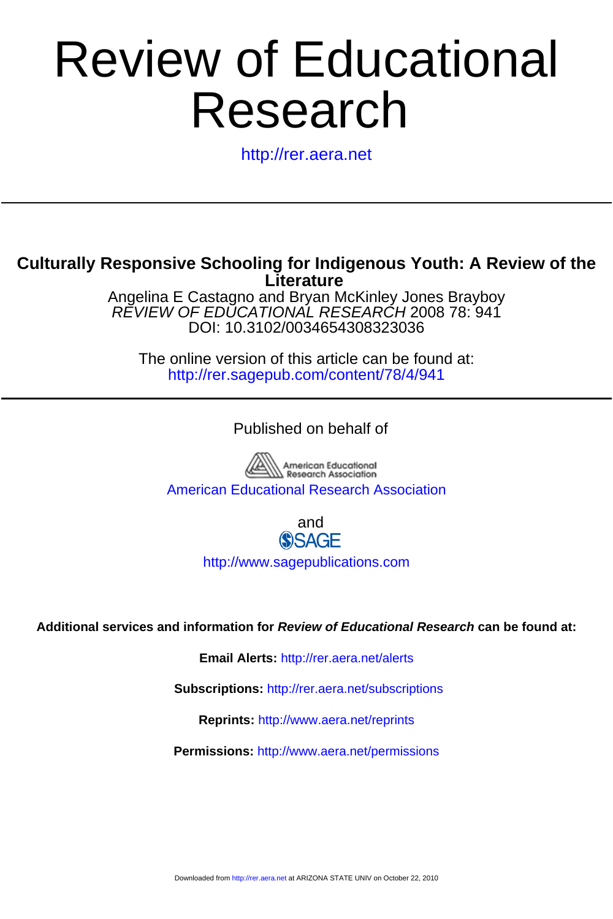# Research Review of Educational

<http://rer.aera.net>

# **Literature Culturally Responsive Schooling for Indigenous Youth: A Review of the**

DOI: 10.3102/0034654308323036 REVIEW OF EDUCATIONAL RESEARCH 2008 78: 941 Angelina E Castagno and Bryan McKinley Jones Brayboy

<http://rer.sagepub.com/content/78/4/941> The online version of this article can be found at:

Published on behalf of



[American Educational Research Association](http://www.aera.net)

and<br>SAGE®

<http://www.sagepublications.com>

**Additional services and information for Review of Educational Research can be found at:**

**Email Alerts:** <http://rer.aera.net/alerts>

**Subscriptions:** <http://rer.aera.net/subscriptions>

**Reprints:** <http://www.aera.net/reprints>

**Permissions:** <http://www.aera.net/permissions>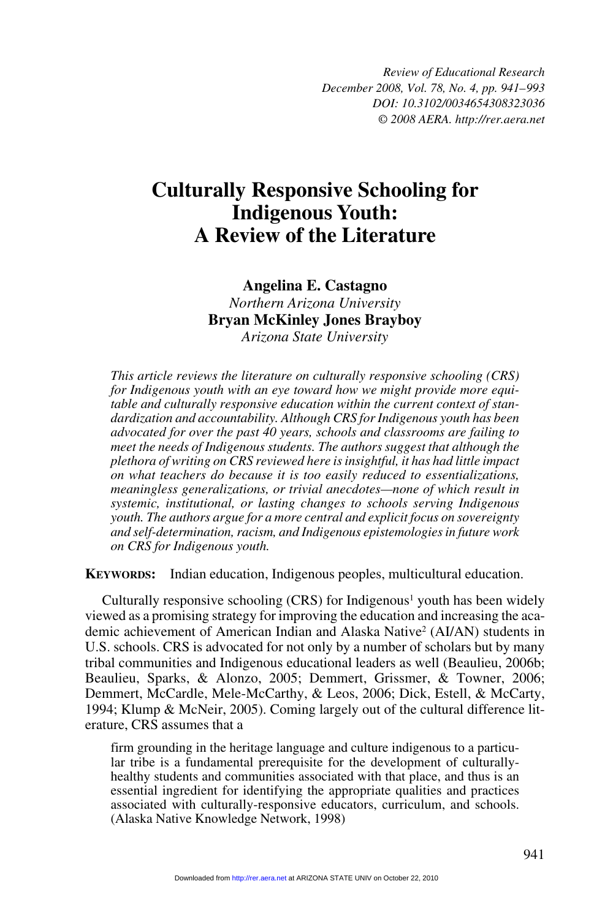*Review of Educational Research December 2008, Vol. 78, No. 4, pp. 941–993 DOI: 10.3102/0034654308323036 © 2008 AERA. http://rer.aera.net*

# **Culturally Responsive Schooling for Indigenous Youth: A Review of the Literature**

# **Angelina E. Castagno**

*Northern Arizona University* **Bryan McKinley Jones Brayboy** *Arizona State University*

*This article reviews the literature on culturally responsive schooling (CRS) for Indigenous youth with an eye toward how we might provide more equitable and culturally responsive education within the current context of standardization and accountability. Although CRS for Indigenous youth has been advocated for over the past 40 years, schools and classrooms are failing to meet the needs of Indigenous students. The authors suggest that although the plethora of writing on CRS reviewed here is insightful, it has had little impact on what teachers do because it is too easily reduced to essentializations, meaningless generalizations, or trivial anecdotes—none of which result in systemic, institutional, or lasting changes to schools serving Indigenous youth. The authors argue for a more central and explicit focus on sovereignty and self-determination, racism, and Indigenous epistemologies in future work on CRS for Indigenous youth.*

**KEYWORDS:** Indian education, Indigenous peoples, multicultural education.

Culturally responsive schooling  $(CRS)$  for Indigenous<sup>1</sup> youth has been widely viewed as a promising strategy for improving the education and increasing the academic achievement of American Indian and Alaska Native<sup>2</sup> (AI/AN) students in U.S. schools. CRS is advocated for not only by a number of scholars but by many tribal communities and Indigenous educational leaders as well (Beaulieu, 2006b; Beaulieu, Sparks, & Alonzo, 2005; Demmert, Grissmer, & Towner, 2006; Demmert, McCardle, Mele-McCarthy, & Leos, 2006; Dick, Estell, & McCarty, 1994; Klump & McNeir, 2005). Coming largely out of the cultural difference literature, CRS assumes that a

firm grounding in the heritage language and culture indigenous to a particular tribe is a fundamental prerequisite for the development of culturallyhealthy students and communities associated with that place, and thus is an essential ingredient for identifying the appropriate qualities and practices associated with culturally-responsive educators, curriculum, and schools. (Alaska Native Knowledge Network, 1998)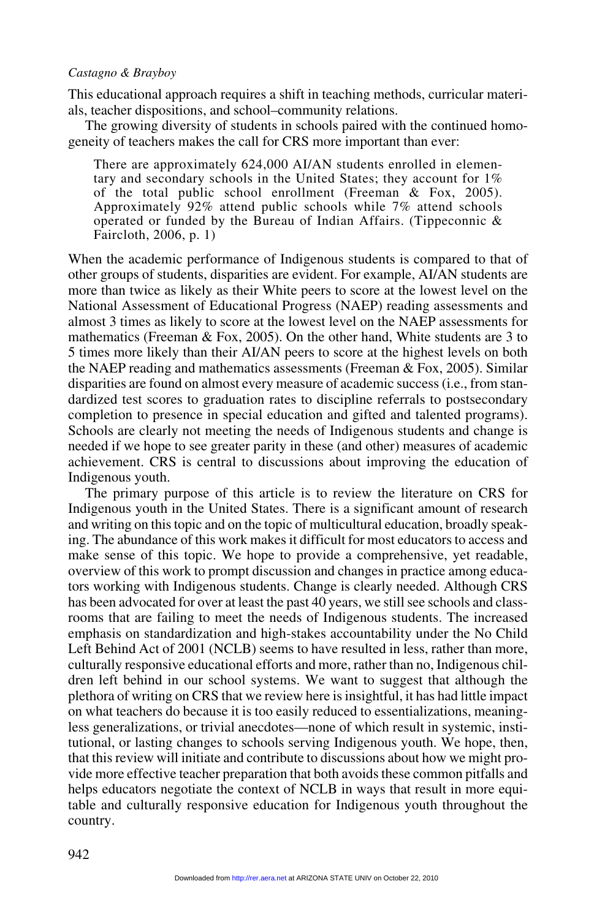This educational approach requires a shift in teaching methods, curricular materials, teacher dispositions, and school–community relations.

The growing diversity of students in schools paired with the continued homogeneity of teachers makes the call for CRS more important than ever:

There are approximately 624,000 AI/AN students enrolled in elementary and secondary schools in the United States; they account for 1% of the total public school enrollment (Freeman & Fox, 2005). Approximately 92% attend public schools while 7% attend schools operated or funded by the Bureau of Indian Affairs. (Tippeconnic & Faircloth, 2006, p. 1)

When the academic performance of Indigenous students is compared to that of other groups of students, disparities are evident. For example, AI/AN students are more than twice as likely as their White peers to score at the lowest level on the National Assessment of Educational Progress (NAEP) reading assessments and almost 3 times as likely to score at the lowest level on the NAEP assessments for mathematics (Freeman  $& Fox$ , 2005). On the other hand, White students are 3 to 5 times more likely than their AI/AN peers to score at the highest levels on both the NAEP reading and mathematics assessments (Freeman & Fox, 2005). Similar disparities are found on almost every measure of academic success (i.e., from standardized test scores to graduation rates to discipline referrals to postsecondary completion to presence in special education and gifted and talented programs). Schools are clearly not meeting the needs of Indigenous students and change is needed if we hope to see greater parity in these (and other) measures of academic achievement. CRS is central to discussions about improving the education of Indigenous youth.

The primary purpose of this article is to review the literature on CRS for Indigenous youth in the United States. There is a significant amount of research and writing on this topic and on the topic of multicultural education, broadly speaking. The abundance of this work makes it difficult for most educators to access and make sense of this topic. We hope to provide a comprehensive, yet readable, overview of this work to prompt discussion and changes in practice among educators working with Indigenous students. Change is clearly needed. Although CRS has been advocated for over at least the past 40 years, we still see schools and classrooms that are failing to meet the needs of Indigenous students. The increased emphasis on standardization and high-stakes accountability under the No Child Left Behind Act of 2001 (NCLB) seems to have resulted in less, rather than more, culturally responsive educational efforts and more, rather than no, Indigenous children left behind in our school systems. We want to suggest that although the plethora of writing on CRS that we review here is insightful, it has had little impact on what teachers do because it is too easily reduced to essentializations, meaningless generalizations, or trivial anecdotes—none of which result in systemic, institutional, or lasting changes to schools serving Indigenous youth. We hope, then, that this review will initiate and contribute to discussions about how we might provide more effective teacher preparation that both avoids these common pitfalls and helps educators negotiate the context of NCLB in ways that result in more equitable and culturally responsive education for Indigenous youth throughout the country.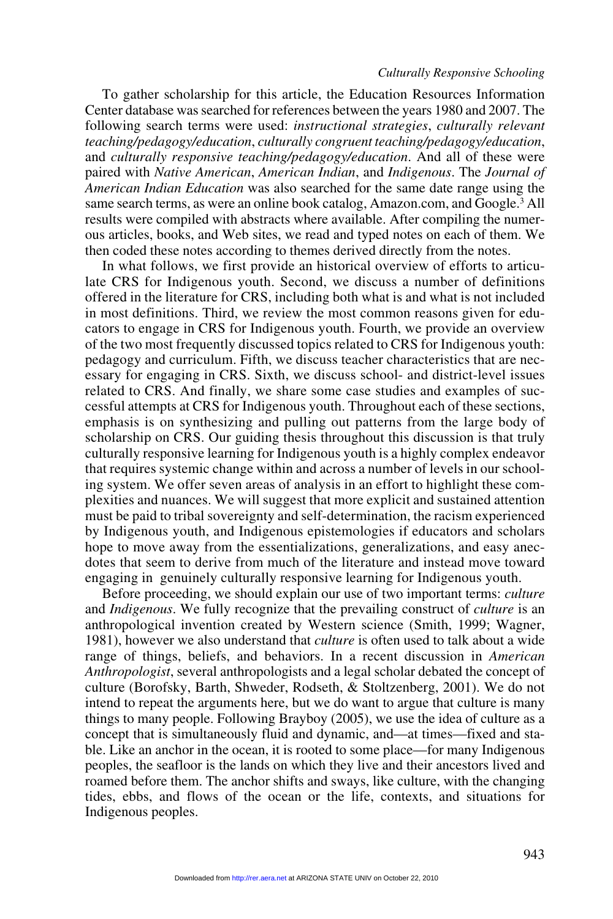#### *Culturally Responsive Schooling*

To gather scholarship for this article, the Education Resources Information Center database was searched for references between the years 1980 and 2007. The following search terms were used: *instructional strategies*, *culturally relevant teaching/pedagogy/education*, *culturally congruent teaching/pedagogy/education*, and *culturally responsive teaching/pedagogy/education*. And all of these were paired with *Native American*, *American Indian*, and *Indigenous*. The *Journal of American Indian Education* was also searched for the same date range using the same search terms, as were an online book catalog, Amazon.com, and Google.3 All results were compiled with abstracts where available. After compiling the numerous articles, books, and Web sites, we read and typed notes on each of them. We then coded these notes according to themes derived directly from the notes.

In what follows, we first provide an historical overview of efforts to articulate CRS for Indigenous youth. Second, we discuss a number of definitions offered in the literature for CRS, including both what is and what is not included in most definitions. Third, we review the most common reasons given for educators to engage in CRS for Indigenous youth. Fourth, we provide an overview of the two most frequently discussed topics related to CRS for Indigenous youth: pedagogy and curriculum. Fifth, we discuss teacher characteristics that are necessary for engaging in CRS. Sixth, we discuss school- and district-level issues related to CRS. And finally, we share some case studies and examples of successful attempts at CRS for Indigenous youth. Throughout each of these sections, emphasis is on synthesizing and pulling out patterns from the large body of scholarship on CRS. Our guiding thesis throughout this discussion is that truly culturally responsive learning for Indigenous youth is a highly complex endeavor that requires systemic change within and across a number of levels in our schooling system. We offer seven areas of analysis in an effort to highlight these complexities and nuances. We will suggest that more explicit and sustained attention must be paid to tribal sovereignty and self-determination, the racism experienced by Indigenous youth, and Indigenous epistemologies if educators and scholars hope to move away from the essentializations, generalizations, and easy anecdotes that seem to derive from much of the literature and instead move toward engaging in genuinely culturally responsive learning for Indigenous youth.

Before proceeding, we should explain our use of two important terms: *culture* and *Indigenous*. We fully recognize that the prevailing construct of *culture* is an anthropological invention created by Western science (Smith, 1999; Wagner, 1981), however we also understand that *culture* is often used to talk about a wide range of things, beliefs, and behaviors. In a recent discussion in *American Anthropologist*, several anthropologists and a legal scholar debated the concept of culture (Borofsky, Barth, Shweder, Rodseth, & Stoltzenberg, 2001). We do not intend to repeat the arguments here, but we do want to argue that culture is many things to many people. Following Brayboy (2005), we use the idea of culture as a concept that is simultaneously fluid and dynamic, and—at times—fixed and stable. Like an anchor in the ocean, it is rooted to some place—for many Indigenous peoples, the seafloor is the lands on which they live and their ancestors lived and roamed before them. The anchor shifts and sways, like culture, with the changing tides, ebbs, and flows of the ocean or the life, contexts, and situations for Indigenous peoples.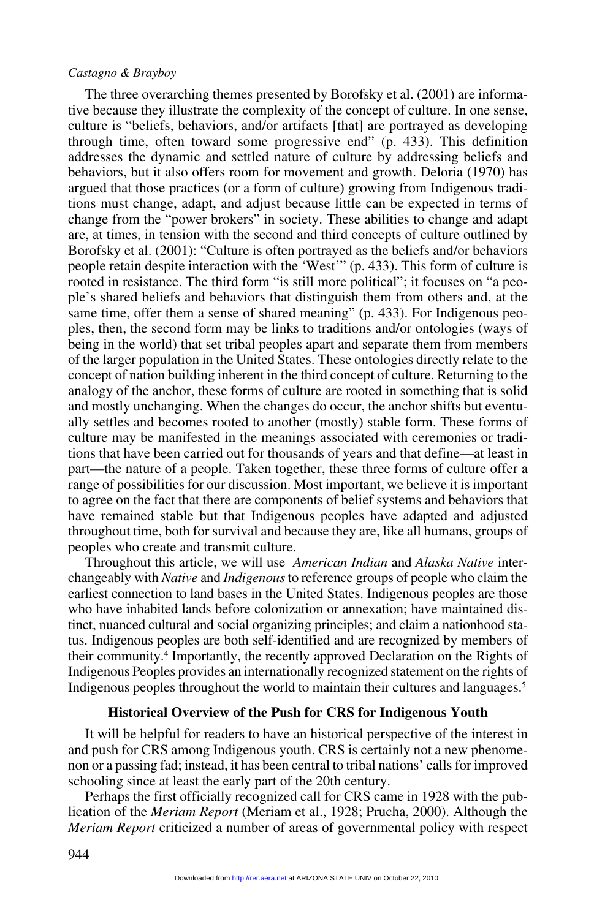The three overarching themes presented by Borofsky et al. (2001) are informative because they illustrate the complexity of the concept of culture. In one sense, culture is "beliefs, behaviors, and/or artifacts [that] are portrayed as developing through time, often toward some progressive end" (p. 433). This definition addresses the dynamic and settled nature of culture by addressing beliefs and behaviors, but it also offers room for movement and growth. Deloria (1970) has argued that those practices (or a form of culture) growing from Indigenous traditions must change, adapt, and adjust because little can be expected in terms of change from the "power brokers" in society. These abilities to change and adapt are, at times, in tension with the second and third concepts of culture outlined by Borofsky et al. (2001): "Culture is often portrayed as the beliefs and/or behaviors people retain despite interaction with the 'West'" (p. 433). This form of culture is rooted in resistance. The third form "is still more political"; it focuses on "a people's shared beliefs and behaviors that distinguish them from others and, at the same time, offer them a sense of shared meaning" (p. 433). For Indigenous peoples, then, the second form may be links to traditions and/or ontologies (ways of being in the world) that set tribal peoples apart and separate them from members of the larger population in the United States. These ontologies directly relate to the concept of nation building inherent in the third concept of culture. Returning to the analogy of the anchor, these forms of culture are rooted in something that is solid and mostly unchanging. When the changes do occur, the anchor shifts but eventually settles and becomes rooted to another (mostly) stable form. These forms of culture may be manifested in the meanings associated with ceremonies or traditions that have been carried out for thousands of years and that define—at least in part—the nature of a people. Taken together, these three forms of culture offer a range of possibilities for our discussion. Most important, we believe it is important to agree on the fact that there are components of belief systems and behaviors that have remained stable but that Indigenous peoples have adapted and adjusted throughout time, both for survival and because they are, like all humans, groups of peoples who create and transmit culture.

Throughout this article, we will use *American Indian* and *Alaska Native* interchangeably with *Native* and *Indigenous*to reference groups of people who claim the earliest connection to land bases in the United States. Indigenous peoples are those who have inhabited lands before colonization or annexation; have maintained distinct, nuanced cultural and social organizing principles; and claim a nationhood status. Indigenous peoples are both self-identified and are recognized by members of their community.4 Importantly, the recently approved Declaration on the Rights of Indigenous Peoples provides an internationally recognized statement on the rights of Indigenous peoples throughout the world to maintain their cultures and languages.5

# **Historical Overview of the Push for CRS for Indigenous Youth**

It will be helpful for readers to have an historical perspective of the interest in and push for CRS among Indigenous youth. CRS is certainly not a new phenomenon or a passing fad; instead, it has been central to tribal nations' calls for improved schooling since at least the early part of the 20th century.

Perhaps the first officially recognized call for CRS came in 1928 with the publication of the *Meriam Report* (Meriam et al., 1928; Prucha, 2000). Although the *Meriam Report* criticized a number of areas of governmental policy with respect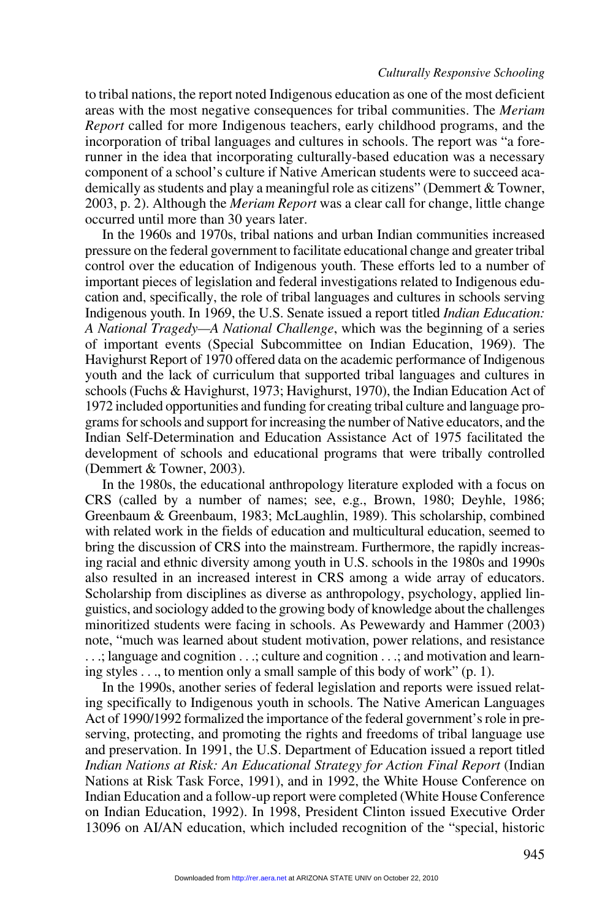to tribal nations, the report noted Indigenous education as one of the most deficient areas with the most negative consequences for tribal communities. The *Meriam Report* called for more Indigenous teachers, early childhood programs, and the incorporation of tribal languages and cultures in schools. The report was "a forerunner in the idea that incorporating culturally-based education was a necessary component of a school's culture if Native American students were to succeed academically as students and play a meaningful role as citizens" (Demmert & Towner, 2003, p. 2). Although the *Meriam Report* was a clear call for change, little change occurred until more than 30 years later.

In the 1960s and 1970s, tribal nations and urban Indian communities increased pressure on the federal government to facilitate educational change and greater tribal control over the education of Indigenous youth. These efforts led to a number of important pieces of legislation and federal investigations related to Indigenous education and, specifically, the role of tribal languages and cultures in schools serving Indigenous youth. In 1969, the U.S. Senate issued a report titled *Indian Education: A National Tragedy—A National Challenge*, which was the beginning of a series of important events (Special Subcommittee on Indian Education, 1969). The Havighurst Report of 1970 offered data on the academic performance of Indigenous youth and the lack of curriculum that supported tribal languages and cultures in schools (Fuchs & Havighurst, 1973; Havighurst, 1970), the Indian Education Act of 1972 included opportunities and funding for creating tribal culture and language programs for schools and support for increasing the number of Native educators, and the Indian Self-Determination and Education Assistance Act of 1975 facilitated the development of schools and educational programs that were tribally controlled (Demmert & Towner, 2003).

In the 1980s, the educational anthropology literature exploded with a focus on CRS (called by a number of names; see, e.g., Brown, 1980; Deyhle, 1986; Greenbaum & Greenbaum, 1983; McLaughlin, 1989). This scholarship, combined with related work in the fields of education and multicultural education, seemed to bring the discussion of CRS into the mainstream. Furthermore, the rapidly increasing racial and ethnic diversity among youth in U.S. schools in the 1980s and 1990s also resulted in an increased interest in CRS among a wide array of educators. Scholarship from disciplines as diverse as anthropology, psychology, applied linguistics, and sociology added to the growing body of knowledge about the challenges minoritized students were facing in schools. As Pewewardy and Hammer (2003) note, "much was learned about student motivation, power relations, and resistance ...; language and cognition ...; culture and cognition ...; and motivation and learning styles . . ., to mention only a small sample of this body of work" (p. 1).

In the 1990s, another series of federal legislation and reports were issued relating specifically to Indigenous youth in schools. The Native American Languages Act of 1990/1992 formalized the importance of the federal government's role in preserving, protecting, and promoting the rights and freedoms of tribal language use and preservation. In 1991, the U.S. Department of Education issued a report titled *Indian Nations at Risk: An Educational Strategy for Action Final Report* (Indian Nations at Risk Task Force, 1991), and in 1992, the White House Conference on Indian Education and a follow-up report were completed (White House Conference on Indian Education, 1992). In 1998, President Clinton issued Executive Order 13096 on AI/AN education, which included recognition of the "special, historic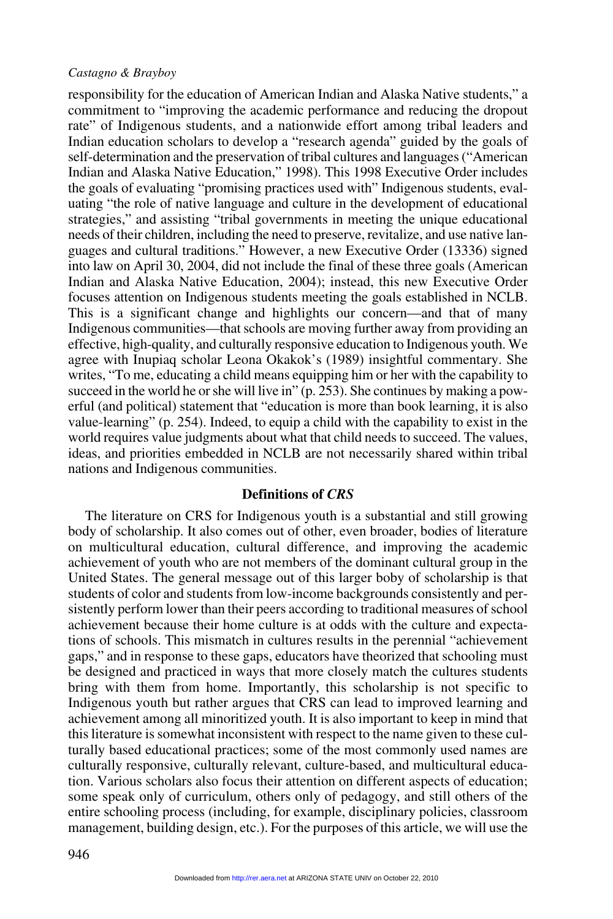responsibility for the education of American Indian and Alaska Native students," a commitment to "improving the academic performance and reducing the dropout rate" of Indigenous students, and a nationwide effort among tribal leaders and Indian education scholars to develop a "research agenda" guided by the goals of self-determination and the preservation of tribal cultures and languages ("American Indian and Alaska Native Education," 1998). This 1998 Executive Order includes the goals of evaluating "promising practices used with" Indigenous students, evaluating "the role of native language and culture in the development of educational strategies," and assisting "tribal governments in meeting the unique educational needs of their children, including the need to preserve, revitalize, and use native languages and cultural traditions." However, a new Executive Order (13336) signed into law on April 30, 2004, did not include the final of these three goals (American Indian and Alaska Native Education, 2004); instead, this new Executive Order focuses attention on Indigenous students meeting the goals established in NCLB. This is a significant change and highlights our concern—and that of many Indigenous communities—that schools are moving further away from providing an effective, high-quality, and culturally responsive education to Indigenous youth. We agree with Inupiaq scholar Leona Okakok's (1989) insightful commentary. She writes, "To me, educating a child means equipping him or her with the capability to succeed in the world he or she will live in" (p. 253). She continues by making a powerful (and political) statement that "education is more than book learning, it is also value-learning" (p. 254). Indeed, to equip a child with the capability to exist in the world requires value judgments about what that child needs to succeed. The values, ideas, and priorities embedded in NCLB are not necessarily shared within tribal nations and Indigenous communities.

# **Definitions of** *CRS*

The literature on CRS for Indigenous youth is a substantial and still growing body of scholarship. It also comes out of other, even broader, bodies of literature on multicultural education, cultural difference, and improving the academic achievement of youth who are not members of the dominant cultural group in the United States. The general message out of this larger boby of scholarship is that students of color and students from low-income backgrounds consistently and persistently perform lower than their peers according to traditional measures of school achievement because their home culture is at odds with the culture and expectations of schools. This mismatch in cultures results in the perennial "achievement gaps," and in response to these gaps, educators have theorized that schooling must be designed and practiced in ways that more closely match the cultures students bring with them from home. Importantly, this scholarship is not specific to Indigenous youth but rather argues that CRS can lead to improved learning and achievement among all minoritized youth. It is also important to keep in mind that this literature is somewhat inconsistent with respect to the name given to these culturally based educational practices; some of the most commonly used names are culturally responsive, culturally relevant, culture-based, and multicultural education. Various scholars also focus their attention on different aspects of education; some speak only of curriculum, others only of pedagogy, and still others of the entire schooling process (including, for example, disciplinary policies, classroom management, building design, etc.). For the purposes of this article, we will use the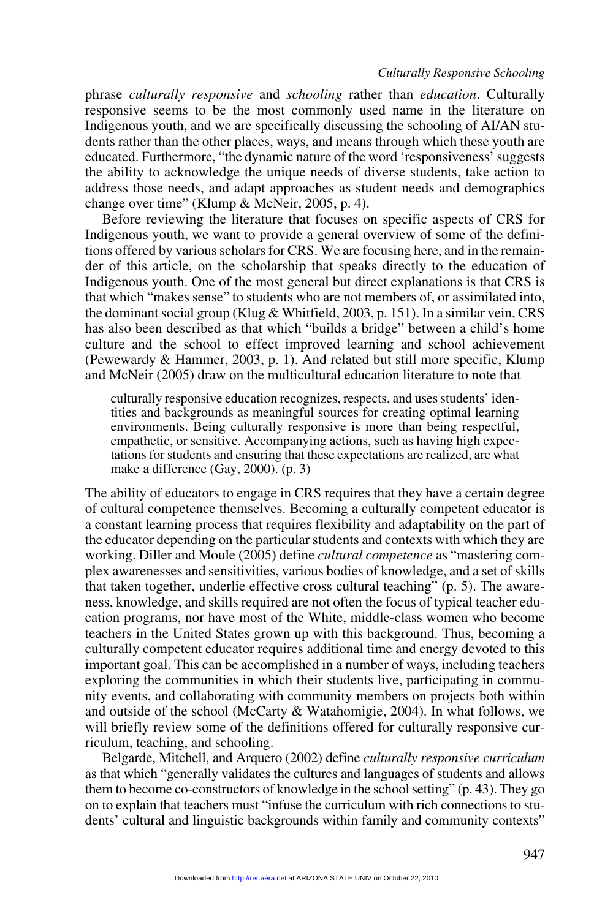# *Culturally Responsive Schooling*

phrase *culturally responsive* and *schooling* rather than *education*. Culturally responsive seems to be the most commonly used name in the literature on Indigenous youth, and we are specifically discussing the schooling of AI/AN students rather than the other places, ways, and means through which these youth are educated. Furthermore, "the dynamic nature of the word 'responsiveness' suggests the ability to acknowledge the unique needs of diverse students, take action to address those needs, and adapt approaches as student needs and demographics change over time" (Klump & McNeir, 2005, p. 4).

Before reviewing the literature that focuses on specific aspects of CRS for Indigenous youth, we want to provide a general overview of some of the definitions offered by various scholars for CRS. We are focusing here, and in the remainder of this article, on the scholarship that speaks directly to the education of Indigenous youth. One of the most general but direct explanations is that CRS is that which "makes sense" to students who are not members of, or assimilated into, the dominant social group (Klug & Whitfield, 2003, p. 151). In a similar vein, CRS has also been described as that which "builds a bridge" between a child's home culture and the school to effect improved learning and school achievement (Pewewardy & Hammer, 2003, p. 1). And related but still more specific, Klump and McNeir (2005) draw on the multicultural education literature to note that

culturally responsive education recognizes, respects, and uses students' identities and backgrounds as meaningful sources for creating optimal learning environments. Being culturally responsive is more than being respectful, empathetic, or sensitive. Accompanying actions, such as having high expectations for students and ensuring that these expectations are realized, are what make a difference (Gay, 2000). (p. 3)

The ability of educators to engage in CRS requires that they have a certain degree of cultural competence themselves. Becoming a culturally competent educator is a constant learning process that requires flexibility and adaptability on the part of the educator depending on the particular students and contexts with which they are working. Diller and Moule (2005) define *cultural competence* as "mastering complex awarenesses and sensitivities, various bodies of knowledge, and a set of skills that taken together, underlie effective cross cultural teaching" (p. 5). The awareness, knowledge, and skills required are not often the focus of typical teacher education programs, nor have most of the White, middle-class women who become teachers in the United States grown up with this background. Thus, becoming a culturally competent educator requires additional time and energy devoted to this important goal. This can be accomplished in a number of ways, including teachers exploring the communities in which their students live, participating in community events, and collaborating with community members on projects both within and outside of the school (McCarty & Watahomigie, 2004). In what follows, we will briefly review some of the definitions offered for culturally responsive curriculum, teaching, and schooling.

Belgarde, Mitchell, and Arquero (2002) define *culturally responsive curriculum* as that which "generally validates the cultures and languages of students and allows them to become co-constructors of knowledge in the school setting" (p. 43). They go on to explain that teachers must "infuse the curriculum with rich connections to students' cultural and linguistic backgrounds within family and community contexts"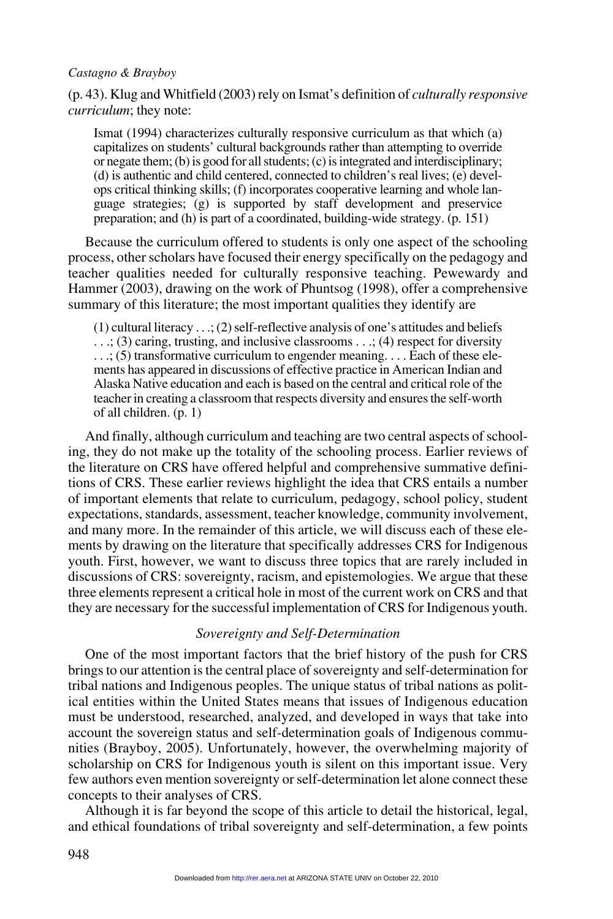(p. 43). Klug and Whitfield (2003) rely on Ismat's definition of *culturally responsive curriculum*; they note:

Ismat (1994) characterizes culturally responsive curriculum as that which (a) capitalizes on students' cultural backgrounds rather than attempting to override or negate them; (b) is good for all students; (c) is integrated and interdisciplinary; (d) is authentic and child centered, connected to children's real lives; (e) develops critical thinking skills; (f) incorporates cooperative learning and whole language strategies; (g) is supported by staff development and preservice preparation; and (h) is part of a coordinated, building-wide strategy. (p. 151)

Because the curriculum offered to students is only one aspect of the schooling process, other scholars have focused their energy specifically on the pedagogy and teacher qualities needed for culturally responsive teaching. Pewewardy and Hammer (2003), drawing on the work of Phuntsog (1998), offer a comprehensive summary of this literature; the most important qualities they identify are

 $(1)$  cultural literacy  $\dots$ ;  $(2)$  self-reflective analysis of one's attitudes and beliefs  $\dots$ ; (3) caring, trusting, and inclusive classrooms  $\dots$ ; (4) respect for diversity  $\dots$ ; (5) transformative curriculum to engender meaning.  $\dots$  Each of these elements has appeared in discussions of effective practice in American Indian and Alaska Native education and each is based on the central and critical role of the teacher in creating a classroom that respects diversity and ensures the self-worth of all children. (p. 1)

And finally, although curriculum and teaching are two central aspects of schooling, they do not make up the totality of the schooling process. Earlier reviews of the literature on CRS have offered helpful and comprehensive summative definitions of CRS. These earlier reviews highlight the idea that CRS entails a number of important elements that relate to curriculum, pedagogy, school policy, student expectations, standards, assessment, teacher knowledge, community involvement, and many more. In the remainder of this article, we will discuss each of these elements by drawing on the literature that specifically addresses CRS for Indigenous youth. First, however, we want to discuss three topics that are rarely included in discussions of CRS: sovereignty, racism, and epistemologies. We argue that these three elements represent a critical hole in most of the current work on CRS and that they are necessary for the successful implementation of CRS for Indigenous youth.

# *Sovereignty and Self-Determination*

One of the most important factors that the brief history of the push for CRS brings to our attention is the central place of sovereignty and self-determination for tribal nations and Indigenous peoples. The unique status of tribal nations as political entities within the United States means that issues of Indigenous education must be understood, researched, analyzed, and developed in ways that take into account the sovereign status and self-determination goals of Indigenous communities (Brayboy, 2005). Unfortunately, however, the overwhelming majority of scholarship on CRS for Indigenous youth is silent on this important issue. Very few authors even mention sovereignty or self-determination let alone connect these concepts to their analyses of CRS.

Although it is far beyond the scope of this article to detail the historical, legal, and ethical foundations of tribal sovereignty and self-determination, a few points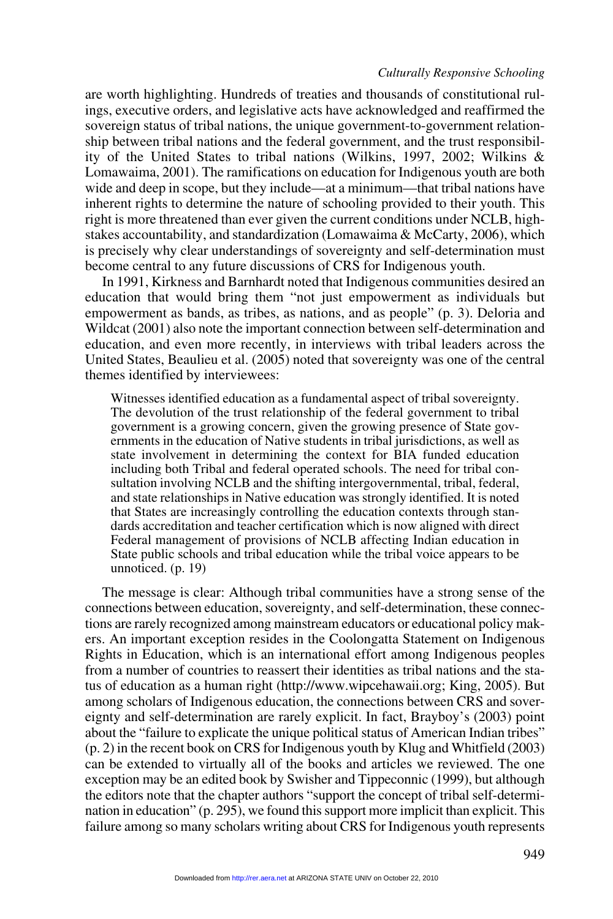# *Culturally Responsive Schooling*

are worth highlighting. Hundreds of treaties and thousands of constitutional rulings, executive orders, and legislative acts have acknowledged and reaffirmed the sovereign status of tribal nations, the unique government-to-government relationship between tribal nations and the federal government, and the trust responsibility of the United States to tribal nations (Wilkins, 1997, 2002; Wilkins & Lomawaima, 2001). The ramifications on education for Indigenous youth are both wide and deep in scope, but they include—at a minimum—that tribal nations have inherent rights to determine the nature of schooling provided to their youth. This right is more threatened than ever given the current conditions under NCLB, highstakes accountability, and standardization (Lomawaima & McCarty, 2006), which is precisely why clear understandings of sovereignty and self-determination must become central to any future discussions of CRS for Indigenous youth.

In 1991, Kirkness and Barnhardt noted that Indigenous communities desired an education that would bring them "not just empowerment as individuals but empowerment as bands, as tribes, as nations, and as people" (p. 3). Deloria and Wildcat (2001) also note the important connection between self-determination and education, and even more recently, in interviews with tribal leaders across the United States, Beaulieu et al. (2005) noted that sovereignty was one of the central themes identified by interviewees:

Witnesses identified education as a fundamental aspect of tribal sovereignty. The devolution of the trust relationship of the federal government to tribal government is a growing concern, given the growing presence of State governments in the education of Native students in tribal jurisdictions, as well as state involvement in determining the context for BIA funded education including both Tribal and federal operated schools. The need for tribal consultation involving NCLB and the shifting intergovernmental, tribal, federal, and state relationships in Native education was strongly identified. It is noted that States are increasingly controlling the education contexts through standards accreditation and teacher certification which is now aligned with direct Federal management of provisions of NCLB affecting Indian education in State public schools and tribal education while the tribal voice appears to be unnoticed. (p. 19)

The message is clear: Although tribal communities have a strong sense of the connections between education, sovereignty, and self-determination, these connections are rarely recognized among mainstream educators or educational policy makers. An important exception resides in the Coolongatta Statement on Indigenous Rights in Education, which is an international effort among Indigenous peoples from a number of countries to reassert their identities as tribal nations and the status of education as a human right (http://www.wipcehawaii.org; King, 2005). But among scholars of Indigenous education, the connections between CRS and sovereignty and self-determination are rarely explicit. In fact, Brayboy's (2003) point about the "failure to explicate the unique political status of American Indian tribes" (p. 2) in the recent book on CRS for Indigenous youth by Klug and Whitfield (2003) can be extended to virtually all of the books and articles we reviewed. The one exception may be an edited book by Swisher and Tippeconnic (1999), but although the editors note that the chapter authors "support the concept of tribal self-determination in education" (p. 295), we found this support more implicit than explicit. This failure among so many scholars writing about CRS for Indigenous youth represents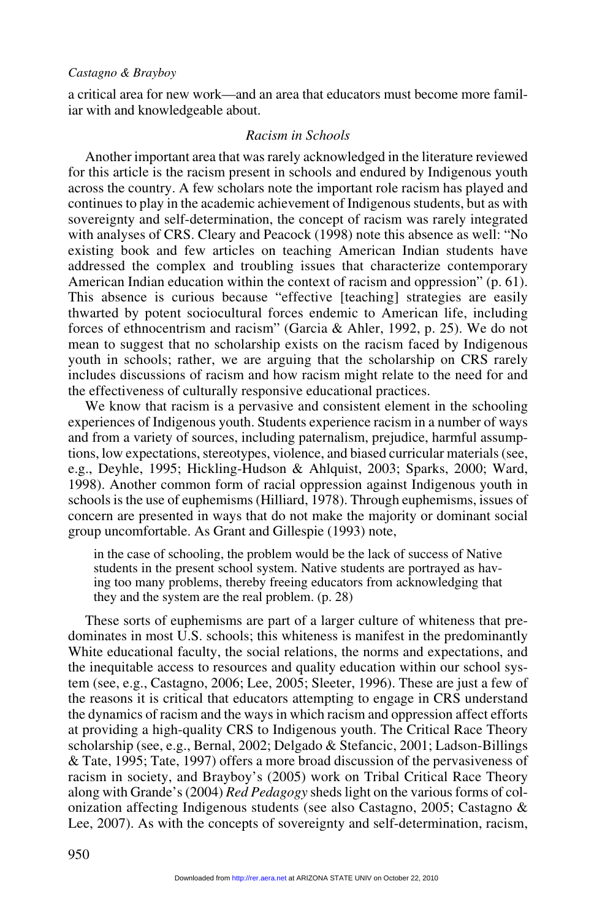a critical area for new work—and an area that educators must become more familiar with and knowledgeable about.

## *Racism in Schools*

Another important area that was rarely acknowledged in the literature reviewed for this article is the racism present in schools and endured by Indigenous youth across the country. A few scholars note the important role racism has played and continues to play in the academic achievement of Indigenous students, but as with sovereignty and self-determination, the concept of racism was rarely integrated with analyses of CRS. Cleary and Peacock (1998) note this absence as well: "No existing book and few articles on teaching American Indian students have addressed the complex and troubling issues that characterize contemporary American Indian education within the context of racism and oppression" (p. 61). This absence is curious because "effective [teaching] strategies are easily thwarted by potent sociocultural forces endemic to American life, including forces of ethnocentrism and racism" (Garcia & Ahler, 1992, p. 25). We do not mean to suggest that no scholarship exists on the racism faced by Indigenous youth in schools; rather, we are arguing that the scholarship on CRS rarely includes discussions of racism and how racism might relate to the need for and the effectiveness of culturally responsive educational practices.

We know that racism is a pervasive and consistent element in the schooling experiences of Indigenous youth. Students experience racism in a number of ways and from a variety of sources, including paternalism, prejudice, harmful assumptions, low expectations, stereotypes, violence, and biased curricular materials (see, e.g., Deyhle, 1995; Hickling-Hudson & Ahlquist, 2003; Sparks, 2000; Ward, 1998). Another common form of racial oppression against Indigenous youth in schools is the use of euphemisms (Hilliard, 1978). Through euphemisms, issues of concern are presented in ways that do not make the majority or dominant social group uncomfortable. As Grant and Gillespie (1993) note,

in the case of schooling, the problem would be the lack of success of Native students in the present school system. Native students are portrayed as having too many problems, thereby freeing educators from acknowledging that they and the system are the real problem. (p. 28)

These sorts of euphemisms are part of a larger culture of whiteness that predominates in most U.S. schools; this whiteness is manifest in the predominantly White educational faculty, the social relations, the norms and expectations, and the inequitable access to resources and quality education within our school system (see, e.g., Castagno, 2006; Lee, 2005; Sleeter, 1996). These are just a few of the reasons it is critical that educators attempting to engage in CRS understand the dynamics of racism and the ways in which racism and oppression affect efforts at providing a high-quality CRS to Indigenous youth. The Critical Race Theory scholarship (see, e.g., Bernal, 2002; Delgado & Stefancic, 2001; Ladson-Billings & Tate, 1995; Tate, 1997) offers a more broad discussion of the pervasiveness of racism in society, and Brayboy's (2005) work on Tribal Critical Race Theory along with Grande's (2004) *Red Pedagogy* sheds light on the various forms of colonization affecting Indigenous students (see also Castagno, 2005; Castagno & Lee, 2007). As with the concepts of sovereignty and self-determination, racism,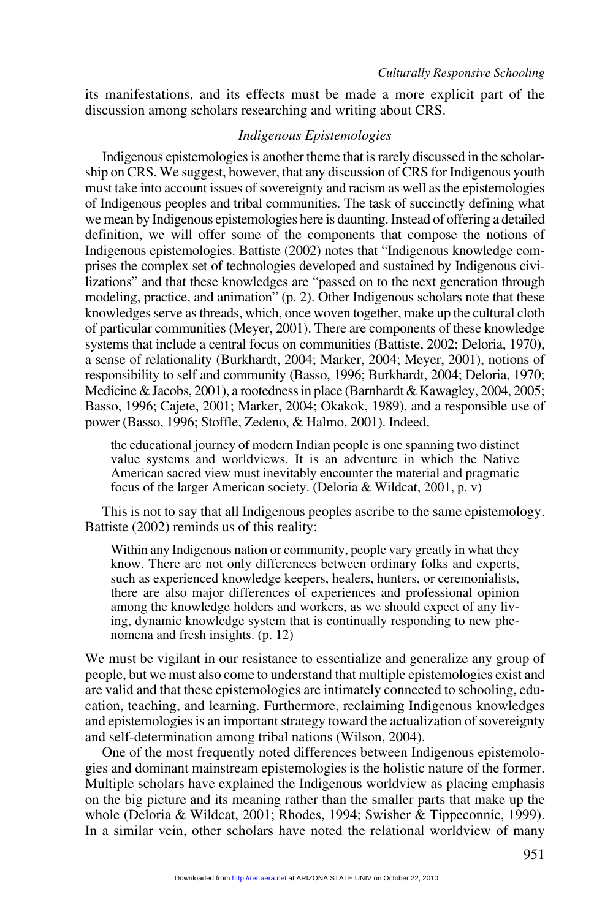its manifestations, and its effects must be made a more explicit part of the discussion among scholars researching and writing about CRS.

# *Indigenous Epistemologies*

Indigenous epistemologies is another theme that is rarely discussed in the scholarship on CRS. We suggest, however, that any discussion of CRS for Indigenous youth must take into account issues of sovereignty and racism as well as the epistemologies of Indigenous peoples and tribal communities. The task of succinctly defining what we mean by Indigenous epistemologies here is daunting. Instead of offering a detailed definition, we will offer some of the components that compose the notions of Indigenous epistemologies. Battiste (2002) notes that "Indigenous knowledge comprises the complex set of technologies developed and sustained by Indigenous civilizations" and that these knowledges are "passed on to the next generation through modeling, practice, and animation" (p. 2). Other Indigenous scholars note that these knowledges serve as threads, which, once woven together, make up the cultural cloth of particular communities (Meyer, 2001). There are components of these knowledge systems that include a central focus on communities (Battiste, 2002; Deloria, 1970), a sense of relationality (Burkhardt, 2004; Marker, 2004; Meyer, 2001), notions of responsibility to self and community (Basso, 1996; Burkhardt, 2004; Deloria, 1970; Medicine & Jacobs, 2001), a rootedness in place (Barnhardt & Kawagley, 2004, 2005; Basso, 1996; Cajete, 2001; Marker, 2004; Okakok, 1989), and a responsible use of power (Basso, 1996; Stoffle, Zedeno, & Halmo, 2001). Indeed,

the educational journey of modern Indian people is one spanning two distinct value systems and worldviews. It is an adventure in which the Native American sacred view must inevitably encounter the material and pragmatic focus of the larger American society. (Deloria & Wildcat, 2001, p. v)

This is not to say that all Indigenous peoples ascribe to the same epistemology. Battiste (2002) reminds us of this reality:

Within any Indigenous nation or community, people vary greatly in what they know. There are not only differences between ordinary folks and experts, such as experienced knowledge keepers, healers, hunters, or ceremonialists, there are also major differences of experiences and professional opinion among the knowledge holders and workers, as we should expect of any living, dynamic knowledge system that is continually responding to new phenomena and fresh insights. (p. 12)

We must be vigilant in our resistance to essentialize and generalize any group of people, but we must also come to understand that multiple epistemologies exist and are valid and that these epistemologies are intimately connected to schooling, education, teaching, and learning. Furthermore, reclaiming Indigenous knowledges and epistemologies is an important strategy toward the actualization of sovereignty and self-determination among tribal nations (Wilson, 2004).

One of the most frequently noted differences between Indigenous epistemologies and dominant mainstream epistemologies is the holistic nature of the former. Multiple scholars have explained the Indigenous worldview as placing emphasis on the big picture and its meaning rather than the smaller parts that make up the whole (Deloria & Wildcat, 2001; Rhodes, 1994; Swisher & Tippeconnic, 1999). In a similar vein, other scholars have noted the relational worldview of many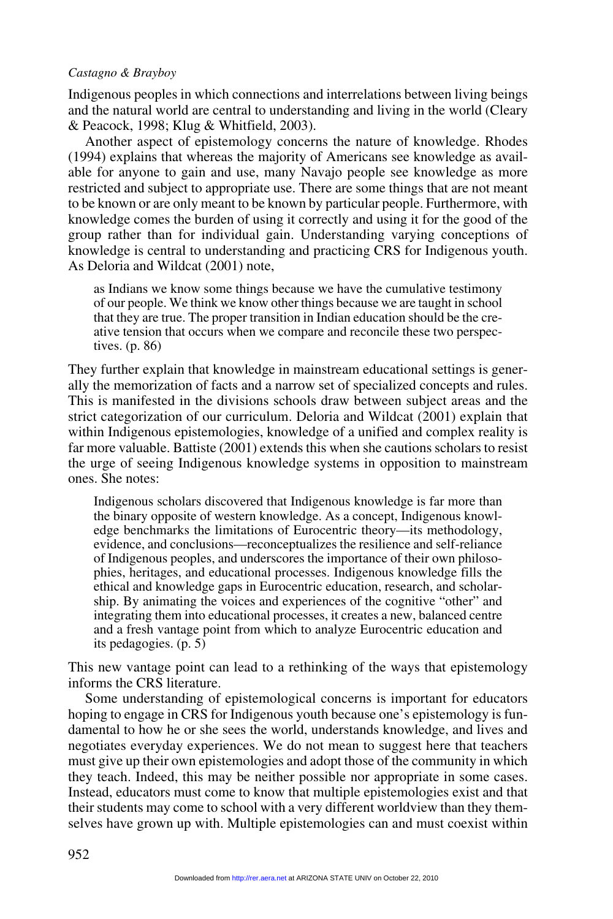Indigenous peoples in which connections and interrelations between living beings and the natural world are central to understanding and living in the world (Cleary & Peacock, 1998; Klug & Whitfield, 2003).

Another aspect of epistemology concerns the nature of knowledge. Rhodes (1994) explains that whereas the majority of Americans see knowledge as available for anyone to gain and use, many Navajo people see knowledge as more restricted and subject to appropriate use. There are some things that are not meant to be known or are only meant to be known by particular people. Furthermore, with knowledge comes the burden of using it correctly and using it for the good of the group rather than for individual gain. Understanding varying conceptions of knowledge is central to understanding and practicing CRS for Indigenous youth. As Deloria and Wildcat (2001) note,

as Indians we know some things because we have the cumulative testimony of our people. We think we know other things because we are taught in school that they are true. The proper transition in Indian education should be the creative tension that occurs when we compare and reconcile these two perspectives. (p. 86)

They further explain that knowledge in mainstream educational settings is generally the memorization of facts and a narrow set of specialized concepts and rules. This is manifested in the divisions schools draw between subject areas and the strict categorization of our curriculum. Deloria and Wildcat (2001) explain that within Indigenous epistemologies, knowledge of a unified and complex reality is far more valuable. Battiste (2001) extends this when she cautions scholars to resist the urge of seeing Indigenous knowledge systems in opposition to mainstream ones. She notes:

Indigenous scholars discovered that Indigenous knowledge is far more than the binary opposite of western knowledge. As a concept, Indigenous knowledge benchmarks the limitations of Eurocentric theory—its methodology, evidence, and conclusions—reconceptualizes the resilience and self-reliance of Indigenous peoples, and underscores the importance of their own philosophies, heritages, and educational processes. Indigenous knowledge fills the ethical and knowledge gaps in Eurocentric education, research, and scholarship. By animating the voices and experiences of the cognitive "other" and integrating them into educational processes, it creates a new, balanced centre and a fresh vantage point from which to analyze Eurocentric education and its pedagogies. (p. 5)

This new vantage point can lead to a rethinking of the ways that epistemology informs the CRS literature.

Some understanding of epistemological concerns is important for educators hoping to engage in CRS for Indigenous youth because one's epistemology is fundamental to how he or she sees the world, understands knowledge, and lives and negotiates everyday experiences. We do not mean to suggest here that teachers must give up their own epistemologies and adopt those of the community in which they teach. Indeed, this may be neither possible nor appropriate in some cases. Instead, educators must come to know that multiple epistemologies exist and that their students may come to school with a very different worldview than they themselves have grown up with. Multiple epistemologies can and must coexist within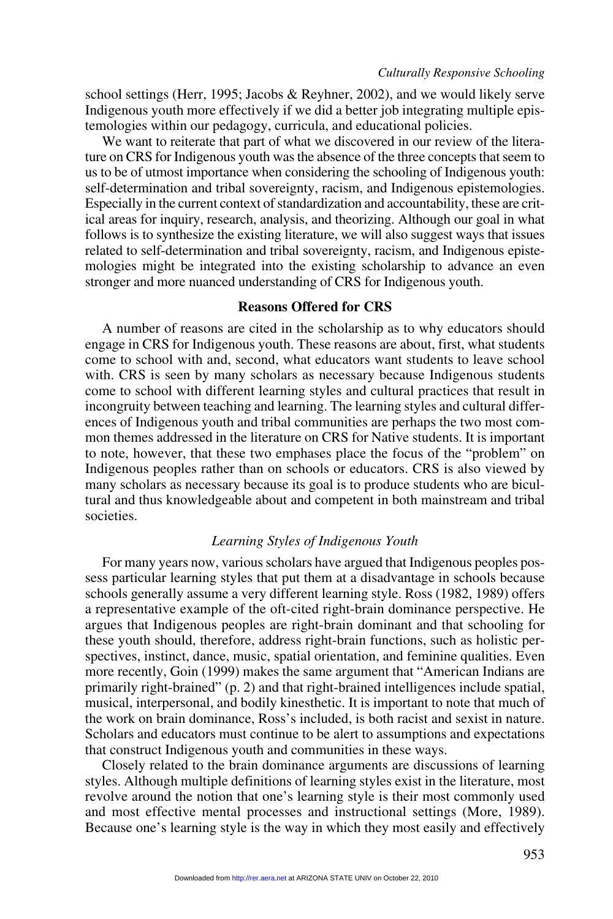school settings (Herr, 1995; Jacobs & Reyhner, 2002), and we would likely serve Indigenous youth more effectively if we did a better job integrating multiple epistemologies within our pedagogy, curricula, and educational policies.

We want to reiterate that part of what we discovered in our review of the literature on CRS for Indigenous youth was the absence of the three concepts that seem to us to be of utmost importance when considering the schooling of Indigenous youth: self-determination and tribal sovereignty, racism, and Indigenous epistemologies. Especially in the current context of standardization and accountability, these are critical areas for inquiry, research, analysis, and theorizing. Although our goal in what follows is to synthesize the existing literature, we will also suggest ways that issues related to self-determination and tribal sovereignty, racism, and Indigenous epistemologies might be integrated into the existing scholarship to advance an even stronger and more nuanced understanding of CRS for Indigenous youth.

# **Reasons Offered for CRS**

A number of reasons are cited in the scholarship as to why educators should engage in CRS for Indigenous youth. These reasons are about, first, what students come to school with and, second, what educators want students to leave school with. CRS is seen by many scholars as necessary because Indigenous students come to school with different learning styles and cultural practices that result in incongruity between teaching and learning. The learning styles and cultural differences of Indigenous youth and tribal communities are perhaps the two most common themes addressed in the literature on CRS for Native students. It is important to note, however, that these two emphases place the focus of the "problem" on Indigenous peoples rather than on schools or educators. CRS is also viewed by many scholars as necessary because its goal is to produce students who are bicultural and thus knowledgeable about and competent in both mainstream and tribal societies.

# *Learning Styles of Indigenous Youth*

For many years now, various scholars have argued that Indigenous peoples possess particular learning styles that put them at a disadvantage in schools because schools generally assume a very different learning style. Ross (1982, 1989) offers a representative example of the oft-cited right-brain dominance perspective. He argues that Indigenous peoples are right-brain dominant and that schooling for these youth should, therefore, address right-brain functions, such as holistic perspectives, instinct, dance, music, spatial orientation, and feminine qualities. Even more recently, Goin (1999) makes the same argument that "American Indians are primarily right-brained" (p. 2) and that right-brained intelligences include spatial, musical, interpersonal, and bodily kinesthetic. It is important to note that much of the work on brain dominance, Ross's included, is both racist and sexist in nature. Scholars and educators must continue to be alert to assumptions and expectations that construct Indigenous youth and communities in these ways.

Closely related to the brain dominance arguments are discussions of learning styles. Although multiple definitions of learning styles exist in the literature, most revolve around the notion that one's learning style is their most commonly used and most effective mental processes and instructional settings (More, 1989). Because one's learning style is the way in which they most easily and effectively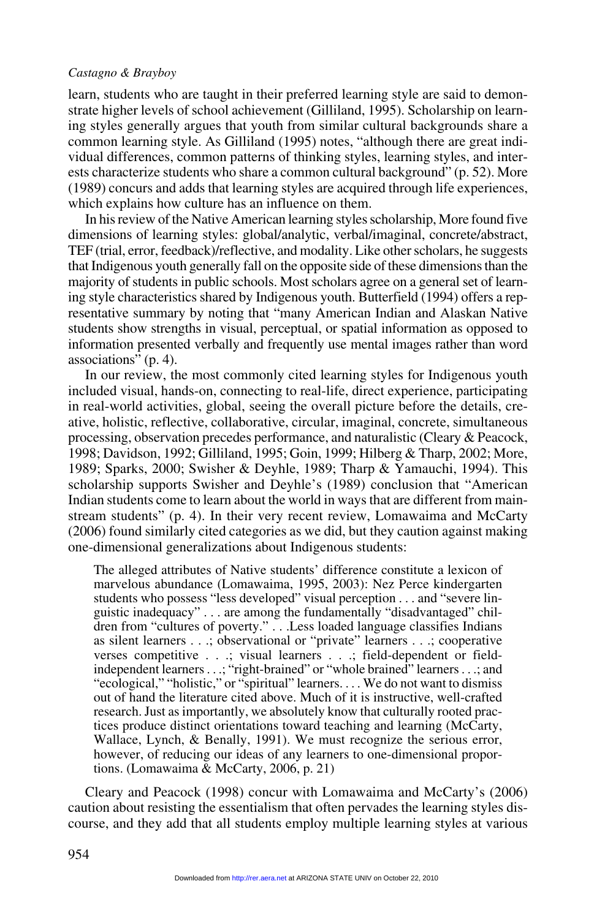learn, students who are taught in their preferred learning style are said to demonstrate higher levels of school achievement (Gilliland, 1995). Scholarship on learning styles generally argues that youth from similar cultural backgrounds share a common learning style. As Gilliland (1995) notes, "although there are great individual differences, common patterns of thinking styles, learning styles, and interests characterize students who share a common cultural background" (p. 52). More (1989) concurs and adds that learning styles are acquired through life experiences, which explains how culture has an influence on them.

In his review of the Native American learning styles scholarship, More found five dimensions of learning styles: global/analytic, verbal/imaginal, concrete/abstract, TEF (trial, error, feedback)/reflective, and modality. Like other scholars, he suggests that Indigenous youth generally fall on the opposite side of these dimensions than the majority of students in public schools. Most scholars agree on a general set of learning style characteristics shared by Indigenous youth. Butterfield (1994) offers a representative summary by noting that "many American Indian and Alaskan Native students show strengths in visual, perceptual, or spatial information as opposed to information presented verbally and frequently use mental images rather than word associations" (p. 4).

In our review, the most commonly cited learning styles for Indigenous youth included visual, hands-on, connecting to real-life, direct experience, participating in real-world activities, global, seeing the overall picture before the details, creative, holistic, reflective, collaborative, circular, imaginal, concrete, simultaneous processing, observation precedes performance, and naturalistic (Cleary & Peacock, 1998; Davidson, 1992; Gilliland, 1995; Goin, 1999; Hilberg & Tharp, 2002; More, 1989; Sparks, 2000; Swisher & Deyhle, 1989; Tharp & Yamauchi, 1994). This scholarship supports Swisher and Deyhle's (1989) conclusion that "American Indian students come to learn about the world in ways that are different from mainstream students" (p. 4). In their very recent review, Lomawaima and McCarty (2006) found similarly cited categories as we did, but they caution against making one-dimensional generalizations about Indigenous students:

The alleged attributes of Native students' difference constitute a lexicon of marvelous abundance (Lomawaima, 1995, 2003): Nez Perce kindergarten students who possess "less developed" visual perception . . . and "severe linguistic inadequacy" . . . are among the fundamentally "disadvantaged" children from "cultures of poverty." . . .Less loaded language classifies Indians as silent learners . . .; observational or "private" learners . . .; cooperative verses competitive . . .; visual learners . . .; field-dependent or fieldindependent learners . . .; "right-brained" or "whole brained" learners . . .; and "ecological," "holistic," or "spiritual" learners. . . . We do not want to dismiss out of hand the literature cited above. Much of it is instructive, well-crafted research. Just as importantly, we absolutely know that culturally rooted practices produce distinct orientations toward teaching and learning (McCarty, Wallace, Lynch, & Benally, 1991). We must recognize the serious error, however, of reducing our ideas of any learners to one-dimensional proportions. (Lomawaima & McCarty, 2006, p. 21)

Cleary and Peacock (1998) concur with Lomawaima and McCarty's (2006) caution about resisting the essentialism that often pervades the learning styles discourse, and they add that all students employ multiple learning styles at various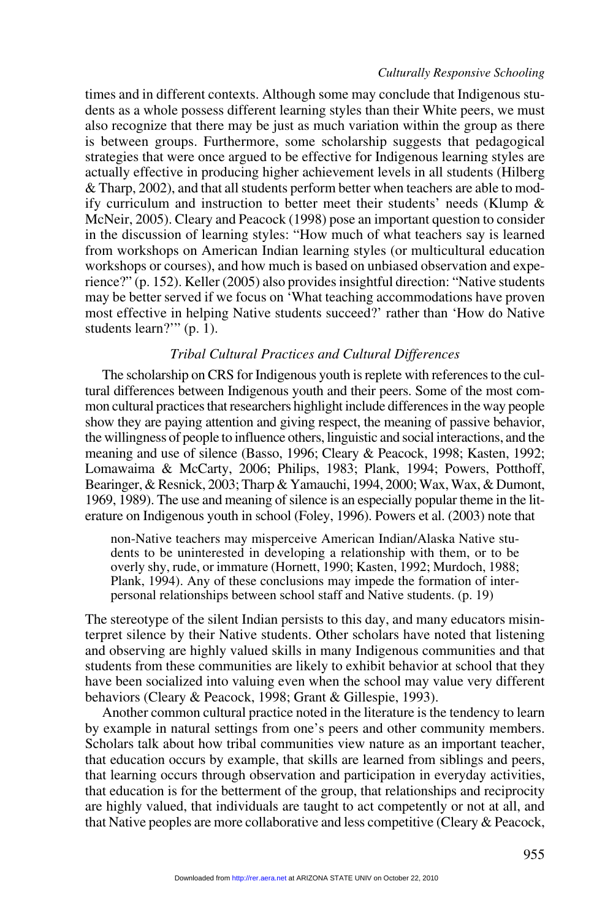# *Culturally Responsive Schooling*

times and in different contexts. Although some may conclude that Indigenous students as a whole possess different learning styles than their White peers, we must also recognize that there may be just as much variation within the group as there is between groups. Furthermore, some scholarship suggests that pedagogical strategies that were once argued to be effective for Indigenous learning styles are actually effective in producing higher achievement levels in all students (Hilberg & Tharp, 2002), and that all students perform better when teachers are able to modify curriculum and instruction to better meet their students' needs (Klump & McNeir, 2005). Cleary and Peacock (1998) pose an important question to consider in the discussion of learning styles: "How much of what teachers say is learned from workshops on American Indian learning styles (or multicultural education workshops or courses), and how much is based on unbiased observation and experience?" (p. 152). Keller (2005) also provides insightful direction: "Native students may be better served if we focus on 'What teaching accommodations have proven most effective in helping Native students succeed?' rather than 'How do Native students learn?'" (p. 1).

# *Tribal Cultural Practices and Cultural Differences*

The scholarship on CRS for Indigenous youth is replete with references to the cultural differences between Indigenous youth and their peers. Some of the most common cultural practices that researchers highlight include differences in the way people show they are paying attention and giving respect, the meaning of passive behavior, the willingness of people to influence others, linguistic and social interactions, and the meaning and use of silence (Basso, 1996; Cleary & Peacock, 1998; Kasten, 1992; Lomawaima & McCarty, 2006; Philips, 1983; Plank, 1994; Powers, Potthoff, Bearinger, & Resnick, 2003; Tharp & Yamauchi, 1994, 2000; Wax, Wax, & Dumont, 1969, 1989). The use and meaning of silence is an especially popular theme in the literature on Indigenous youth in school (Foley, 1996). Powers et al. (2003) note that

non-Native teachers may misperceive American Indian/Alaska Native students to be uninterested in developing a relationship with them, or to be overly shy, rude, or immature (Hornett, 1990; Kasten, 1992; Murdoch, 1988; Plank, 1994). Any of these conclusions may impede the formation of interpersonal relationships between school staff and Native students. (p. 19)

The stereotype of the silent Indian persists to this day, and many educators misinterpret silence by their Native students. Other scholars have noted that listening and observing are highly valued skills in many Indigenous communities and that students from these communities are likely to exhibit behavior at school that they have been socialized into valuing even when the school may value very different behaviors (Cleary & Peacock, 1998; Grant & Gillespie, 1993).

Another common cultural practice noted in the literature is the tendency to learn by example in natural settings from one's peers and other community members. Scholars talk about how tribal communities view nature as an important teacher, that education occurs by example, that skills are learned from siblings and peers, that learning occurs through observation and participation in everyday activities, that education is for the betterment of the group, that relationships and reciprocity are highly valued, that individuals are taught to act competently or not at all, and that Native peoples are more collaborative and less competitive (Cleary & Peacock,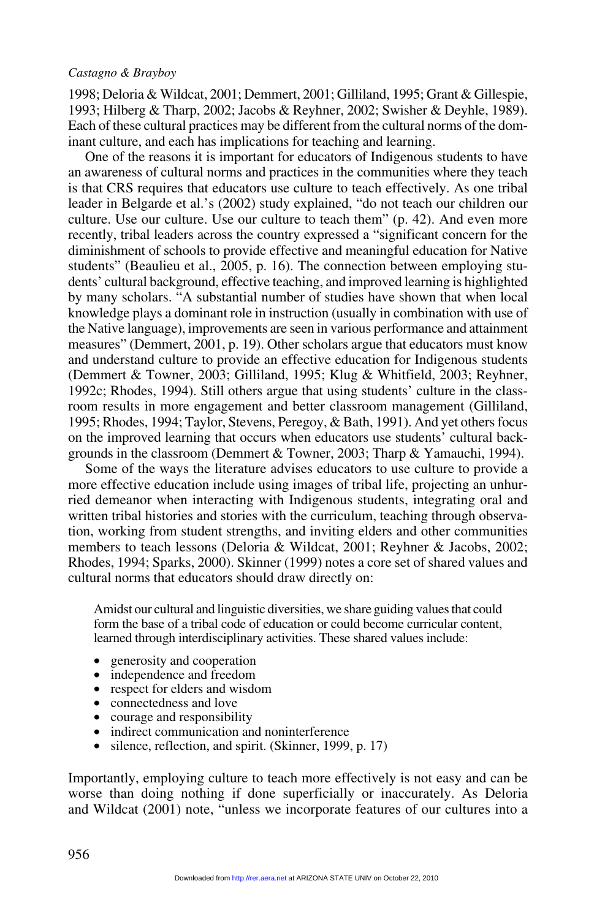1998; Deloria & Wildcat, 2001; Demmert, 2001; Gilliland, 1995; Grant & Gillespie, 1993; Hilberg & Tharp, 2002; Jacobs & Reyhner, 2002; Swisher & Deyhle, 1989). Each of these cultural practices may be different from the cultural norms of the dominant culture, and each has implications for teaching and learning.

One of the reasons it is important for educators of Indigenous students to have an awareness of cultural norms and practices in the communities where they teach is that CRS requires that educators use culture to teach effectively. As one tribal leader in Belgarde et al.'s (2002) study explained, "do not teach our children our culture. Use our culture. Use our culture to teach them" (p. 42). And even more recently, tribal leaders across the country expressed a "significant concern for the diminishment of schools to provide effective and meaningful education for Native students" (Beaulieu et al., 2005, p. 16). The connection between employing students' cultural background, effective teaching, and improved learning is highlighted by many scholars. "A substantial number of studies have shown that when local knowledge plays a dominant role in instruction (usually in combination with use of the Native language), improvements are seen in various performance and attainment measures" (Demmert, 2001, p. 19). Other scholars argue that educators must know and understand culture to provide an effective education for Indigenous students (Demmert & Towner, 2003; Gilliland, 1995; Klug & Whitfield, 2003; Reyhner, 1992c; Rhodes, 1994). Still others argue that using students' culture in the classroom results in more engagement and better classroom management (Gilliland, 1995; Rhodes, 1994; Taylor, Stevens, Peregoy, & Bath, 1991). And yet others focus on the improved learning that occurs when educators use students' cultural backgrounds in the classroom (Demmert & Towner, 2003; Tharp & Yamauchi, 1994).

Some of the ways the literature advises educators to use culture to provide a more effective education include using images of tribal life, projecting an unhurried demeanor when interacting with Indigenous students, integrating oral and written tribal histories and stories with the curriculum, teaching through observation, working from student strengths, and inviting elders and other communities members to teach lessons (Deloria & Wildcat, 2001; Reyhner & Jacobs, 2002; Rhodes, 1994; Sparks, 2000). Skinner (1999) notes a core set of shared values and cultural norms that educators should draw directly on:

Amidst our cultural and linguistic diversities, we share guiding values that could form the base of a tribal code of education or could become curricular content, learned through interdisciplinary activities. These shared values include:

- generosity and cooperation
- independence and freedom
- respect for elders and wisdom
- connectedness and love
- courage and responsibility
- indirect communication and noninterference
- silence, reflection, and spirit. (Skinner, 1999, p. 17)

Importantly, employing culture to teach more effectively is not easy and can be worse than doing nothing if done superficially or inaccurately. As Deloria and Wildcat (2001) note, "unless we incorporate features of our cultures into a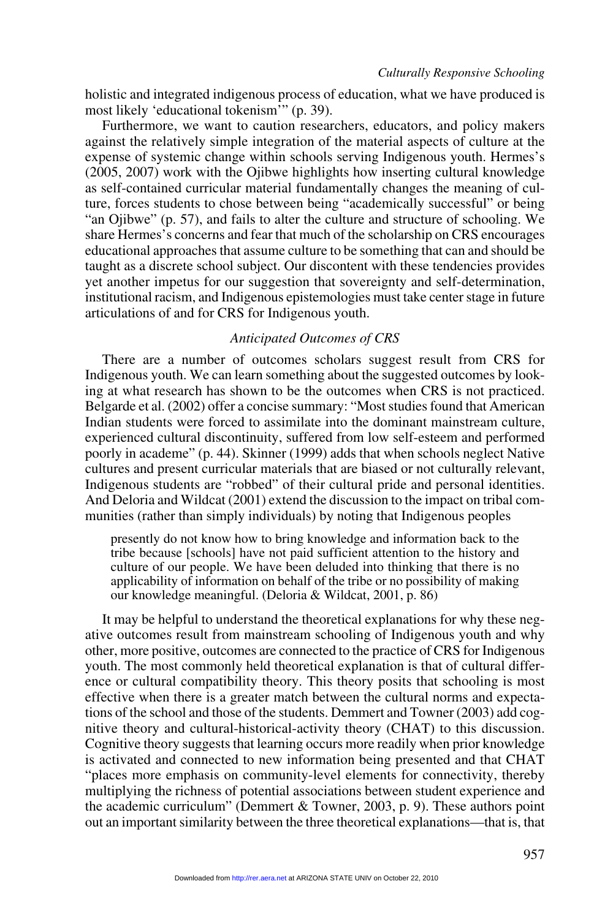holistic and integrated indigenous process of education, what we have produced is most likely 'educational tokenism'" (p. 39).

Furthermore, we want to caution researchers, educators, and policy makers against the relatively simple integration of the material aspects of culture at the expense of systemic change within schools serving Indigenous youth. Hermes's (2005, 2007) work with the Ojibwe highlights how inserting cultural knowledge as self-contained curricular material fundamentally changes the meaning of culture, forces students to chose between being "academically successful" or being "an Ojibwe" (p. 57), and fails to alter the culture and structure of schooling. We share Hermes's concerns and fear that much of the scholarship on CRS encourages educational approaches that assume culture to be something that can and should be taught as a discrete school subject. Our discontent with these tendencies provides yet another impetus for our suggestion that sovereignty and self-determination, institutional racism, and Indigenous epistemologies must take center stage in future articulations of and for CRS for Indigenous youth.

# *Anticipated Outcomes of CRS*

There are a number of outcomes scholars suggest result from CRS for Indigenous youth. We can learn something about the suggested outcomes by looking at what research has shown to be the outcomes when CRS is not practiced. Belgarde et al. (2002) offer a concise summary: "Most studies found that American Indian students were forced to assimilate into the dominant mainstream culture, experienced cultural discontinuity, suffered from low self-esteem and performed poorly in academe" (p. 44). Skinner (1999) adds that when schools neglect Native cultures and present curricular materials that are biased or not culturally relevant, Indigenous students are "robbed" of their cultural pride and personal identities. And Deloria and Wildcat (2001) extend the discussion to the impact on tribal communities (rather than simply individuals) by noting that Indigenous peoples

presently do not know how to bring knowledge and information back to the tribe because [schools] have not paid sufficient attention to the history and culture of our people. We have been deluded into thinking that there is no applicability of information on behalf of the tribe or no possibility of making our knowledge meaningful. (Deloria & Wildcat, 2001, p. 86)

It may be helpful to understand the theoretical explanations for why these negative outcomes result from mainstream schooling of Indigenous youth and why other, more positive, outcomes are connected to the practice of CRS for Indigenous youth. The most commonly held theoretical explanation is that of cultural difference or cultural compatibility theory. This theory posits that schooling is most effective when there is a greater match between the cultural norms and expectations of the school and those of the students. Demmert and Towner (2003) add cognitive theory and cultural-historical-activity theory (CHAT) to this discussion. Cognitive theory suggests that learning occurs more readily when prior knowledge is activated and connected to new information being presented and that CHAT "places more emphasis on community-level elements for connectivity, thereby multiplying the richness of potential associations between student experience and the academic curriculum" (Demmert & Towner, 2003, p. 9). These authors point out an important similarity between the three theoretical explanations—that is, that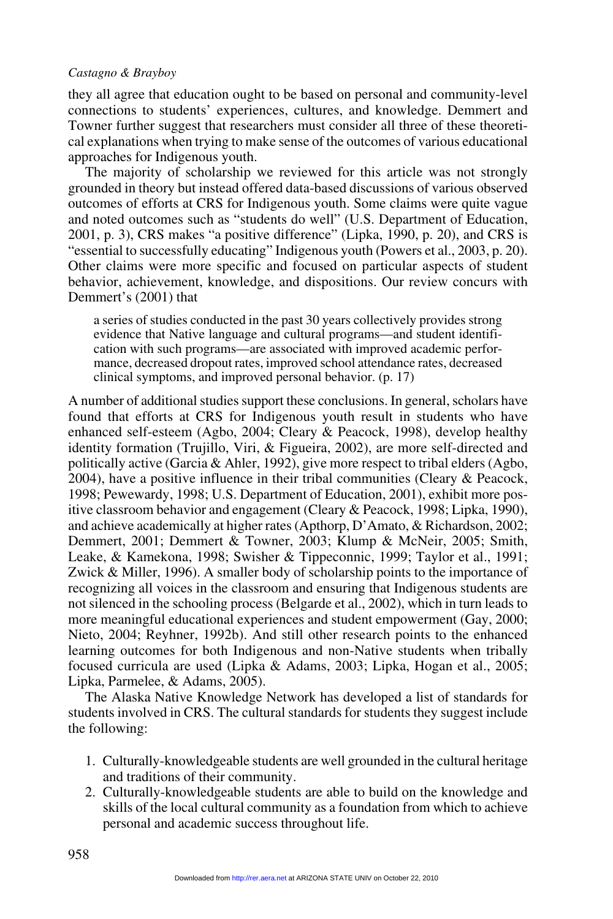they all agree that education ought to be based on personal and community-level connections to students' experiences, cultures, and knowledge. Demmert and Towner further suggest that researchers must consider all three of these theoretical explanations when trying to make sense of the outcomes of various educational approaches for Indigenous youth.

The majority of scholarship we reviewed for this article was not strongly grounded in theory but instead offered data-based discussions of various observed outcomes of efforts at CRS for Indigenous youth. Some claims were quite vague and noted outcomes such as "students do well" (U.S. Department of Education, 2001, p. 3), CRS makes "a positive difference" (Lipka, 1990, p. 20), and CRS is "essential to successfully educating" Indigenous youth (Powers et al., 2003, p. 20). Other claims were more specific and focused on particular aspects of student behavior, achievement, knowledge, and dispositions. Our review concurs with Demmert's (2001) that

a series of studies conducted in the past 30 years collectively provides strong evidence that Native language and cultural programs—and student identification with such programs—are associated with improved academic performance, decreased dropout rates, improved school attendance rates, decreased clinical symptoms, and improved personal behavior. (p. 17)

A number of additional studies support these conclusions. In general, scholars have found that efforts at CRS for Indigenous youth result in students who have enhanced self-esteem (Agbo, 2004; Cleary & Peacock, 1998), develop healthy identity formation (Trujillo, Viri, & Figueira, 2002), are more self-directed and politically active (Garcia & Ahler, 1992), give more respect to tribal elders (Agbo, 2004), have a positive influence in their tribal communities (Cleary & Peacock, 1998; Pewewardy, 1998; U.S. Department of Education, 2001), exhibit more positive classroom behavior and engagement (Cleary & Peacock, 1998; Lipka, 1990), and achieve academically at higher rates (Apthorp, D'Amato, & Richardson, 2002; Demmert, 2001; Demmert & Towner, 2003; Klump & McNeir, 2005; Smith, Leake, & Kamekona, 1998; Swisher & Tippeconnic, 1999; Taylor et al., 1991; Zwick & Miller, 1996). A smaller body of scholarship points to the importance of recognizing all voices in the classroom and ensuring that Indigenous students are not silenced in the schooling process (Belgarde et al., 2002), which in turn leads to more meaningful educational experiences and student empowerment (Gay, 2000; Nieto, 2004; Reyhner, 1992b). And still other research points to the enhanced learning outcomes for both Indigenous and non-Native students when tribally focused curricula are used (Lipka & Adams, 2003; Lipka, Hogan et al., 2005; Lipka, Parmelee, & Adams, 2005).

The Alaska Native Knowledge Network has developed a list of standards for students involved in CRS. The cultural standards for students they suggest include the following:

- 1. Culturally-knowledgeable students are well grounded in the cultural heritage and traditions of their community.
- 2. Culturally-knowledgeable students are able to build on the knowledge and skills of the local cultural community as a foundation from which to achieve personal and academic success throughout life.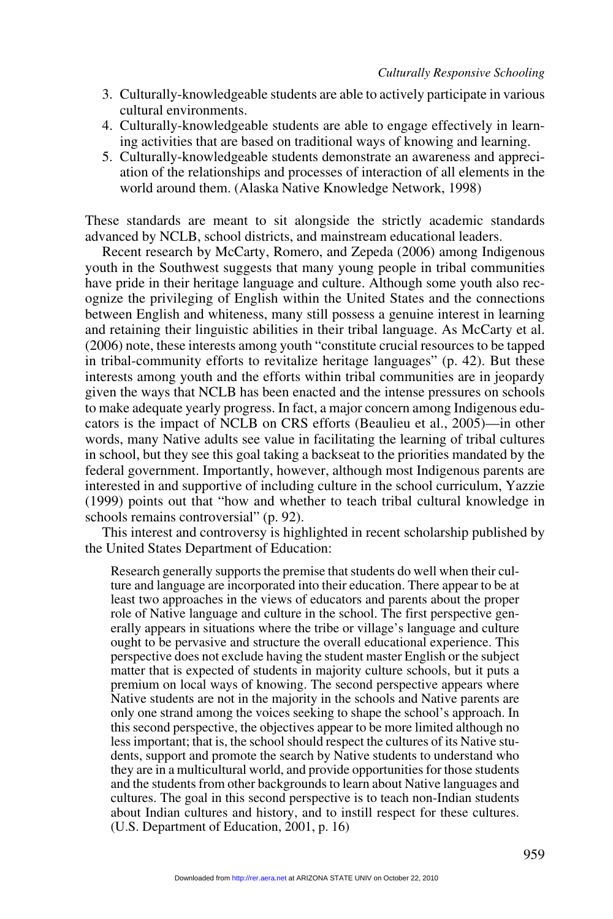- 3. Culturally-knowledgeable students are able to actively participate in various cultural environments.
- 4. Culturally-knowledgeable students are able to engage effectively in learning activities that are based on traditional ways of knowing and learning.
- 5. Culturally-knowledgeable students demonstrate an awareness and appreciation of the relationships and processes of interaction of all elements in the world around them. (Alaska Native Knowledge Network, 1998)

These standards are meant to sit alongside the strictly academic standards advanced by NCLB, school districts, and mainstream educational leaders.

Recent research by McCarty, Romero, and Zepeda (2006) among Indigenous youth in the Southwest suggests that many young people in tribal communities have pride in their heritage language and culture. Although some youth also recognize the privileging of English within the United States and the connections between English and whiteness, many still possess a genuine interest in learning and retaining their linguistic abilities in their tribal language. As McCarty et al. (2006) note, these interests among youth "constitute crucial resources to be tapped in tribal-community efforts to revitalize heritage languages" (p. 42). But these interests among youth and the efforts within tribal communities are in jeopardy given the ways that NCLB has been enacted and the intense pressures on schools to make adequate yearly progress. In fact, a major concern among Indigenous educators is the impact of NCLB on CRS efforts (Beaulieu et al., 2005)—in other words, many Native adults see value in facilitating the learning of tribal cultures in school, but they see this goal taking a backseat to the priorities mandated by the federal government. Importantly, however, although most Indigenous parents are interested in and supportive of including culture in the school curriculum, Yazzie (1999) points out that "how and whether to teach tribal cultural knowledge in schools remains controversial" (p. 92).

This interest and controversy is highlighted in recent scholarship published by the United States Department of Education:

Research generally supports the premise that students do well when their culture and language are incorporated into their education. There appear to be at least two approaches in the views of educators and parents about the proper role of Native language and culture in the school. The first perspective generally appears in situations where the tribe or village's language and culture ought to be pervasive and structure the overall educational experience. This perspective does not exclude having the student master English or the subject matter that is expected of students in majority culture schools, but it puts a premium on local ways of knowing. The second perspective appears where Native students are not in the majority in the schools and Native parents are only one strand among the voices seeking to shape the school's approach. In this second perspective, the objectives appear to be more limited although no less important; that is, the school should respect the cultures of its Native students, support and promote the search by Native students to understand who they are in a multicultural world, and provide opportunities for those students and the students from other backgrounds to learn about Native languages and cultures. The goal in this second perspective is to teach non-Indian students about Indian cultures and history, and to instill respect for these cultures. (U.S. Department of Education, 2001, p. 16)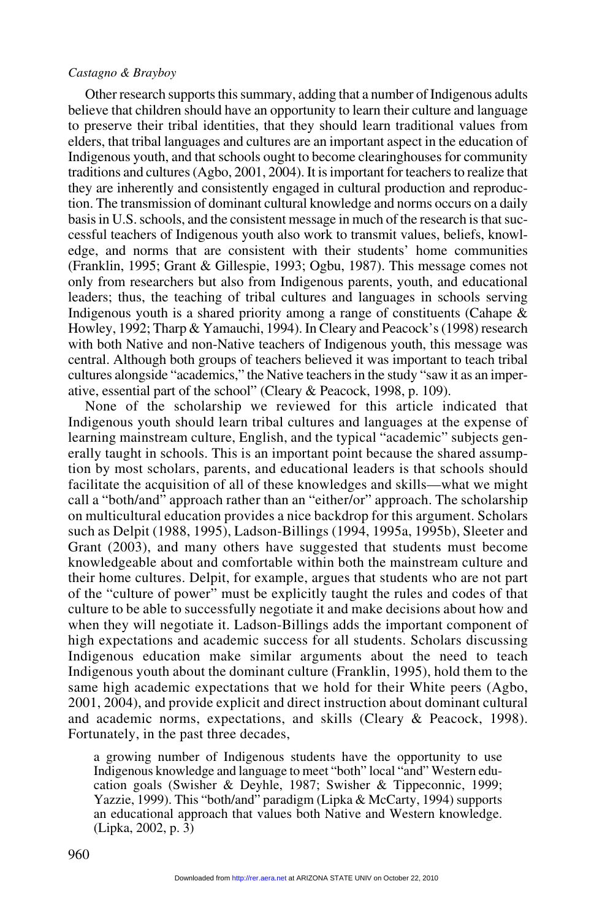Other research supports this summary, adding that a number of Indigenous adults believe that children should have an opportunity to learn their culture and language to preserve their tribal identities, that they should learn traditional values from elders, that tribal languages and cultures are an important aspect in the education of Indigenous youth, and that schools ought to become clearinghouses for community traditions and cultures (Agbo, 2001, 2004). It is important for teachers to realize that they are inherently and consistently engaged in cultural production and reproduction. The transmission of dominant cultural knowledge and norms occurs on a daily basis in U.S. schools, and the consistent message in much of the research is that successful teachers of Indigenous youth also work to transmit values, beliefs, knowledge, and norms that are consistent with their students' home communities (Franklin, 1995; Grant & Gillespie, 1993; Ogbu, 1987). This message comes not only from researchers but also from Indigenous parents, youth, and educational leaders; thus, the teaching of tribal cultures and languages in schools serving Indigenous youth is a shared priority among a range of constituents (Cahape & Howley, 1992; Tharp & Yamauchi, 1994). In Cleary and Peacock's (1998) research with both Native and non-Native teachers of Indigenous youth, this message was central. Although both groups of teachers believed it was important to teach tribal cultures alongside "academics," the Native teachers in the study "saw it as an imperative, essential part of the school" (Cleary & Peacock, 1998, p. 109).

None of the scholarship we reviewed for this article indicated that Indigenous youth should learn tribal cultures and languages at the expense of learning mainstream culture, English, and the typical "academic" subjects generally taught in schools. This is an important point because the shared assumption by most scholars, parents, and educational leaders is that schools should facilitate the acquisition of all of these knowledges and skills—what we might call a "both/and" approach rather than an "either/or" approach. The scholarship on multicultural education provides a nice backdrop for this argument. Scholars such as Delpit (1988, 1995), Ladson-Billings (1994, 1995a, 1995b), Sleeter and Grant (2003), and many others have suggested that students must become knowledgeable about and comfortable within both the mainstream culture and their home cultures. Delpit, for example, argues that students who are not part of the "culture of power" must be explicitly taught the rules and codes of that culture to be able to successfully negotiate it and make decisions about how and when they will negotiate it. Ladson-Billings adds the important component of high expectations and academic success for all students. Scholars discussing Indigenous education make similar arguments about the need to teach Indigenous youth about the dominant culture (Franklin, 1995), hold them to the same high academic expectations that we hold for their White peers (Agbo, 2001, 2004), and provide explicit and direct instruction about dominant cultural and academic norms, expectations, and skills (Cleary & Peacock, 1998). Fortunately, in the past three decades,

a growing number of Indigenous students have the opportunity to use Indigenous knowledge and language to meet "both" local "and" Western education goals (Swisher & Deyhle, 1987; Swisher & Tippeconnic, 1999; Yazzie, 1999). This "both/and" paradigm (Lipka & McCarty, 1994) supports an educational approach that values both Native and Western knowledge. (Lipka, 2002, p. 3)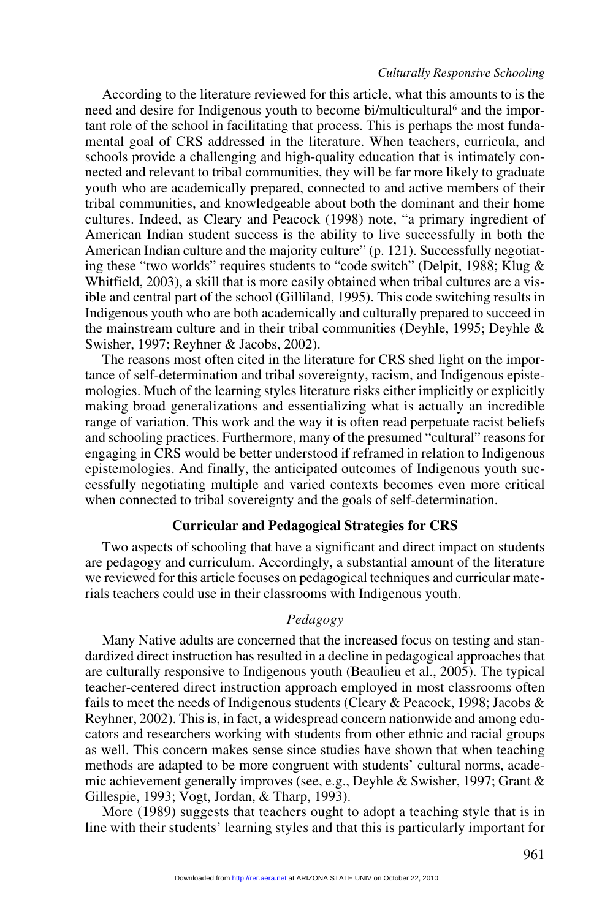#### *Culturally Responsive Schooling*

According to the literature reviewed for this article, what this amounts to is the need and desire for Indigenous youth to become bi/multicultural<sup>6</sup> and the important role of the school in facilitating that process. This is perhaps the most fundamental goal of CRS addressed in the literature. When teachers, curricula, and schools provide a challenging and high-quality education that is intimately connected and relevant to tribal communities, they will be far more likely to graduate youth who are academically prepared, connected to and active members of their tribal communities, and knowledgeable about both the dominant and their home cultures. Indeed, as Cleary and Peacock (1998) note, "a primary ingredient of American Indian student success is the ability to live successfully in both the American Indian culture and the majority culture" (p. 121). Successfully negotiating these "two worlds" requires students to "code switch" (Delpit, 1988; Klug & Whitfield, 2003), a skill that is more easily obtained when tribal cultures are a visible and central part of the school (Gilliland, 1995). This code switching results in Indigenous youth who are both academically and culturally prepared to succeed in the mainstream culture and in their tribal communities (Deyhle, 1995; Deyhle & Swisher, 1997; Reyhner & Jacobs, 2002).

The reasons most often cited in the literature for CRS shed light on the importance of self-determination and tribal sovereignty, racism, and Indigenous epistemologies. Much of the learning styles literature risks either implicitly or explicitly making broad generalizations and essentializing what is actually an incredible range of variation. This work and the way it is often read perpetuate racist beliefs and schooling practices. Furthermore, many of the presumed "cultural" reasons for engaging in CRS would be better understood if reframed in relation to Indigenous epistemologies. And finally, the anticipated outcomes of Indigenous youth successfully negotiating multiple and varied contexts becomes even more critical when connected to tribal sovereignty and the goals of self-determination.

# **Curricular and Pedagogical Strategies for CRS**

Two aspects of schooling that have a significant and direct impact on students are pedagogy and curriculum. Accordingly, a substantial amount of the literature we reviewed for this article focuses on pedagogical techniques and curricular materials teachers could use in their classrooms with Indigenous youth.

# *Pedagogy*

Many Native adults are concerned that the increased focus on testing and standardized direct instruction has resulted in a decline in pedagogical approaches that are culturally responsive to Indigenous youth (Beaulieu et al., 2005). The typical teacher-centered direct instruction approach employed in most classrooms often fails to meet the needs of Indigenous students (Cleary & Peacock, 1998; Jacobs & Reyhner, 2002). This is, in fact, a widespread concern nationwide and among educators and researchers working with students from other ethnic and racial groups as well. This concern makes sense since studies have shown that when teaching methods are adapted to be more congruent with students' cultural norms, academic achievement generally improves (see, e.g., Deyhle & Swisher, 1997; Grant & Gillespie, 1993; Vogt, Jordan, & Tharp, 1993).

More (1989) suggests that teachers ought to adopt a teaching style that is in line with their students' learning styles and that this is particularly important for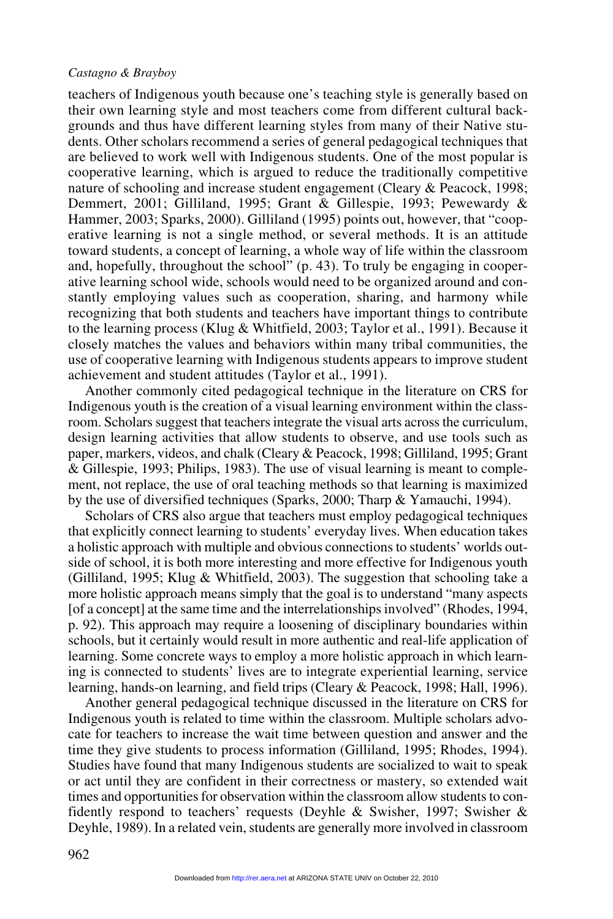teachers of Indigenous youth because one's teaching style is generally based on their own learning style and most teachers come from different cultural backgrounds and thus have different learning styles from many of their Native students. Other scholars recommend a series of general pedagogical techniques that are believed to work well with Indigenous students. One of the most popular is cooperative learning, which is argued to reduce the traditionally competitive nature of schooling and increase student engagement (Cleary & Peacock, 1998; Demmert, 2001; Gilliland, 1995; Grant & Gillespie, 1993; Pewewardy & Hammer, 2003; Sparks, 2000). Gilliland (1995) points out, however, that "cooperative learning is not a single method, or several methods. It is an attitude toward students, a concept of learning, a whole way of life within the classroom and, hopefully, throughout the school" (p. 43). To truly be engaging in cooperative learning school wide, schools would need to be organized around and constantly employing values such as cooperation, sharing, and harmony while recognizing that both students and teachers have important things to contribute to the learning process (Klug & Whitfield, 2003; Taylor et al., 1991). Because it closely matches the values and behaviors within many tribal communities, the use of cooperative learning with Indigenous students appears to improve student achievement and student attitudes (Taylor et al., 1991).

Another commonly cited pedagogical technique in the literature on CRS for Indigenous youth is the creation of a visual learning environment within the classroom. Scholars suggest that teachers integrate the visual arts across the curriculum, design learning activities that allow students to observe, and use tools such as paper, markers, videos, and chalk (Cleary & Peacock, 1998; Gilliland, 1995; Grant & Gillespie, 1993; Philips, 1983). The use of visual learning is meant to complement, not replace, the use of oral teaching methods so that learning is maximized by the use of diversified techniques (Sparks, 2000; Tharp & Yamauchi, 1994).

Scholars of CRS also argue that teachers must employ pedagogical techniques that explicitly connect learning to students' everyday lives. When education takes a holistic approach with multiple and obvious connections to students' worlds outside of school, it is both more interesting and more effective for Indigenous youth (Gilliland, 1995; Klug & Whitfield, 2003). The suggestion that schooling take a more holistic approach means simply that the goal is to understand "many aspects [of a concept] at the same time and the interrelationships involved" (Rhodes, 1994, p. 92). This approach may require a loosening of disciplinary boundaries within schools, but it certainly would result in more authentic and real-life application of learning. Some concrete ways to employ a more holistic approach in which learning is connected to students' lives are to integrate experiential learning, service learning, hands-on learning, and field trips (Cleary & Peacock, 1998; Hall, 1996).

Another general pedagogical technique discussed in the literature on CRS for Indigenous youth is related to time within the classroom. Multiple scholars advocate for teachers to increase the wait time between question and answer and the time they give students to process information (Gilliland, 1995; Rhodes, 1994). Studies have found that many Indigenous students are socialized to wait to speak or act until they are confident in their correctness or mastery, so extended wait times and opportunities for observation within the classroom allow students to confidently respond to teachers' requests (Deyhle & Swisher, 1997; Swisher & Deyhle, 1989). In a related vein, students are generally more involved in classroom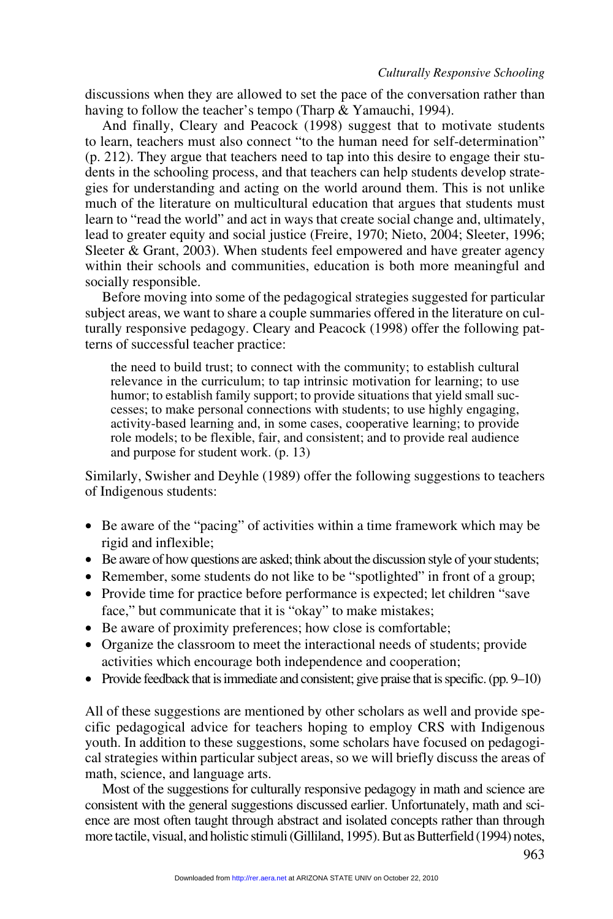discussions when they are allowed to set the pace of the conversation rather than having to follow the teacher's tempo (Tharp & Yamauchi, 1994).

And finally, Cleary and Peacock (1998) suggest that to motivate students to learn, teachers must also connect "to the human need for self-determination" (p. 212). They argue that teachers need to tap into this desire to engage their students in the schooling process, and that teachers can help students develop strategies for understanding and acting on the world around them. This is not unlike much of the literature on multicultural education that argues that students must learn to "read the world" and act in ways that create social change and, ultimately, lead to greater equity and social justice (Freire, 1970; Nieto, 2004; Sleeter, 1996; Sleeter & Grant, 2003). When students feel empowered and have greater agency within their schools and communities, education is both more meaningful and socially responsible.

Before moving into some of the pedagogical strategies suggested for particular subject areas, we want to share a couple summaries offered in the literature on culturally responsive pedagogy. Cleary and Peacock (1998) offer the following patterns of successful teacher practice:

the need to build trust; to connect with the community; to establish cultural relevance in the curriculum; to tap intrinsic motivation for learning; to use humor; to establish family support; to provide situations that yield small successes; to make personal connections with students; to use highly engaging, activity-based learning and, in some cases, cooperative learning; to provide role models; to be flexible, fair, and consistent; and to provide real audience and purpose for student work. (p. 13)

Similarly, Swisher and Deyhle (1989) offer the following suggestions to teachers of Indigenous students:

- Be aware of the "pacing" of activities within a time framework which may be rigid and inflexible;
- Be aware of how questions are asked; think about the discussion style of your students;
- Remember, some students do not like to be "spotlighted" in front of a group;
- Provide time for practice before performance is expected; let children "save" face," but communicate that it is "okay" to make mistakes;
- Be aware of proximity preferences; how close is comfortable;
- Organize the classroom to meet the interactional needs of students; provide activities which encourage both independence and cooperation;
- Provide feedback that is immediate and consistent; give praise that is specific.  $(pp. 9-10)$

All of these suggestions are mentioned by other scholars as well and provide specific pedagogical advice for teachers hoping to employ CRS with Indigenous youth. In addition to these suggestions, some scholars have focused on pedagogical strategies within particular subject areas, so we will briefly discuss the areas of math, science, and language arts.

Most of the suggestions for culturally responsive pedagogy in math and science are consistent with the general suggestions discussed earlier. Unfortunately, math and science are most often taught through abstract and isolated concepts rather than through more tactile, visual, and holistic stimuli (Gilliland, 1995). But as Butterfield (1994) notes,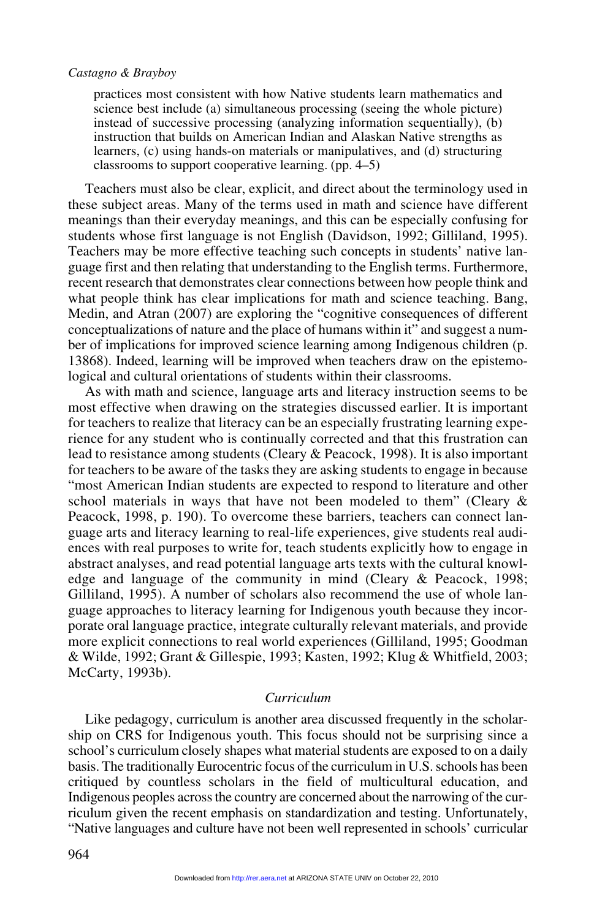practices most consistent with how Native students learn mathematics and science best include (a) simultaneous processing (seeing the whole picture) instead of successive processing (analyzing information sequentially), (b) instruction that builds on American Indian and Alaskan Native strengths as learners, (c) using hands-on materials or manipulatives, and (d) structuring classrooms to support cooperative learning. (pp. 4–5)

Teachers must also be clear, explicit, and direct about the terminology used in these subject areas. Many of the terms used in math and science have different meanings than their everyday meanings, and this can be especially confusing for students whose first language is not English (Davidson, 1992; Gilliland, 1995). Teachers may be more effective teaching such concepts in students' native language first and then relating that understanding to the English terms. Furthermore, recent research that demonstrates clear connections between how people think and what people think has clear implications for math and science teaching. Bang, Medin, and Atran (2007) are exploring the "cognitive consequences of different conceptualizations of nature and the place of humans within it" and suggest a number of implications for improved science learning among Indigenous children (p. 13868). Indeed, learning will be improved when teachers draw on the epistemological and cultural orientations of students within their classrooms.

As with math and science, language arts and literacy instruction seems to be most effective when drawing on the strategies discussed earlier. It is important for teachers to realize that literacy can be an especially frustrating learning experience for any student who is continually corrected and that this frustration can lead to resistance among students (Cleary & Peacock, 1998). It is also important for teachers to be aware of the tasks they are asking students to engage in because "most American Indian students are expected to respond to literature and other school materials in ways that have not been modeled to them" (Cleary  $\&$ Peacock, 1998, p. 190). To overcome these barriers, teachers can connect language arts and literacy learning to real-life experiences, give students real audiences with real purposes to write for, teach students explicitly how to engage in abstract analyses, and read potential language arts texts with the cultural knowledge and language of the community in mind (Cleary & Peacock, 1998; Gilliland, 1995). A number of scholars also recommend the use of whole language approaches to literacy learning for Indigenous youth because they incorporate oral language practice, integrate culturally relevant materials, and provide more explicit connections to real world experiences (Gilliland, 1995; Goodman & Wilde, 1992; Grant & Gillespie, 1993; Kasten, 1992; Klug & Whitfield, 2003; McCarty, 1993b).

# *Curriculum*

Like pedagogy, curriculum is another area discussed frequently in the scholarship on CRS for Indigenous youth. This focus should not be surprising since a school's curriculum closely shapes what material students are exposed to on a daily basis. The traditionally Eurocentric focus of the curriculum in U.S. schools has been critiqued by countless scholars in the field of multicultural education, and Indigenous peoples across the country are concerned about the narrowing of the curriculum given the recent emphasis on standardization and testing. Unfortunately, "Native languages and culture have not been well represented in schools' curricular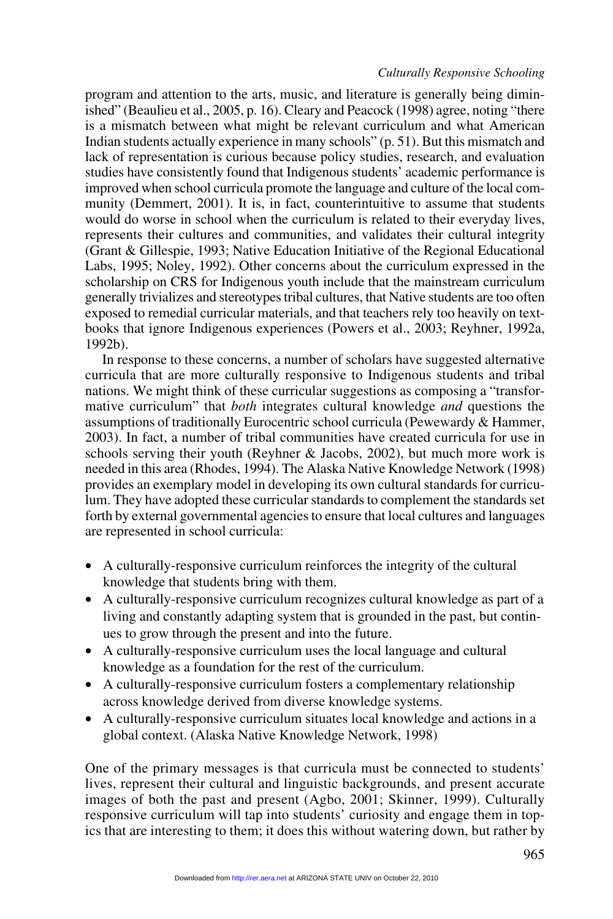program and attention to the arts, music, and literature is generally being diminished" (Beaulieu et al., 2005, p. 16). Cleary and Peacock (1998) agree, noting "there is a mismatch between what might be relevant curriculum and what American Indian students actually experience in many schools" (p. 51). But this mismatch and lack of representation is curious because policy studies, research, and evaluation studies have consistently found that Indigenous students' academic performance is improved when school curricula promote the language and culture of the local community (Demmert, 2001). It is, in fact, counterintuitive to assume that students would do worse in school when the curriculum is related to their everyday lives, represents their cultures and communities, and validates their cultural integrity (Grant & Gillespie, 1993; Native Education Initiative of the Regional Educational Labs, 1995; Noley, 1992). Other concerns about the curriculum expressed in the scholarship on CRS for Indigenous youth include that the mainstream curriculum generally trivializes and stereotypes tribal cultures, that Native students are too often exposed to remedial curricular materials, and that teachers rely too heavily on textbooks that ignore Indigenous experiences (Powers et al., 2003; Reyhner, 1992a, 1992b).

In response to these concerns, a number of scholars have suggested alternative curricula that are more culturally responsive to Indigenous students and tribal nations. We might think of these curricular suggestions as composing a "transformative curriculum" that *both* integrates cultural knowledge *and* questions the assumptions of traditionally Eurocentric school curricula (Pewewardy & Hammer, 2003). In fact, a number of tribal communities have created curricula for use in schools serving their youth (Reyhner & Jacobs, 2002), but much more work is needed in this area (Rhodes, 1994). The Alaska Native Knowledge Network (1998) provides an exemplary model in developing its own cultural standards for curriculum. They have adopted these curricular standards to complement the standards set forth by external governmental agencies to ensure that local cultures and languages are represented in school curricula:

- A culturally-responsive curriculum reinforces the integrity of the cultural knowledge that students bring with them.
- A culturally-responsive curriculum recognizes cultural knowledge as part of a living and constantly adapting system that is grounded in the past, but continues to grow through the present and into the future.
- A culturally-responsive curriculum uses the local language and cultural knowledge as a foundation for the rest of the curriculum.
- A culturally-responsive curriculum fosters a complementary relationship across knowledge derived from diverse knowledge systems.
- A culturally-responsive curriculum situates local knowledge and actions in a global context. (Alaska Native Knowledge Network, 1998)

One of the primary messages is that curricula must be connected to students' lives, represent their cultural and linguistic backgrounds, and present accurate images of both the past and present (Agbo, 2001; Skinner, 1999). Culturally responsive curriculum will tap into students' curiosity and engage them in topics that are interesting to them; it does this without watering down, but rather by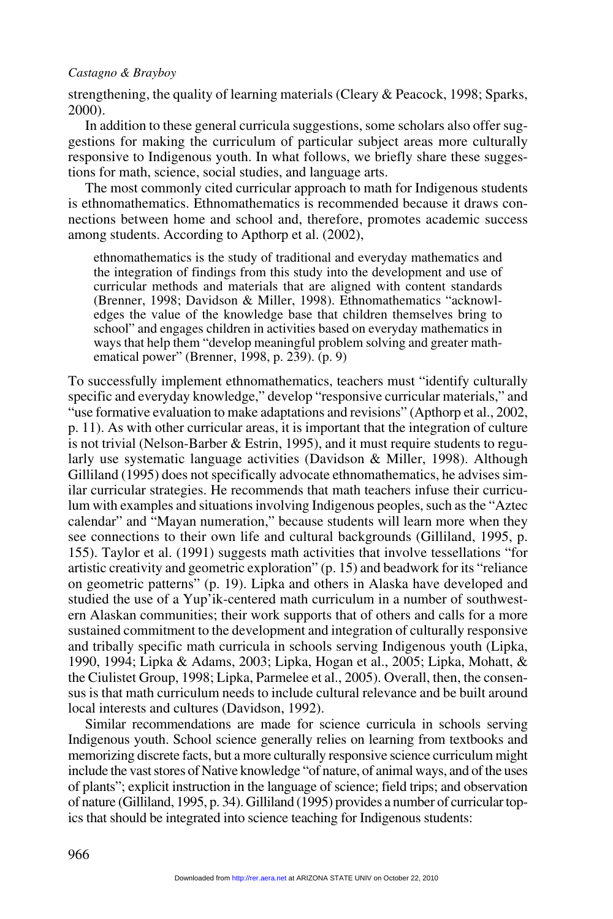strengthening, the quality of learning materials (Cleary & Peacock, 1998; Sparks, 2000).

In addition to these general curricula suggestions, some scholars also offer suggestions for making the curriculum of particular subject areas more culturally responsive to Indigenous youth. In what follows, we briefly share these suggestions for math, science, social studies, and language arts.

The most commonly cited curricular approach to math for Indigenous students is ethnomathematics. Ethnomathematics is recommended because it draws connections between home and school and, therefore, promotes academic success among students. According to Apthorp et al. (2002),

ethnomathematics is the study of traditional and everyday mathematics and the integration of findings from this study into the development and use of curricular methods and materials that are aligned with content standards (Brenner, 1998; Davidson & Miller, 1998). Ethnomathematics "acknowledges the value of the knowledge base that children themselves bring to school" and engages children in activities based on everyday mathematics in ways that help them "develop meaningful problem solving and greater mathematical power" (Brenner, 1998, p. 239). (p. 9)

To successfully implement ethnomathematics, teachers must "identify culturally specific and everyday knowledge," develop "responsive curricular materials," and "use formative evaluation to make adaptations and revisions" (Apthorp et al., 2002, p. 11). As with other curricular areas, it is important that the integration of culture is not trivial (Nelson-Barber & Estrin, 1995), and it must require students to regularly use systematic language activities (Davidson & Miller, 1998). Although Gilliland (1995) does not specifically advocate ethnomathematics, he advises similar curricular strategies. He recommends that math teachers infuse their curriculum with examples and situations involving Indigenous peoples, such as the "Aztec calendar" and "Mayan numeration," because students will learn more when they see connections to their own life and cultural backgrounds (Gilliland, 1995, p. 155). Taylor et al. (1991) suggests math activities that involve tessellations "for artistic creativity and geometric exploration" (p. 15) and beadwork for its "reliance on geometric patterns" (p. 19). Lipka and others in Alaska have developed and studied the use of a Yup'ik-centered math curriculum in a number of southwestern Alaskan communities; their work supports that of others and calls for a more sustained commitment to the development and integration of culturally responsive and tribally specific math curricula in schools serving Indigenous youth (Lipka, 1990, 1994; Lipka & Adams, 2003; Lipka, Hogan et al., 2005; Lipka, Mohatt, & the Ciulistet Group, 1998; Lipka, Parmelee et al., 2005). Overall, then, the consensus is that math curriculum needs to include cultural relevance and be built around local interests and cultures (Davidson, 1992).

Similar recommendations are made for science curricula in schools serving Indigenous youth. School science generally relies on learning from textbooks and memorizing discrete facts, but a more culturally responsive science curriculum might include the vast stores of Native knowledge "of nature, of animal ways, and of the uses of plants"; explicit instruction in the language of science; field trips; and observation of nature (Gilliland, 1995, p. 34). Gilliland (1995) provides a number of curricular topics that should be integrated into science teaching for Indigenous students: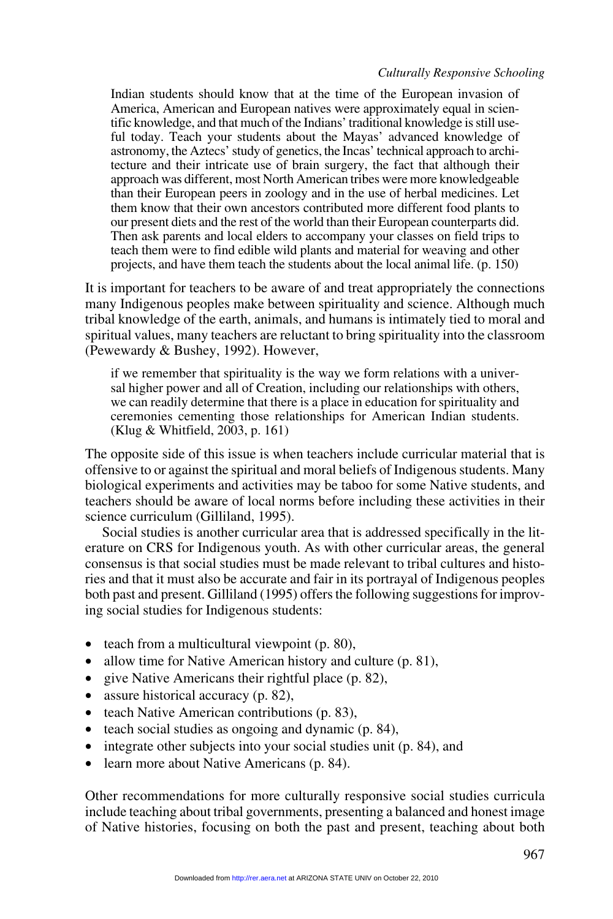Indian students should know that at the time of the European invasion of America, American and European natives were approximately equal in scientific knowledge, and that much of the Indians' traditional knowledge is still useful today. Teach your students about the Mayas' advanced knowledge of astronomy, the Aztecs' study of genetics, the Incas' technical approach to architecture and their intricate use of brain surgery, the fact that although their approach was different, most North American tribes were more knowledgeable than their European peers in zoology and in the use of herbal medicines. Let them know that their own ancestors contributed more different food plants to our present diets and the rest of the world than their European counterparts did. Then ask parents and local elders to accompany your classes on field trips to teach them were to find edible wild plants and material for weaving and other projects, and have them teach the students about the local animal life. (p. 150)

It is important for teachers to be aware of and treat appropriately the connections many Indigenous peoples make between spirituality and science. Although much tribal knowledge of the earth, animals, and humans is intimately tied to moral and spiritual values, many teachers are reluctant to bring spirituality into the classroom (Pewewardy & Bushey, 1992). However,

if we remember that spirituality is the way we form relations with a universal higher power and all of Creation, including our relationships with others, we can readily determine that there is a place in education for spirituality and ceremonies cementing those relationships for American Indian students. (Klug & Whitfield, 2003, p. 161)

The opposite side of this issue is when teachers include curricular material that is offensive to or against the spiritual and moral beliefs of Indigenous students. Many biological experiments and activities may be taboo for some Native students, and teachers should be aware of local norms before including these activities in their science curriculum (Gilliland, 1995).

Social studies is another curricular area that is addressed specifically in the literature on CRS for Indigenous youth. As with other curricular areas, the general consensus is that social studies must be made relevant to tribal cultures and histories and that it must also be accurate and fair in its portrayal of Indigenous peoples both past and present. Gilliland (1995) offers the following suggestions for improving social studies for Indigenous students:

- teach from a multicultural viewpoint (p. 80),
- allow time for Native American history and culture (p. 81),
- give Native Americans their rightful place (p. 82),
- assure historical accuracy (p. 82),
- teach Native American contributions (p. 83),
- teach social studies as ongoing and dynamic (p. 84),
- integrate other subjects into your social studies unit (p. 84), and
- learn more about Native Americans (p. 84).

Other recommendations for more culturally responsive social studies curricula include teaching about tribal governments, presenting a balanced and honest image of Native histories, focusing on both the past and present, teaching about both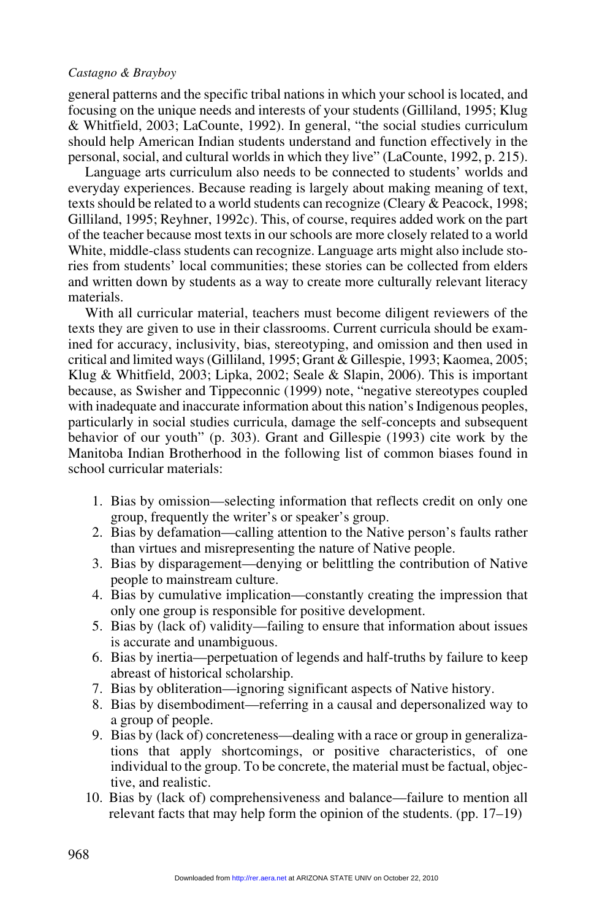general patterns and the specific tribal nations in which your school is located, and focusing on the unique needs and interests of your students (Gilliland, 1995; Klug & Whitfield, 2003; LaCounte, 1992). In general, "the social studies curriculum should help American Indian students understand and function effectively in the personal, social, and cultural worlds in which they live" (LaCounte, 1992, p. 215).

Language arts curriculum also needs to be connected to students' worlds and everyday experiences. Because reading is largely about making meaning of text, texts should be related to a world students can recognize (Cleary & Peacock, 1998; Gilliland, 1995; Reyhner, 1992c). This, of course, requires added work on the part of the teacher because most texts in our schools are more closely related to a world White, middle-class students can recognize. Language arts might also include stories from students' local communities; these stories can be collected from elders and written down by students as a way to create more culturally relevant literacy materials.

With all curricular material, teachers must become diligent reviewers of the texts they are given to use in their classrooms. Current curricula should be examined for accuracy, inclusivity, bias, stereotyping, and omission and then used in critical and limited ways (Gilliland, 1995; Grant & Gillespie, 1993; Kaomea, 2005; Klug & Whitfield, 2003; Lipka, 2002; Seale & Slapin, 2006). This is important because, as Swisher and Tippeconnic (1999) note, "negative stereotypes coupled with inadequate and inaccurate information about this nation's Indigenous peoples, particularly in social studies curricula, damage the self-concepts and subsequent behavior of our youth" (p. 303). Grant and Gillespie (1993) cite work by the Manitoba Indian Brotherhood in the following list of common biases found in school curricular materials:

- 1. Bias by omission—selecting information that reflects credit on only one group, frequently the writer's or speaker's group.
- 2. Bias by defamation—calling attention to the Native person's faults rather than virtues and misrepresenting the nature of Native people.
- 3. Bias by disparagement—denying or belittling the contribution of Native people to mainstream culture.
- 4. Bias by cumulative implication—constantly creating the impression that only one group is responsible for positive development.
- 5. Bias by (lack of) validity—failing to ensure that information about issues is accurate and unambiguous.
- 6. Bias by inertia—perpetuation of legends and half-truths by failure to keep abreast of historical scholarship.
- 7. Bias by obliteration—ignoring significant aspects of Native history.
- 8. Bias by disembodiment—referring in a causal and depersonalized way to a group of people.
- 9. Bias by (lack of) concreteness—dealing with a race or group in generalizations that apply shortcomings, or positive characteristics, of one individual to the group. To be concrete, the material must be factual, objective, and realistic.
- 10. Bias by (lack of) comprehensiveness and balance—failure to mention all relevant facts that may help form the opinion of the students. (pp. 17–19)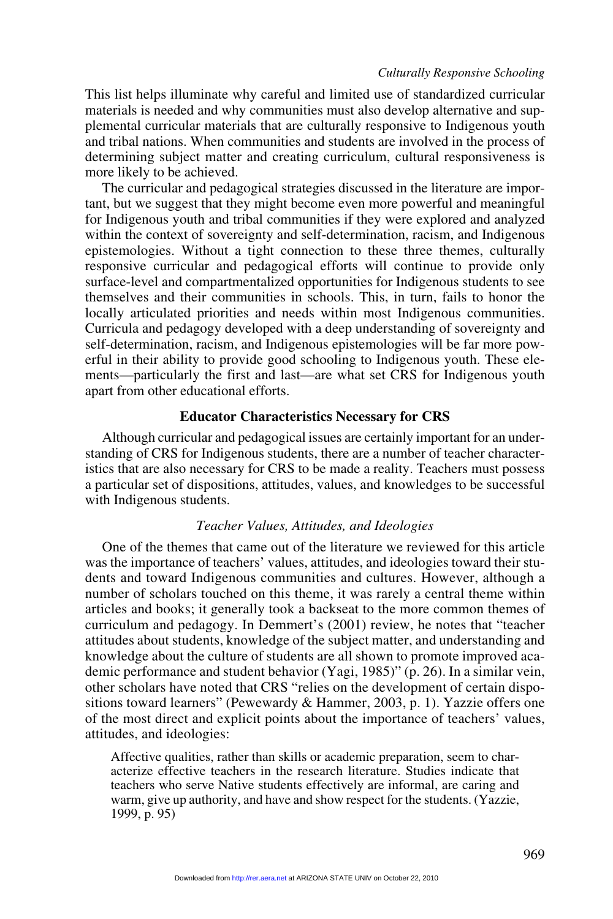This list helps illuminate why careful and limited use of standardized curricular materials is needed and why communities must also develop alternative and supplemental curricular materials that are culturally responsive to Indigenous youth and tribal nations. When communities and students are involved in the process of determining subject matter and creating curriculum, cultural responsiveness is more likely to be achieved.

The curricular and pedagogical strategies discussed in the literature are important, but we suggest that they might become even more powerful and meaningful for Indigenous youth and tribal communities if they were explored and analyzed within the context of sovereignty and self-determination, racism, and Indigenous epistemologies. Without a tight connection to these three themes, culturally responsive curricular and pedagogical efforts will continue to provide only surface-level and compartmentalized opportunities for Indigenous students to see themselves and their communities in schools. This, in turn, fails to honor the locally articulated priorities and needs within most Indigenous communities. Curricula and pedagogy developed with a deep understanding of sovereignty and self-determination, racism, and Indigenous epistemologies will be far more powerful in their ability to provide good schooling to Indigenous youth. These elements—particularly the first and last—are what set CRS for Indigenous youth apart from other educational efforts.

# **Educator Characteristics Necessary for CRS**

Although curricular and pedagogical issues are certainly important for an understanding of CRS for Indigenous students, there are a number of teacher characteristics that are also necessary for CRS to be made a reality. Teachers must possess a particular set of dispositions, attitudes, values, and knowledges to be successful with Indigenous students.

# *Teacher Values, Attitudes, and Ideologies*

One of the themes that came out of the literature we reviewed for this article was the importance of teachers' values, attitudes, and ideologies toward their students and toward Indigenous communities and cultures. However, although a number of scholars touched on this theme, it was rarely a central theme within articles and books; it generally took a backseat to the more common themes of curriculum and pedagogy. In Demmert's (2001) review, he notes that "teacher attitudes about students, knowledge of the subject matter, and understanding and knowledge about the culture of students are all shown to promote improved academic performance and student behavior (Yagi, 1985)" (p. 26). In a similar vein, other scholars have noted that CRS "relies on the development of certain dispositions toward learners" (Pewewardy  $&$  Hammer, 2003, p. 1). Yazzie offers one of the most direct and explicit points about the importance of teachers' values, attitudes, and ideologies:

Affective qualities, rather than skills or academic preparation, seem to characterize effective teachers in the research literature. Studies indicate that teachers who serve Native students effectively are informal, are caring and warm, give up authority, and have and show respect for the students. (Yazzie, 1999, p. 95)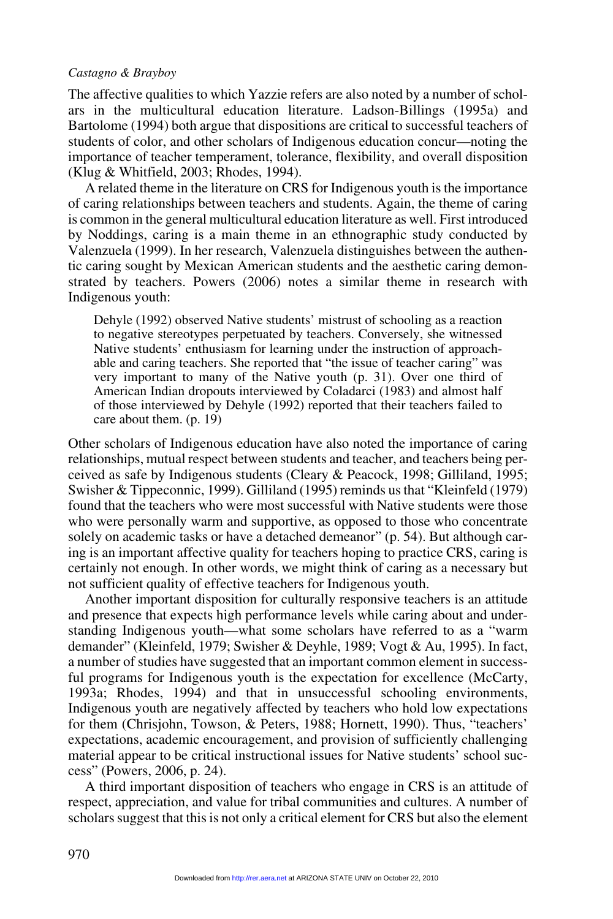The affective qualities to which Yazzie refers are also noted by a number of scholars in the multicultural education literature. Ladson-Billings (1995a) and Bartolome (1994) both argue that dispositions are critical to successful teachers of students of color, and other scholars of Indigenous education concur—noting the importance of teacher temperament, tolerance, flexibility, and overall disposition (Klug & Whitfield, 2003; Rhodes, 1994).

A related theme in the literature on CRS for Indigenous youth is the importance of caring relationships between teachers and students. Again, the theme of caring is common in the general multicultural education literature as well. First introduced by Noddings, caring is a main theme in an ethnographic study conducted by Valenzuela (1999). In her research, Valenzuela distinguishes between the authentic caring sought by Mexican American students and the aesthetic caring demonstrated by teachers. Powers (2006) notes a similar theme in research with Indigenous youth:

Dehyle (1992) observed Native students' mistrust of schooling as a reaction to negative stereotypes perpetuated by teachers. Conversely, she witnessed Native students' enthusiasm for learning under the instruction of approachable and caring teachers. She reported that "the issue of teacher caring" was very important to many of the Native youth (p. 31). Over one third of American Indian dropouts interviewed by Coladarci (1983) and almost half of those interviewed by Dehyle (1992) reported that their teachers failed to care about them.  $(p. 19)$ 

Other scholars of Indigenous education have also noted the importance of caring relationships, mutual respect between students and teacher, and teachers being perceived as safe by Indigenous students (Cleary & Peacock, 1998; Gilliland, 1995; Swisher & Tippeconnic, 1999). Gilliland (1995) reminds us that "Kleinfeld (1979) found that the teachers who were most successful with Native students were those who were personally warm and supportive, as opposed to those who concentrate solely on academic tasks or have a detached demeanor" (p. 54). But although caring is an important affective quality for teachers hoping to practice CRS, caring is certainly not enough. In other words, we might think of caring as a necessary but not sufficient quality of effective teachers for Indigenous youth.

Another important disposition for culturally responsive teachers is an attitude and presence that expects high performance levels while caring about and understanding Indigenous youth—what some scholars have referred to as a "warm demander" (Kleinfeld, 1979; Swisher & Deyhle, 1989; Vogt & Au, 1995). In fact, a number of studies have suggested that an important common element in successful programs for Indigenous youth is the expectation for excellence (McCarty, 1993a; Rhodes, 1994) and that in unsuccessful schooling environments, Indigenous youth are negatively affected by teachers who hold low expectations for them (Chrisjohn, Towson, & Peters, 1988; Hornett, 1990). Thus, "teachers' expectations, academic encouragement, and provision of sufficiently challenging material appear to be critical instructional issues for Native students' school success" (Powers, 2006, p. 24).

A third important disposition of teachers who engage in CRS is an attitude of respect, appreciation, and value for tribal communities and cultures. A number of scholars suggest that this is not only a critical element for CRS but also the element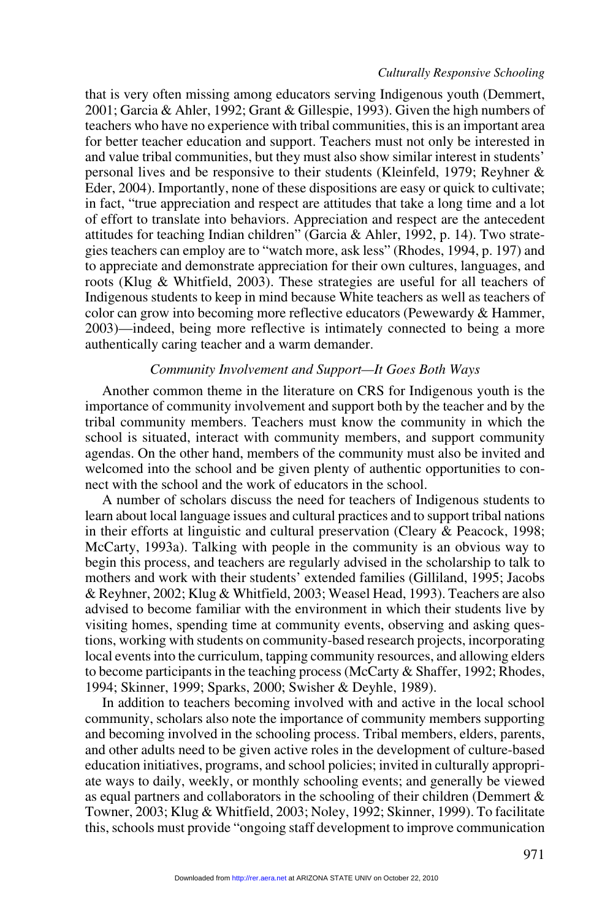#### *Culturally Responsive Schooling*

that is very often missing among educators serving Indigenous youth (Demmert, 2001; Garcia & Ahler, 1992; Grant & Gillespie, 1993). Given the high numbers of teachers who have no experience with tribal communities, this is an important area for better teacher education and support. Teachers must not only be interested in and value tribal communities, but they must also show similar interest in students' personal lives and be responsive to their students (Kleinfeld, 1979; Reyhner & Eder, 2004). Importantly, none of these dispositions are easy or quick to cultivate; in fact, "true appreciation and respect are attitudes that take a long time and a lot of effort to translate into behaviors. Appreciation and respect are the antecedent attitudes for teaching Indian children" (Garcia & Ahler, 1992, p. 14). Two strategies teachers can employ are to "watch more, ask less" (Rhodes, 1994, p. 197) and to appreciate and demonstrate appreciation for their own cultures, languages, and roots (Klug & Whitfield, 2003). These strategies are useful for all teachers of Indigenous students to keep in mind because White teachers as well as teachers of color can grow into becoming more reflective educators (Pewewardy & Hammer, 2003)—indeed, being more reflective is intimately connected to being a more authentically caring teacher and a warm demander.

# *Community Involvement and Support—It Goes Both Ways*

Another common theme in the literature on CRS for Indigenous youth is the importance of community involvement and support both by the teacher and by the tribal community members. Teachers must know the community in which the school is situated, interact with community members, and support community agendas. On the other hand, members of the community must also be invited and welcomed into the school and be given plenty of authentic opportunities to connect with the school and the work of educators in the school.

A number of scholars discuss the need for teachers of Indigenous students to learn about local language issues and cultural practices and to support tribal nations in their efforts at linguistic and cultural preservation (Cleary & Peacock, 1998; McCarty, 1993a). Talking with people in the community is an obvious way to begin this process, and teachers are regularly advised in the scholarship to talk to mothers and work with their students' extended families (Gilliland, 1995; Jacobs & Reyhner, 2002; Klug & Whitfield, 2003; Weasel Head, 1993). Teachers are also advised to become familiar with the environment in which their students live by visiting homes, spending time at community events, observing and asking questions, working with students on community-based research projects, incorporating local events into the curriculum, tapping community resources, and allowing elders to become participants in the teaching process (McCarty & Shaffer, 1992; Rhodes, 1994; Skinner, 1999; Sparks, 2000; Swisher & Deyhle, 1989).

In addition to teachers becoming involved with and active in the local school community, scholars also note the importance of community members supporting and becoming involved in the schooling process. Tribal members, elders, parents, and other adults need to be given active roles in the development of culture-based education initiatives, programs, and school policies; invited in culturally appropriate ways to daily, weekly, or monthly schooling events; and generally be viewed as equal partners and collaborators in the schooling of their children (Demmert & Towner, 2003; Klug & Whitfield, 2003; Noley, 1992; Skinner, 1999). To facilitate this, schools must provide "ongoing staff development to improve communication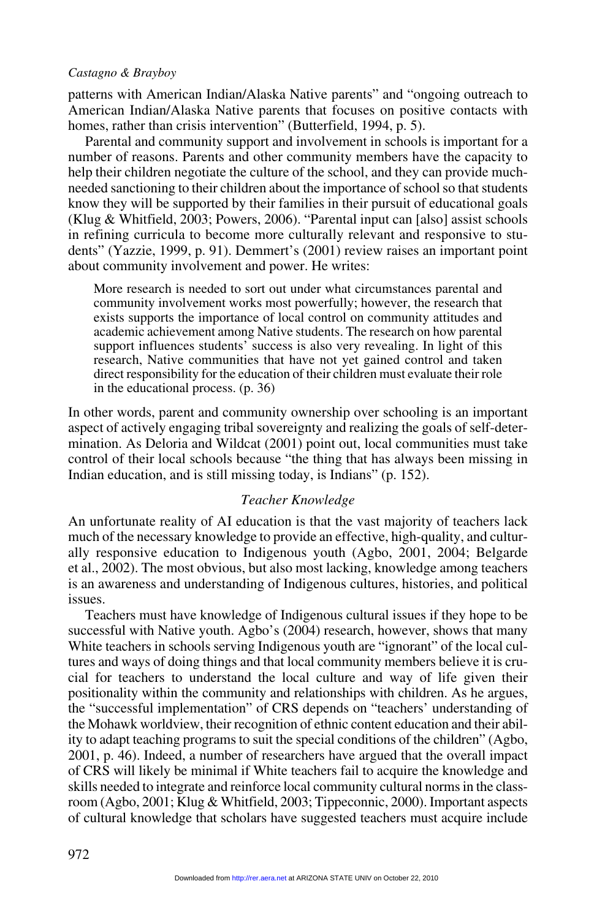patterns with American Indian/Alaska Native parents" and "ongoing outreach to American Indian/Alaska Native parents that focuses on positive contacts with homes, rather than crisis intervention" (Butterfield, 1994, p. 5).

Parental and community support and involvement in schools is important for a number of reasons. Parents and other community members have the capacity to help their children negotiate the culture of the school, and they can provide muchneeded sanctioning to their children about the importance of school so that students know they will be supported by their families in their pursuit of educational goals (Klug & Whitfield, 2003; Powers, 2006). "Parental input can [also] assist schools in refining curricula to become more culturally relevant and responsive to students" (Yazzie, 1999, p. 91). Demmert's (2001) review raises an important point about community involvement and power. He writes:

More research is needed to sort out under what circumstances parental and community involvement works most powerfully; however, the research that exists supports the importance of local control on community attitudes and academic achievement among Native students. The research on how parental support influences students' success is also very revealing. In light of this research, Native communities that have not yet gained control and taken direct responsibility for the education of their children must evaluate their role in the educational process. (p. 36)

In other words, parent and community ownership over schooling is an important aspect of actively engaging tribal sovereignty and realizing the goals of self-determination. As Deloria and Wildcat (2001) point out, local communities must take control of their local schools because "the thing that has always been missing in Indian education, and is still missing today, is Indians" (p. 152).

# *Teacher Knowledge*

An unfortunate reality of AI education is that the vast majority of teachers lack much of the necessary knowledge to provide an effective, high-quality, and culturally responsive education to Indigenous youth (Agbo, 2001, 2004; Belgarde et al., 2002). The most obvious, but also most lacking, knowledge among teachers is an awareness and understanding of Indigenous cultures, histories, and political issues.

Teachers must have knowledge of Indigenous cultural issues if they hope to be successful with Native youth. Agbo's (2004) research, however, shows that many White teachers in schools serving Indigenous youth are "ignorant" of the local cultures and ways of doing things and that local community members believe it is crucial for teachers to understand the local culture and way of life given their positionality within the community and relationships with children. As he argues, the "successful implementation" of CRS depends on "teachers' understanding of the Mohawk worldview, their recognition of ethnic content education and their ability to adapt teaching programs to suit the special conditions of the children" (Agbo, 2001, p. 46). Indeed, a number of researchers have argued that the overall impact of CRS will likely be minimal if White teachers fail to acquire the knowledge and skills needed to integrate and reinforce local community cultural norms in the classroom (Agbo, 2001; Klug & Whitfield, 2003; Tippeconnic, 2000). Important aspects of cultural knowledge that scholars have suggested teachers must acquire include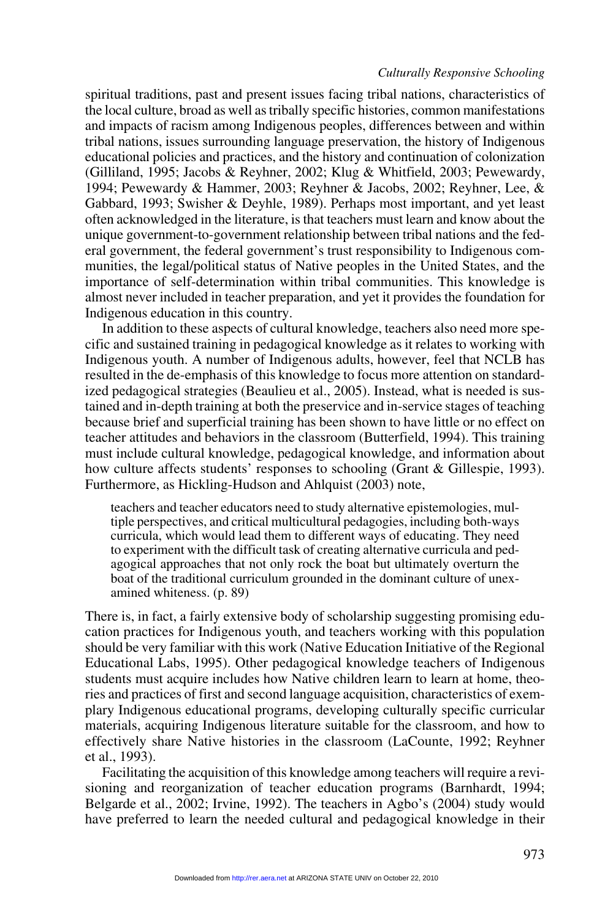# *Culturally Responsive Schooling*

spiritual traditions, past and present issues facing tribal nations, characteristics of the local culture, broad as well as tribally specific histories, common manifestations and impacts of racism among Indigenous peoples, differences between and within tribal nations, issues surrounding language preservation, the history of Indigenous educational policies and practices, and the history and continuation of colonization (Gilliland, 1995; Jacobs & Reyhner, 2002; Klug & Whitfield, 2003; Pewewardy, 1994; Pewewardy & Hammer, 2003; Reyhner & Jacobs, 2002; Reyhner, Lee, & Gabbard, 1993; Swisher & Deyhle, 1989). Perhaps most important, and yet least often acknowledged in the literature, is that teachers must learn and know about the unique government-to-government relationship between tribal nations and the federal government, the federal government's trust responsibility to Indigenous communities, the legal/political status of Native peoples in the United States, and the importance of self-determination within tribal communities. This knowledge is almost never included in teacher preparation, and yet it provides the foundation for Indigenous education in this country.

In addition to these aspects of cultural knowledge, teachers also need more specific and sustained training in pedagogical knowledge as it relates to working with Indigenous youth. A number of Indigenous adults, however, feel that NCLB has resulted in the de-emphasis of this knowledge to focus more attention on standardized pedagogical strategies (Beaulieu et al., 2005). Instead, what is needed is sustained and in-depth training at both the preservice and in-service stages of teaching because brief and superficial training has been shown to have little or no effect on teacher attitudes and behaviors in the classroom (Butterfield, 1994). This training must include cultural knowledge, pedagogical knowledge, and information about how culture affects students' responses to schooling (Grant & Gillespie, 1993). Furthermore, as Hickling-Hudson and Ahlquist (2003) note,

teachers and teacher educators need to study alternative epistemologies, multiple perspectives, and critical multicultural pedagogies, including both-ways curricula, which would lead them to different ways of educating. They need to experiment with the difficult task of creating alternative curricula and pedagogical approaches that not only rock the boat but ultimately overturn the boat of the traditional curriculum grounded in the dominant culture of unexamined whiteness. (p. 89)

There is, in fact, a fairly extensive body of scholarship suggesting promising education practices for Indigenous youth, and teachers working with this population should be very familiar with this work (Native Education Initiative of the Regional Educational Labs, 1995). Other pedagogical knowledge teachers of Indigenous students must acquire includes how Native children learn to learn at home, theories and practices of first and second language acquisition, characteristics of exemplary Indigenous educational programs, developing culturally specific curricular materials, acquiring Indigenous literature suitable for the classroom, and how to effectively share Native histories in the classroom (LaCounte, 1992; Reyhner et al., 1993).

Facilitating the acquisition of this knowledge among teachers will require a revisioning and reorganization of teacher education programs (Barnhardt, 1994; Belgarde et al., 2002; Irvine, 1992). The teachers in Agbo's (2004) study would have preferred to learn the needed cultural and pedagogical knowledge in their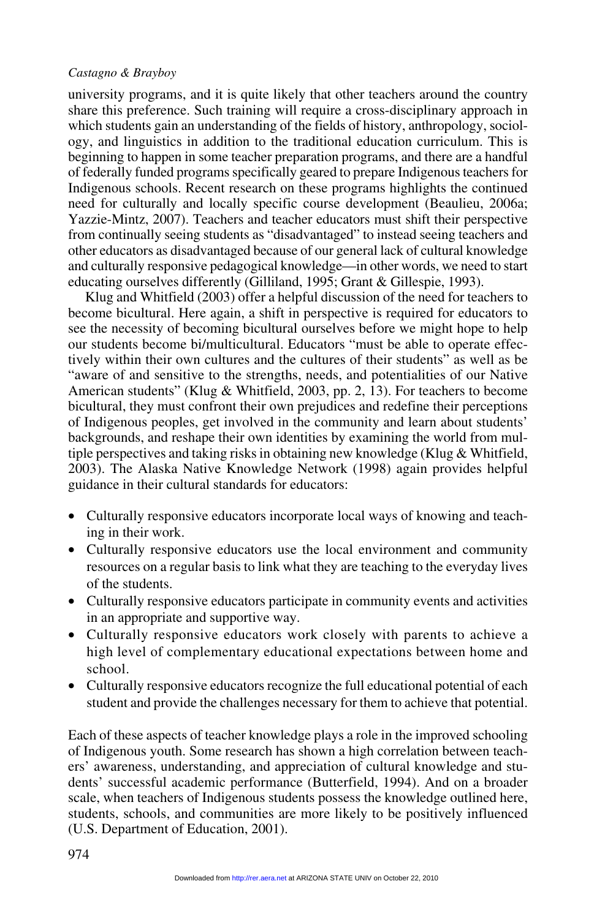university programs, and it is quite likely that other teachers around the country share this preference. Such training will require a cross-disciplinary approach in which students gain an understanding of the fields of history, anthropology, sociology, and linguistics in addition to the traditional education curriculum. This is beginning to happen in some teacher preparation programs, and there are a handful of federally funded programs specifically geared to prepare Indigenous teachers for Indigenous schools. Recent research on these programs highlights the continued need for culturally and locally specific course development (Beaulieu, 2006a; Yazzie-Mintz, 2007). Teachers and teacher educators must shift their perspective from continually seeing students as "disadvantaged" to instead seeing teachers and other educators as disadvantaged because of our general lack of cultural knowledge and culturally responsive pedagogical knowledge—in other words, we need to start educating ourselves differently (Gilliland, 1995; Grant & Gillespie, 1993).

Klug and Whitfield (2003) offer a helpful discussion of the need for teachers to become bicultural. Here again, a shift in perspective is required for educators to see the necessity of becoming bicultural ourselves before we might hope to help our students become bi/multicultural. Educators "must be able to operate effectively within their own cultures and the cultures of their students" as well as be "aware of and sensitive to the strengths, needs, and potentialities of our Native American students" (Klug & Whitfield, 2003, pp. 2, 13). For teachers to become bicultural, they must confront their own prejudices and redefine their perceptions of Indigenous peoples, get involved in the community and learn about students' backgrounds, and reshape their own identities by examining the world from multiple perspectives and taking risks in obtaining new knowledge (Klug & Whitfield, 2003). The Alaska Native Knowledge Network (1998) again provides helpful guidance in their cultural standards for educators:

- Culturally responsive educators incorporate local ways of knowing and teaching in their work.
- Culturally responsive educators use the local environment and community resources on a regular basis to link what they are teaching to the everyday lives of the students.
- Culturally responsive educators participate in community events and activities in an appropriate and supportive way.
- Culturally responsive educators work closely with parents to achieve a high level of complementary educational expectations between home and school.
- Culturally responsive educators recognize the full educational potential of each student and provide the challenges necessary for them to achieve that potential.

Each of these aspects of teacher knowledge plays a role in the improved schooling of Indigenous youth. Some research has shown a high correlation between teachers' awareness, understanding, and appreciation of cultural knowledge and students' successful academic performance (Butterfield, 1994). And on a broader scale, when teachers of Indigenous students possess the knowledge outlined here, students, schools, and communities are more likely to be positively influenced (U.S. Department of Education, 2001).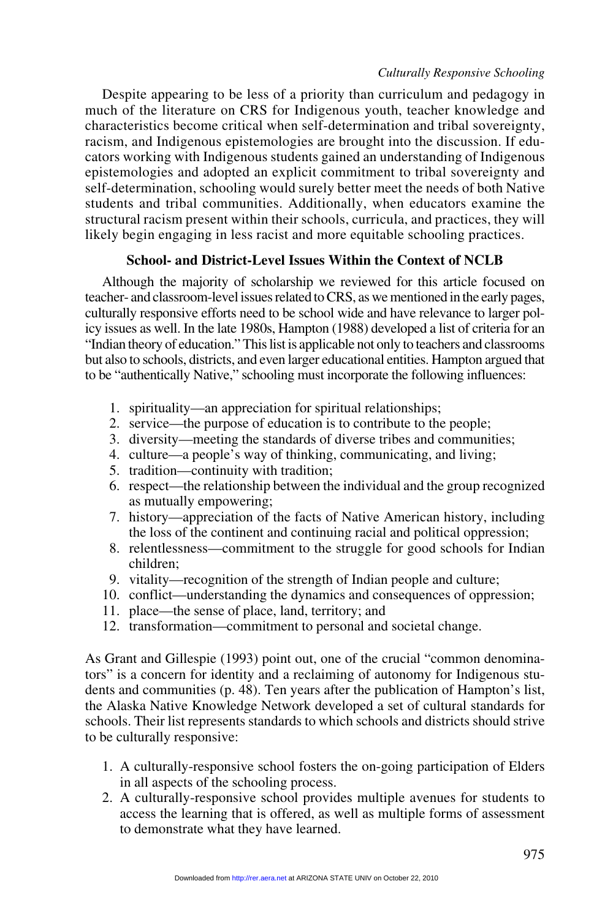Despite appearing to be less of a priority than curriculum and pedagogy in much of the literature on CRS for Indigenous youth, teacher knowledge and characteristics become critical when self-determination and tribal sovereignty, racism, and Indigenous epistemologies are brought into the discussion. If educators working with Indigenous students gained an understanding of Indigenous epistemologies and adopted an explicit commitment to tribal sovereignty and self-determination, schooling would surely better meet the needs of both Native students and tribal communities. Additionally, when educators examine the structural racism present within their schools, curricula, and practices, they will likely begin engaging in less racist and more equitable schooling practices.

# **School- and District-Level Issues Within the Context of NCLB**

Although the majority of scholarship we reviewed for this article focused on teacher- and classroom-level issues related to CRS, as we mentioned in the early pages, culturally responsive efforts need to be school wide and have relevance to larger policy issues as well. In the late 1980s, Hampton (1988) developed a list of criteria for an "Indian theory of education." This list is applicable not only to teachers and classrooms but also to schools, districts, and even larger educational entities. Hampton argued that to be "authentically Native," schooling must incorporate the following influences:

- 1. spirituality—an appreciation for spiritual relationships;
- 2. service—the purpose of education is to contribute to the people;
- 3. diversity—meeting the standards of diverse tribes and communities;
- 4. culture—a people's way of thinking, communicating, and living;
- 5. tradition—continuity with tradition;
- 6. respect—the relationship between the individual and the group recognized as mutually empowering;
- 7. history—appreciation of the facts of Native American history, including the loss of the continent and continuing racial and political oppression;
- 8. relentlessness—commitment to the struggle for good schools for Indian children;
- 9. vitality—recognition of the strength of Indian people and culture;
- 10. conflict—understanding the dynamics and consequences of oppression;
- 11. place—the sense of place, land, territory; and
- 12. transformation—commitment to personal and societal change.

As Grant and Gillespie (1993) point out, one of the crucial "common denominators" is a concern for identity and a reclaiming of autonomy for Indigenous students and communities (p. 48). Ten years after the publication of Hampton's list, the Alaska Native Knowledge Network developed a set of cultural standards for schools. Their list represents standards to which schools and districts should strive to be culturally responsive:

- 1. A culturally-responsive school fosters the on-going participation of Elders in all aspects of the schooling process.
- 2. A culturally-responsive school provides multiple avenues for students to access the learning that is offered, as well as multiple forms of assessment to demonstrate what they have learned.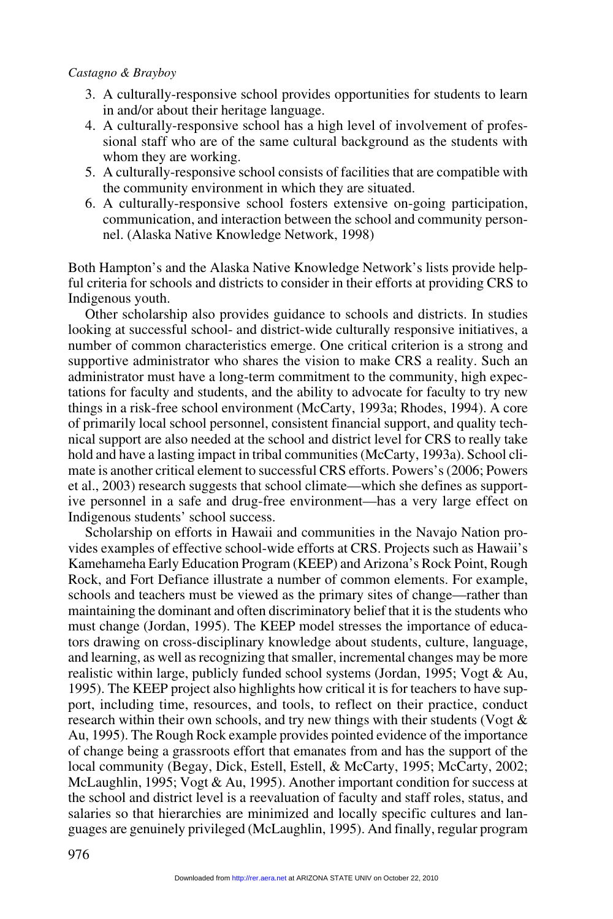- 3. A culturally-responsive school provides opportunities for students to learn in and/or about their heritage language.
- 4. A culturally-responsive school has a high level of involvement of professional staff who are of the same cultural background as the students with whom they are working.
- 5. A culturally-responsive school consists of facilities that are compatible with the community environment in which they are situated.
- 6. A culturally-responsive school fosters extensive on-going participation, communication, and interaction between the school and community personnel. (Alaska Native Knowledge Network, 1998)

Both Hampton's and the Alaska Native Knowledge Network's lists provide helpful criteria for schools and districts to consider in their efforts at providing CRS to Indigenous youth.

Other scholarship also provides guidance to schools and districts. In studies looking at successful school- and district-wide culturally responsive initiatives, a number of common characteristics emerge. One critical criterion is a strong and supportive administrator who shares the vision to make CRS a reality. Such an administrator must have a long-term commitment to the community, high expectations for faculty and students, and the ability to advocate for faculty to try new things in a risk-free school environment (McCarty, 1993a; Rhodes, 1994). A core of primarily local school personnel, consistent financial support, and quality technical support are also needed at the school and district level for CRS to really take hold and have a lasting impact in tribal communities (McCarty, 1993a). School climate is another critical element to successful CRS efforts. Powers's (2006; Powers et al., 2003) research suggests that school climate—which she defines as supportive personnel in a safe and drug-free environment—has a very large effect on Indigenous students' school success.

Scholarship on efforts in Hawaii and communities in the Navajo Nation provides examples of effective school-wide efforts at CRS. Projects such as Hawaii's Kamehameha Early Education Program (KEEP) and Arizona's Rock Point, Rough Rock, and Fort Defiance illustrate a number of common elements. For example, schools and teachers must be viewed as the primary sites of change—rather than maintaining the dominant and often discriminatory belief that it is the students who must change (Jordan, 1995). The KEEP model stresses the importance of educators drawing on cross-disciplinary knowledge about students, culture, language, and learning, as well as recognizing that smaller, incremental changes may be more realistic within large, publicly funded school systems (Jordan, 1995; Vogt & Au, 1995). The KEEP project also highlights how critical it is for teachers to have support, including time, resources, and tools, to reflect on their practice, conduct research within their own schools, and try new things with their students (Vogt  $\&$ Au, 1995). The Rough Rock example provides pointed evidence of the importance of change being a grassroots effort that emanates from and has the support of the local community (Begay, Dick, Estell, Estell, & McCarty, 1995; McCarty, 2002; McLaughlin, 1995; Vogt & Au, 1995). Another important condition for success at the school and district level is a reevaluation of faculty and staff roles, status, and salaries so that hierarchies are minimized and locally specific cultures and languages are genuinely privileged (McLaughlin, 1995). And finally, regular program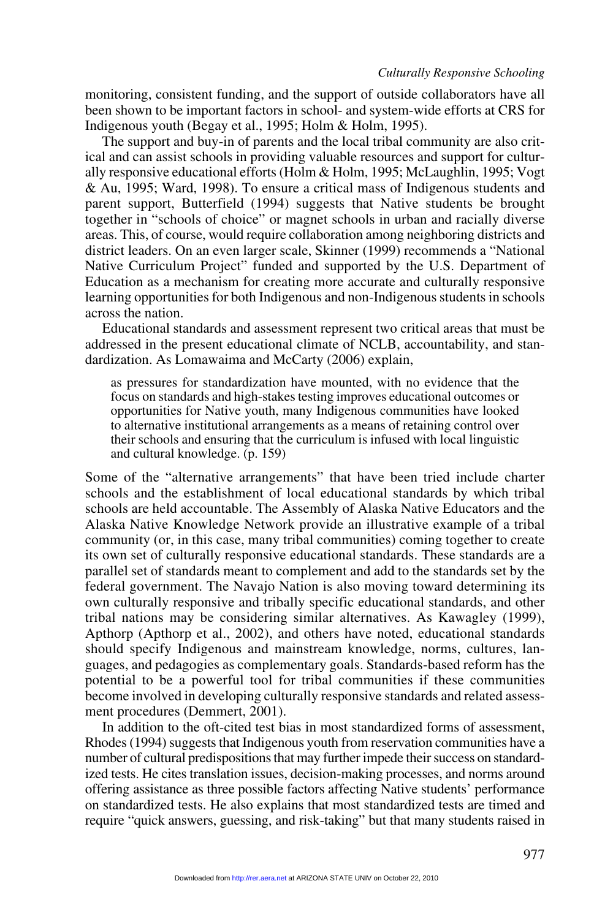monitoring, consistent funding, and the support of outside collaborators have all been shown to be important factors in school- and system-wide efforts at CRS for Indigenous youth (Begay et al., 1995; Holm & Holm, 1995).

The support and buy-in of parents and the local tribal community are also critical and can assist schools in providing valuable resources and support for culturally responsive educational efforts (Holm & Holm, 1995; McLaughlin, 1995; Vogt & Au, 1995; Ward, 1998). To ensure a critical mass of Indigenous students and parent support, Butterfield (1994) suggests that Native students be brought together in "schools of choice" or magnet schools in urban and racially diverse areas. This, of course, would require collaboration among neighboring districts and district leaders. On an even larger scale, Skinner (1999) recommends a "National Native Curriculum Project" funded and supported by the U.S. Department of Education as a mechanism for creating more accurate and culturally responsive learning opportunities for both Indigenous and non-Indigenous students in schools across the nation.

Educational standards and assessment represent two critical areas that must be addressed in the present educational climate of NCLB, accountability, and standardization. As Lomawaima and McCarty (2006) explain,

as pressures for standardization have mounted, with no evidence that the focus on standards and high-stakes testing improves educational outcomes or opportunities for Native youth, many Indigenous communities have looked to alternative institutional arrangements as a means of retaining control over their schools and ensuring that the curriculum is infused with local linguistic and cultural knowledge. (p. 159)

Some of the "alternative arrangements" that have been tried include charter schools and the establishment of local educational standards by which tribal schools are held accountable. The Assembly of Alaska Native Educators and the Alaska Native Knowledge Network provide an illustrative example of a tribal community (or, in this case, many tribal communities) coming together to create its own set of culturally responsive educational standards. These standards are a parallel set of standards meant to complement and add to the standards set by the federal government. The Navajo Nation is also moving toward determining its own culturally responsive and tribally specific educational standards, and other tribal nations may be considering similar alternatives. As Kawagley (1999), Apthorp (Apthorp et al., 2002), and others have noted, educational standards should specify Indigenous and mainstream knowledge, norms, cultures, languages, and pedagogies as complementary goals. Standards-based reform has the potential to be a powerful tool for tribal communities if these communities become involved in developing culturally responsive standards and related assessment procedures (Demmert, 2001).

In addition to the oft-cited test bias in most standardized forms of assessment, Rhodes (1994) suggests that Indigenous youth from reservation communities have a number of cultural predispositions that may further impede their success on standardized tests. He cites translation issues, decision-making processes, and norms around offering assistance as three possible factors affecting Native students' performance on standardized tests. He also explains that most standardized tests are timed and require "quick answers, guessing, and risk-taking" but that many students raised in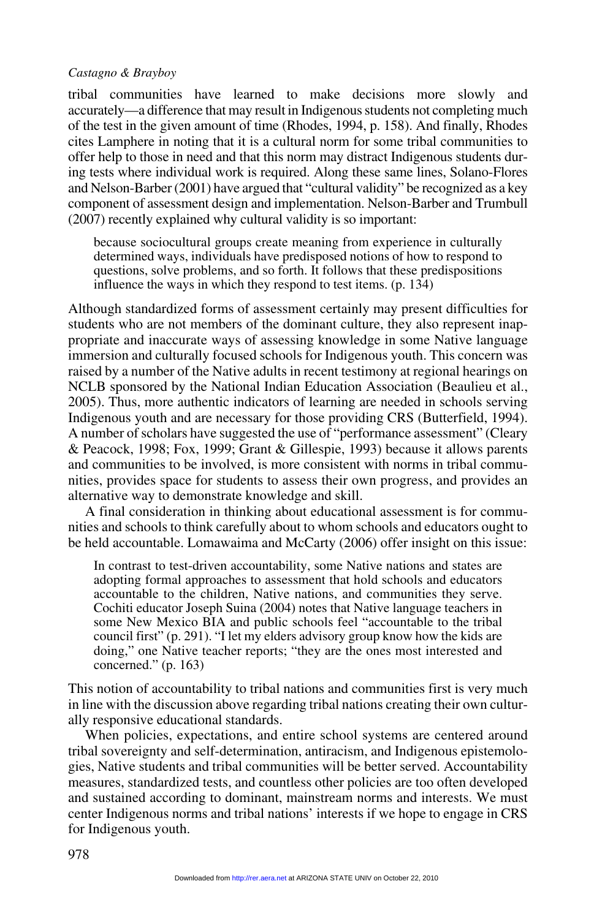tribal communities have learned to make decisions more slowly and accurately—a difference that may result in Indigenous students not completing much of the test in the given amount of time (Rhodes, 1994, p. 158). And finally, Rhodes cites Lamphere in noting that it is a cultural norm for some tribal communities to offer help to those in need and that this norm may distract Indigenous students during tests where individual work is required. Along these same lines, Solano-Flores and Nelson-Barber (2001) have argued that "cultural validity" be recognized as a key component of assessment design and implementation. Nelson-Barber and Trumbull (2007) recently explained why cultural validity is so important:

because sociocultural groups create meaning from experience in culturally determined ways, individuals have predisposed notions of how to respond to questions, solve problems, and so forth. It follows that these predispositions influence the ways in which they respond to test items. (p. 134)

Although standardized forms of assessment certainly may present difficulties for students who are not members of the dominant culture, they also represent inappropriate and inaccurate ways of assessing knowledge in some Native language immersion and culturally focused schools for Indigenous youth. This concern was raised by a number of the Native adults in recent testimony at regional hearings on NCLB sponsored by the National Indian Education Association (Beaulieu et al., 2005). Thus, more authentic indicators of learning are needed in schools serving Indigenous youth and are necessary for those providing CRS (Butterfield, 1994). A number of scholars have suggested the use of "performance assessment" (Cleary & Peacock, 1998; Fox, 1999; Grant & Gillespie, 1993) because it allows parents and communities to be involved, is more consistent with norms in tribal communities, provides space for students to assess their own progress, and provides an alternative way to demonstrate knowledge and skill.

A final consideration in thinking about educational assessment is for communities and schools to think carefully about to whom schools and educators ought to be held accountable. Lomawaima and McCarty (2006) offer insight on this issue:

In contrast to test-driven accountability, some Native nations and states are adopting formal approaches to assessment that hold schools and educators accountable to the children, Native nations, and communities they serve. Cochiti educator Joseph Suina (2004) notes that Native language teachers in some New Mexico BIA and public schools feel "accountable to the tribal council first" (p. 291). "I let my elders advisory group know how the kids are doing," one Native teacher reports; "they are the ones most interested and concerned." (p. 163)

This notion of accountability to tribal nations and communities first is very much in line with the discussion above regarding tribal nations creating their own culturally responsive educational standards.

When policies, expectations, and entire school systems are centered around tribal sovereignty and self-determination, antiracism, and Indigenous epistemologies, Native students and tribal communities will be better served. Accountability measures, standardized tests, and countless other policies are too often developed and sustained according to dominant, mainstream norms and interests. We must center Indigenous norms and tribal nations' interests if we hope to engage in CRS for Indigenous youth.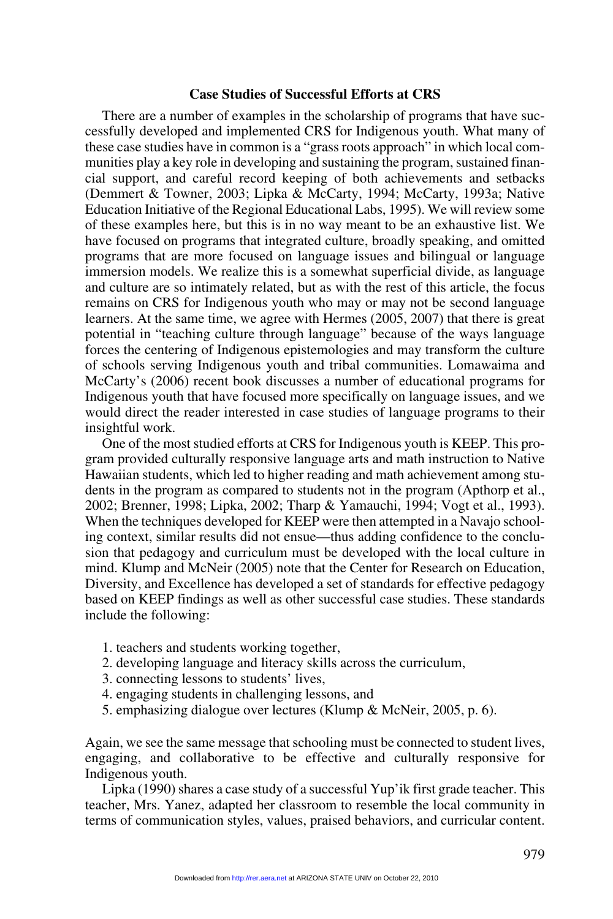# **Case Studies of Successful Efforts at CRS**

There are a number of examples in the scholarship of programs that have successfully developed and implemented CRS for Indigenous youth. What many of these case studies have in common is a "grass roots approach" in which local communities play a key role in developing and sustaining the program, sustained financial support, and careful record keeping of both achievements and setbacks (Demmert & Towner, 2003; Lipka & McCarty, 1994; McCarty, 1993a; Native Education Initiative of the Regional Educational Labs, 1995). We will review some of these examples here, but this is in no way meant to be an exhaustive list. We have focused on programs that integrated culture, broadly speaking, and omitted programs that are more focused on language issues and bilingual or language immersion models. We realize this is a somewhat superficial divide, as language and culture are so intimately related, but as with the rest of this article, the focus remains on CRS for Indigenous youth who may or may not be second language learners. At the same time, we agree with Hermes (2005, 2007) that there is great potential in "teaching culture through language" because of the ways language forces the centering of Indigenous epistemologies and may transform the culture of schools serving Indigenous youth and tribal communities. Lomawaima and McCarty's (2006) recent book discusses a number of educational programs for Indigenous youth that have focused more specifically on language issues, and we would direct the reader interested in case studies of language programs to their insightful work.

One of the most studied efforts at CRS for Indigenous youth is KEEP. This program provided culturally responsive language arts and math instruction to Native Hawaiian students, which led to higher reading and math achievement among students in the program as compared to students not in the program (Apthorp et al., 2002; Brenner, 1998; Lipka, 2002; Tharp & Yamauchi, 1994; Vogt et al., 1993). When the techniques developed for KEEP were then attempted in a Navajo schooling context, similar results did not ensue—thus adding confidence to the conclusion that pedagogy and curriculum must be developed with the local culture in mind. Klump and McNeir (2005) note that the Center for Research on Education, Diversity, and Excellence has developed a set of standards for effective pedagogy based on KEEP findings as well as other successful case studies. These standards include the following:

- 1. teachers and students working together,
- 2. developing language and literacy skills across the curriculum,
- 3. connecting lessons to students' lives,
- 4. engaging students in challenging lessons, and
- 5. emphasizing dialogue over lectures (Klump & McNeir, 2005, p. 6).

Again, we see the same message that schooling must be connected to student lives, engaging, and collaborative to be effective and culturally responsive for Indigenous youth.

Lipka (1990) shares a case study of a successful Yup'ik first grade teacher. This teacher, Mrs. Yanez, adapted her classroom to resemble the local community in terms of communication styles, values, praised behaviors, and curricular content.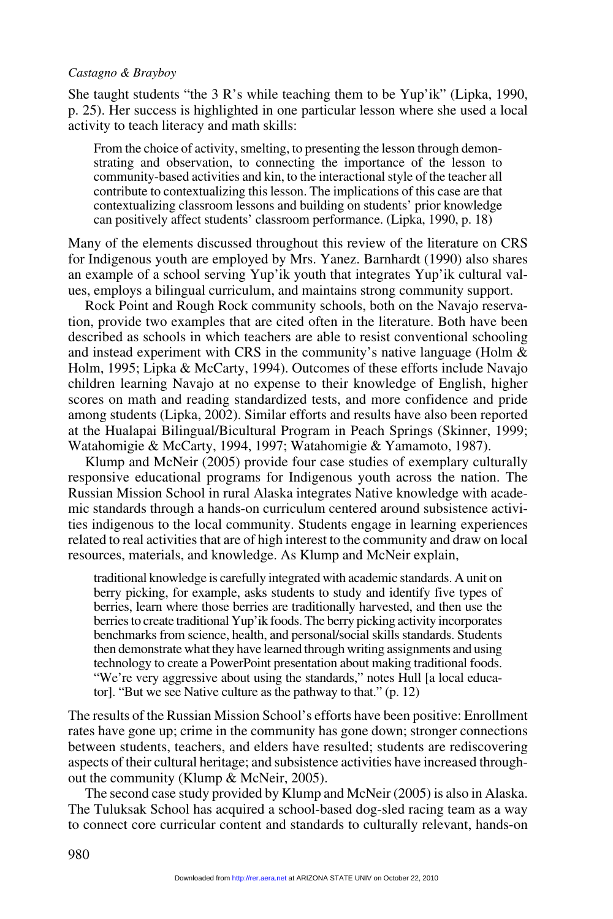She taught students "the 3 R's while teaching them to be Yup'ik" (Lipka, 1990, p. 25). Her success is highlighted in one particular lesson where she used a local activity to teach literacy and math skills:

From the choice of activity, smelting, to presenting the lesson through demonstrating and observation, to connecting the importance of the lesson to community-based activities and kin, to the interactional style of the teacher all contribute to contextualizing this lesson. The implications of this case are that contextualizing classroom lessons and building on students' prior knowledge can positively affect students' classroom performance. (Lipka, 1990, p. 18)

Many of the elements discussed throughout this review of the literature on CRS for Indigenous youth are employed by Mrs. Yanez. Barnhardt (1990) also shares an example of a school serving Yup'ik youth that integrates Yup'ik cultural values, employs a bilingual curriculum, and maintains strong community support.

Rock Point and Rough Rock community schools, both on the Navajo reservation, provide two examples that are cited often in the literature. Both have been described as schools in which teachers are able to resist conventional schooling and instead experiment with CRS in the community's native language (Holm  $\&$ Holm, 1995; Lipka & McCarty, 1994). Outcomes of these efforts include Navajo children learning Navajo at no expense to their knowledge of English, higher scores on math and reading standardized tests, and more confidence and pride among students (Lipka, 2002). Similar efforts and results have also been reported at the Hualapai Bilingual/Bicultural Program in Peach Springs (Skinner, 1999; Watahomigie & McCarty, 1994, 1997; Watahomigie & Yamamoto, 1987).

Klump and McNeir (2005) provide four case studies of exemplary culturally responsive educational programs for Indigenous youth across the nation. The Russian Mission School in rural Alaska integrates Native knowledge with academic standards through a hands-on curriculum centered around subsistence activities indigenous to the local community. Students engage in learning experiences related to real activities that are of high interest to the community and draw on local resources, materials, and knowledge. As Klump and McNeir explain,

traditional knowledge is carefully integrated with academic standards. A unit on berry picking, for example, asks students to study and identify five types of berries, learn where those berries are traditionally harvested, and then use the berries to create traditional Yup'ik foods. The berry picking activity incorporates benchmarks from science, health, and personal/social skills standards. Students then demonstrate what they have learned through writing assignments and using technology to create a PowerPoint presentation about making traditional foods. "We're very aggressive about using the standards," notes Hull [a local educator]. "But we see Native culture as the pathway to that." (p. 12)

The results of the Russian Mission School's efforts have been positive: Enrollment rates have gone up; crime in the community has gone down; stronger connections between students, teachers, and elders have resulted; students are rediscovering aspects of their cultural heritage; and subsistence activities have increased throughout the community (Klump & McNeir, 2005).

The second case study provided by Klump and McNeir (2005) is also in Alaska. The Tuluksak School has acquired a school-based dog-sled racing team as a way to connect core curricular content and standards to culturally relevant, hands-on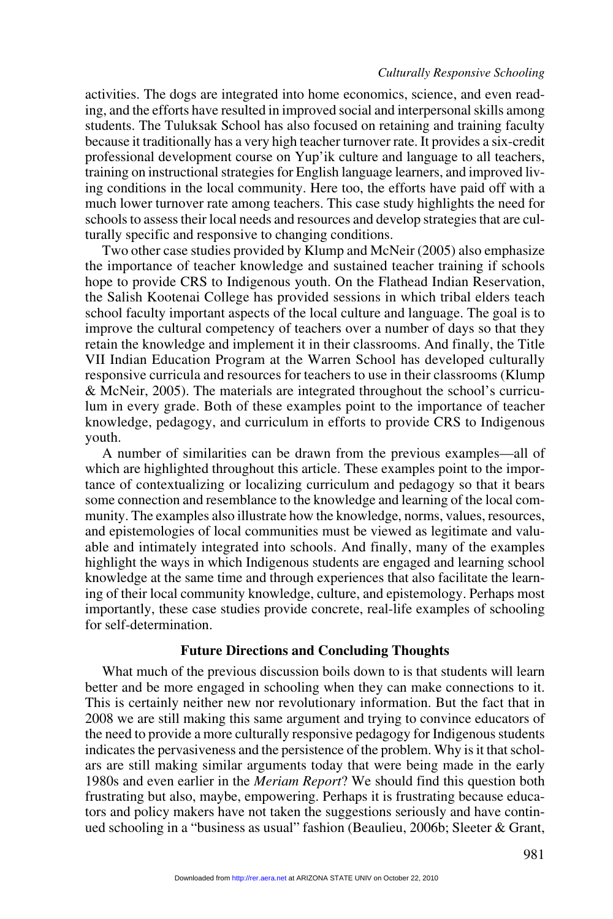activities. The dogs are integrated into home economics, science, and even reading, and the efforts have resulted in improved social and interpersonal skills among students. The Tuluksak School has also focused on retaining and training faculty because it traditionally has a very high teacher turnover rate. It provides a six-credit professional development course on Yup'ik culture and language to all teachers, training on instructional strategies for English language learners, and improved living conditions in the local community. Here too, the efforts have paid off with a much lower turnover rate among teachers. This case study highlights the need for schools to assess their local needs and resources and develop strategies that are culturally specific and responsive to changing conditions.

Two other case studies provided by Klump and McNeir (2005) also emphasize the importance of teacher knowledge and sustained teacher training if schools hope to provide CRS to Indigenous youth. On the Flathead Indian Reservation, the Salish Kootenai College has provided sessions in which tribal elders teach school faculty important aspects of the local culture and language. The goal is to improve the cultural competency of teachers over a number of days so that they retain the knowledge and implement it in their classrooms. And finally, the Title VII Indian Education Program at the Warren School has developed culturally responsive curricula and resources for teachers to use in their classrooms (Klump & McNeir, 2005). The materials are integrated throughout the school's curriculum in every grade. Both of these examples point to the importance of teacher knowledge, pedagogy, and curriculum in efforts to provide CRS to Indigenous youth.

A number of similarities can be drawn from the previous examples—all of which are highlighted throughout this article. These examples point to the importance of contextualizing or localizing curriculum and pedagogy so that it bears some connection and resemblance to the knowledge and learning of the local community. The examples also illustrate how the knowledge, norms, values, resources, and epistemologies of local communities must be viewed as legitimate and valuable and intimately integrated into schools. And finally, many of the examples highlight the ways in which Indigenous students are engaged and learning school knowledge at the same time and through experiences that also facilitate the learning of their local community knowledge, culture, and epistemology. Perhaps most importantly, these case studies provide concrete, real-life examples of schooling for self-determination.

# **Future Directions and Concluding Thoughts**

What much of the previous discussion boils down to is that students will learn better and be more engaged in schooling when they can make connections to it. This is certainly neither new nor revolutionary information. But the fact that in 2008 we are still making this same argument and trying to convince educators of the need to provide a more culturally responsive pedagogy for Indigenous students indicates the pervasiveness and the persistence of the problem. Why is it that scholars are still making similar arguments today that were being made in the early 1980s and even earlier in the *Meriam Report*? We should find this question both frustrating but also, maybe, empowering. Perhaps it is frustrating because educators and policy makers have not taken the suggestions seriously and have continued schooling in a "business as usual" fashion (Beaulieu, 2006b; Sleeter & Grant,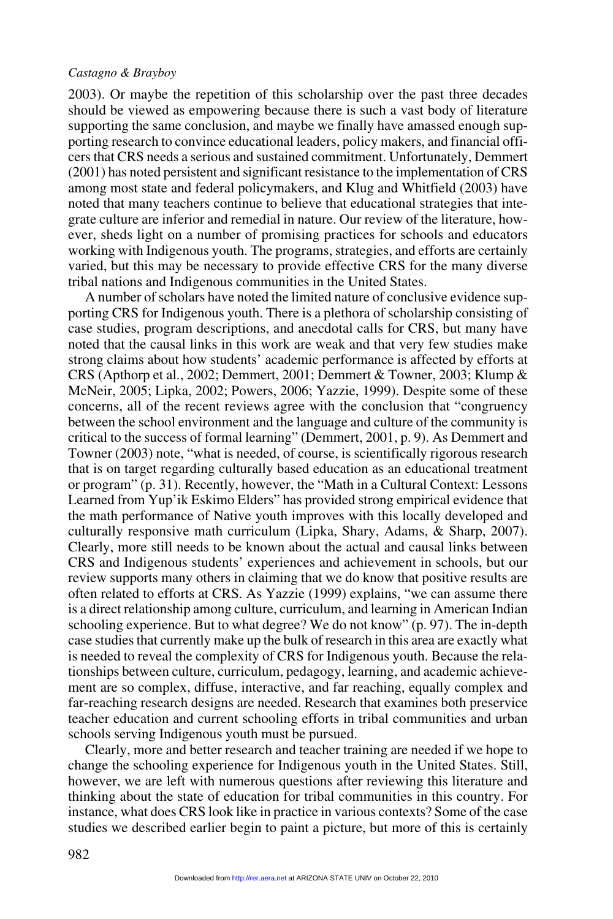2003). Or maybe the repetition of this scholarship over the past three decades should be viewed as empowering because there is such a vast body of literature supporting the same conclusion, and maybe we finally have amassed enough supporting research to convince educational leaders, policy makers, and financial officers that CRS needs a serious and sustained commitment. Unfortunately, Demmert (2001) has noted persistent and significant resistance to the implementation of CRS among most state and federal policymakers, and Klug and Whitfield (2003) have noted that many teachers continue to believe that educational strategies that integrate culture are inferior and remedial in nature. Our review of the literature, however, sheds light on a number of promising practices for schools and educators working with Indigenous youth. The programs, strategies, and efforts are certainly varied, but this may be necessary to provide effective CRS for the many diverse tribal nations and Indigenous communities in the United States.

A number of scholars have noted the limited nature of conclusive evidence supporting CRS for Indigenous youth. There is a plethora of scholarship consisting of case studies, program descriptions, and anecdotal calls for CRS, but many have noted that the causal links in this work are weak and that very few studies make strong claims about how students' academic performance is affected by efforts at CRS (Apthorp et al., 2002; Demmert, 2001; Demmert & Towner, 2003; Klump & McNeir, 2005; Lipka, 2002; Powers, 2006; Yazzie, 1999). Despite some of these concerns, all of the recent reviews agree with the conclusion that "congruency between the school environment and the language and culture of the community is critical to the success of formal learning" (Demmert, 2001, p. 9). As Demmert and Towner (2003) note, "what is needed, of course, is scientifically rigorous research that is on target regarding culturally based education as an educational treatment or program" (p. 31). Recently, however, the "Math in a Cultural Context: Lessons Learned from Yup'ik Eskimo Elders" has provided strong empirical evidence that the math performance of Native youth improves with this locally developed and culturally responsive math curriculum (Lipka, Shary, Adams, & Sharp, 2007). Clearly, more still needs to be known about the actual and causal links between CRS and Indigenous students' experiences and achievement in schools, but our review supports many others in claiming that we do know that positive results are often related to efforts at CRS. As Yazzie (1999) explains, "we can assume there is a direct relationship among culture, curriculum, and learning in American Indian schooling experience. But to what degree? We do not know" (p. 97). The in-depth case studies that currently make up the bulk of research in this area are exactly what is needed to reveal the complexity of CRS for Indigenous youth. Because the relationships between culture, curriculum, pedagogy, learning, and academic achievement are so complex, diffuse, interactive, and far reaching, equally complex and far-reaching research designs are needed. Research that examines both preservice teacher education and current schooling efforts in tribal communities and urban schools serving Indigenous youth must be pursued.

Clearly, more and better research and teacher training are needed if we hope to change the schooling experience for Indigenous youth in the United States. Still, however, we are left with numerous questions after reviewing this literature and thinking about the state of education for tribal communities in this country. For instance, what does CRS look like in practice in various contexts? Some of the case studies we described earlier begin to paint a picture, but more of this is certainly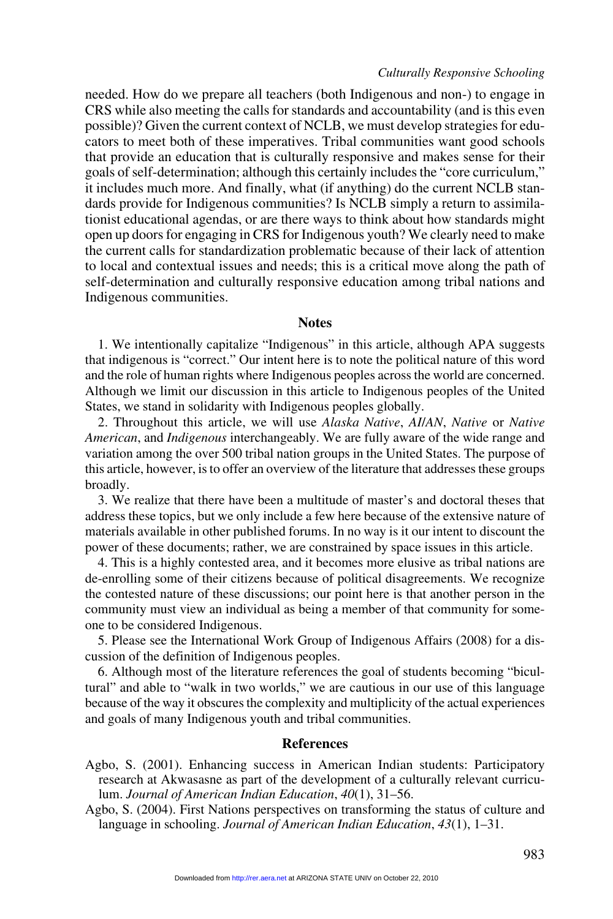needed. How do we prepare all teachers (both Indigenous and non-) to engage in CRS while also meeting the calls for standards and accountability (and is this even possible)? Given the current context of NCLB, we must develop strategies for educators to meet both of these imperatives. Tribal communities want good schools that provide an education that is culturally responsive and makes sense for their goals of self-determination; although this certainly includes the "core curriculum," it includes much more. And finally, what (if anything) do the current NCLB standards provide for Indigenous communities? Is NCLB simply a return to assimilationist educational agendas, or are there ways to think about how standards might open up doors for engaging in CRS for Indigenous youth? We clearly need to make the current calls for standardization problematic because of their lack of attention to local and contextual issues and needs; this is a critical move along the path of self-determination and culturally responsive education among tribal nations and Indigenous communities.

# **Notes**

1. We intentionally capitalize "Indigenous" in this article, although APA suggests that indigenous is "correct." Our intent here is to note the political nature of this word and the role of human rights where Indigenous peoples across the world are concerned. Although we limit our discussion in this article to Indigenous peoples of the United States, we stand in solidarity with Indigenous peoples globally.

2. Throughout this article, we will use *Alaska Native*, *AI*/*AN*, *Native* or *Native American*, and *Indigenous* interchangeably. We are fully aware of the wide range and variation among the over 500 tribal nation groups in the United States. The purpose of this article, however, is to offer an overview of the literature that addresses these groups broadly.

3. We realize that there have been a multitude of master's and doctoral theses that address these topics, but we only include a few here because of the extensive nature of materials available in other published forums. In no way is it our intent to discount the power of these documents; rather, we are constrained by space issues in this article.

4. This is a highly contested area, and it becomes more elusive as tribal nations are de-enrolling some of their citizens because of political disagreements. We recognize the contested nature of these discussions; our point here is that another person in the community must view an individual as being a member of that community for someone to be considered Indigenous.

5. Please see the International Work Group of Indigenous Affairs (2008) for a discussion of the definition of Indigenous peoples.

6. Although most of the literature references the goal of students becoming "bicultural" and able to "walk in two worlds," we are cautious in our use of this language because of the way it obscures the complexity and multiplicity of the actual experiences and goals of many Indigenous youth and tribal communities.

# **References**

Agbo, S. (2001). Enhancing success in American Indian students: Participatory research at Akwasasne as part of the development of a culturally relevant curriculum. *Journal of American Indian Education*, *40*(1), 31–56.

Agbo, S. (2004). First Nations perspectives on transforming the status of culture and language in schooling. *Journal of American Indian Education*, *43*(1), 1–31.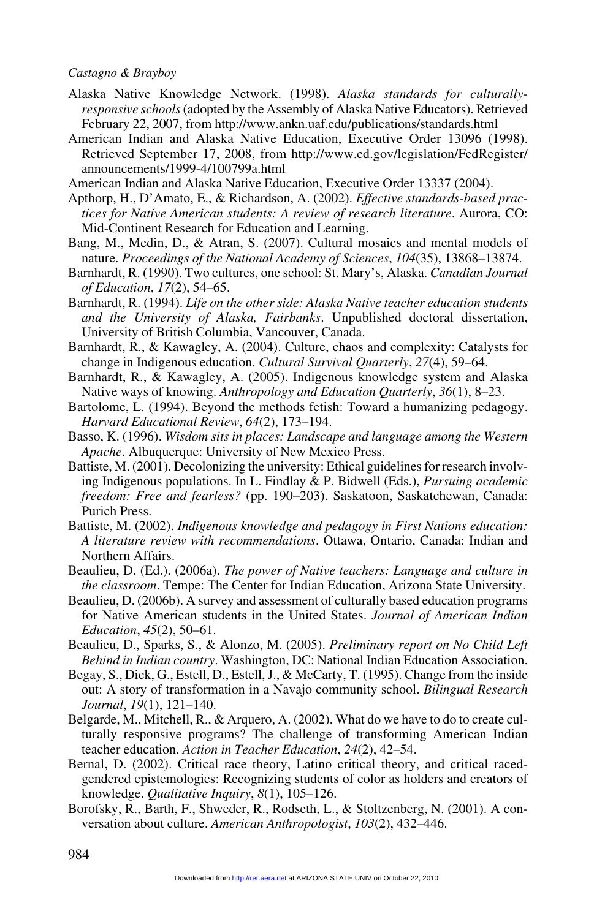- Alaska Native Knowledge Network. (1998). *Alaska standards for culturallyresponsive schools*(adopted by the Assembly of Alaska Native Educators). Retrieved February 22, 2007, from http://www.ankn.uaf.edu/publications/standards.html
- American Indian and Alaska Native Education, Executive Order 13096 (1998). Retrieved September 17, 2008, from http://www.ed.gov/legislation/FedRegister/ announcements/1999-4/100799a.html
- American Indian and Alaska Native Education, Executive Order 13337 (2004).
- Apthorp, H., D'Amato, E., & Richardson, A. (2002). *Effective standards-based practices for Native American students: A review of research literature*. Aurora, CO: Mid-Continent Research for Education and Learning.
- Bang, M., Medin, D., & Atran, S. (2007). Cultural mosaics and mental models of nature. *Proceedings of the National Academy of Sciences*, *104*(35), 13868–13874.
- Barnhardt, R. (1990). Two cultures, one school: St. Mary's, Alaska. *Canadian Journal of Education*, *17*(2), 54–65.
- Barnhardt, R. (1994). *Life on the other side: Alaska Native teacher education students and the University of Alaska, Fairbanks*. Unpublished doctoral dissertation, University of British Columbia, Vancouver, Canada.
- Barnhardt, R., & Kawagley, A. (2004). Culture, chaos and complexity: Catalysts for change in Indigenous education. *Cultural Survival Quarterly*, *27*(4), 59–64.
- Barnhardt, R., & Kawagley, A. (2005). Indigenous knowledge system and Alaska Native ways of knowing. *Anthropology and Education Quarterly*, *36*(1), 8–23.
- Bartolome, L. (1994). Beyond the methods fetish: Toward a humanizing pedagogy. *Harvard Educational Review*, *64*(2), 173–194.
- Basso, K. (1996). *Wisdom sits in places: Landscape and language among the Western Apache*. Albuquerque: University of New Mexico Press.
- Battiste, M. (2001). Decolonizing the university: Ethical guidelines for research involving Indigenous populations. In L. Findlay & P. Bidwell (Eds.), *Pursuing academic freedom: Free and fearless?* (pp. 190–203). Saskatoon, Saskatchewan, Canada: Purich Press.
- Battiste, M. (2002). *Indigenous knowledge and pedagogy in First Nations education: A literature review with recommendations*. Ottawa, Ontario, Canada: Indian and Northern Affairs.
- Beaulieu, D. (Ed.). (2006a). *The power of Native teachers: Language and culture in the classroom*. Tempe: The Center for Indian Education, Arizona State University.
- Beaulieu, D. (2006b). A survey and assessment of culturally based education programs for Native American students in the United States. *Journal of American Indian Education*, *45*(2), 50–61.
- Beaulieu, D., Sparks, S., & Alonzo, M. (2005). *Preliminary report on No Child Left Behind in Indian country*. Washington, DC: National Indian Education Association.
- Begay, S., Dick, G., Estell, D., Estell, J., & McCarty, T. (1995). Change from the inside out: A story of transformation in a Navajo community school. *Bilingual Research Journal*, *19*(1), 121–140.
- Belgarde, M., Mitchell, R., & Arquero, A. (2002). What do we have to do to create culturally responsive programs? The challenge of transforming American Indian teacher education. *Action in Teacher Education*, *24*(2), 42–54.
- Bernal, D. (2002). Critical race theory, Latino critical theory, and critical racedgendered epistemologies: Recognizing students of color as holders and creators of knowledge. *Qualitative Inquiry*, *8*(1), 105–126.
- Borofsky, R., Barth, F., Shweder, R., Rodseth, L., & Stoltzenberg, N. (2001). A conversation about culture. *American Anthropologist*, *103*(2), 432–446.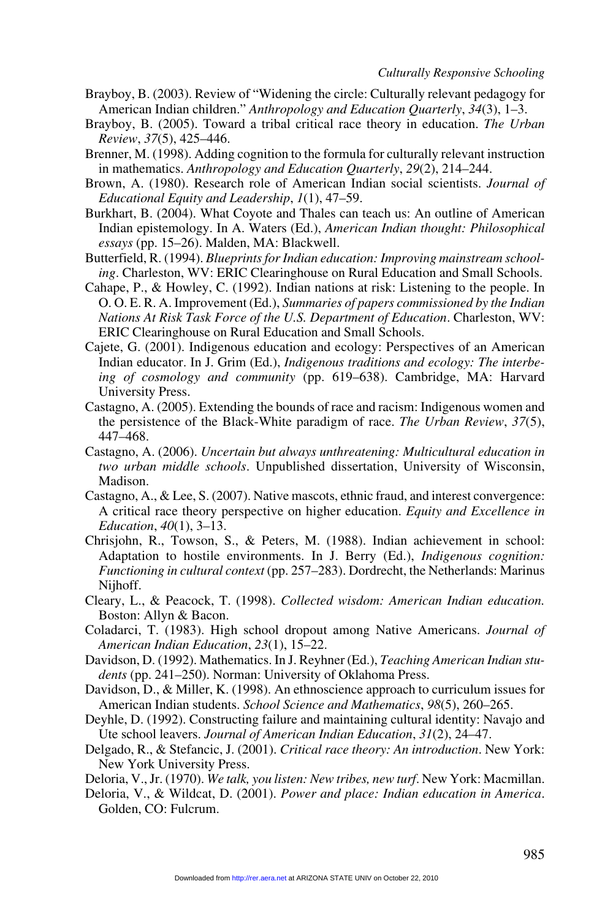- Brayboy, B. (2003). Review of "Widening the circle: Culturally relevant pedagogy for American Indian children." *Anthropology and Education Quarterly*, *34*(3), 1–3.
- Brayboy, B. (2005). Toward a tribal critical race theory in education. *The Urban Review*, *37*(5), 425–446.
- Brenner, M. (1998). Adding cognition to the formula for culturally relevant instruction in mathematics. *Anthropology and Education Quarterly*, *29*(2), 214–244.
- Brown, A. (1980). Research role of American Indian social scientists. *Journal of Educational Equity and Leadership*, *1*(1), 47–59.
- Burkhart, B. (2004). What Coyote and Thales can teach us: An outline of American Indian epistemology. In A. Waters (Ed.), *American Indian thought: Philosophical essays* (pp. 15–26). Malden, MA: Blackwell.
- Butterfield, R. (1994). *Blueprints for Indian education: Improving mainstream schooling*. Charleston, WV: ERIC Clearinghouse on Rural Education and Small Schools.
- Cahape, P., & Howley, C. (1992). Indian nations at risk: Listening to the people. In O. O. E. R. A. Improvement (Ed.), *Summaries of papers commissioned by the Indian Nations At Risk Task Force of the U.S. Department of Education*. Charleston, WV: ERIC Clearinghouse on Rural Education and Small Schools.
- Cajete, G. (2001). Indigenous education and ecology: Perspectives of an American Indian educator. In J. Grim (Ed.), *Indigenous traditions and ecology: The interbeing of cosmology and community* (pp. 619–638). Cambridge, MA: Harvard University Press.
- Castagno, A. (2005). Extending the bounds of race and racism: Indigenous women and the persistence of the Black-White paradigm of race. *The Urban Review*, *37*(5), 447–468.
- Castagno, A. (2006). *Uncertain but always unthreatening: Multicultural education in two urban middle schools*. Unpublished dissertation, University of Wisconsin, Madison.
- Castagno, A., & Lee, S. (2007). Native mascots, ethnic fraud, and interest convergence: A critical race theory perspective on higher education. *Equity and Excellence in Education*, *40*(1), 3–13.
- Chrisjohn, R., Towson, S., & Peters, M. (1988). Indian achievement in school: Adaptation to hostile environments. In J. Berry (Ed.), *Indigenous cognition: Functioning in cultural context* (pp. 257–283). Dordrecht, the Netherlands: Marinus Nijhoff.
- Cleary, L., & Peacock, T. (1998). *Collected wisdom: American Indian education.* Boston: Allyn & Bacon.
- Coladarci, T. (1983). High school dropout among Native Americans. *Journal of American Indian Education*, *23*(1), 15–22.
- Davidson, D. (1992). Mathematics. In J. Reyhner (Ed.), *Teaching American Indian students* (pp. 241–250). Norman: University of Oklahoma Press.
- Davidson, D., & Miller, K. (1998). An ethnoscience approach to curriculum issues for American Indian students. *School Science and Mathematics*, *98*(5), 260–265.
- Deyhle, D. (1992). Constructing failure and maintaining cultural identity: Navajo and Ute school leavers. *Journal of American Indian Education*, *31*(2), 24–47.
- Delgado, R., & Stefancic, J. (2001). *Critical race theory: An introduction*. New York: New York University Press.
- Deloria, V., Jr. (1970). *We talk, you listen: New tribes, new turf*. New York: Macmillan.
- Deloria, V., & Wildcat, D. (2001). *Power and place: Indian education in America*. Golden, CO: Fulcrum.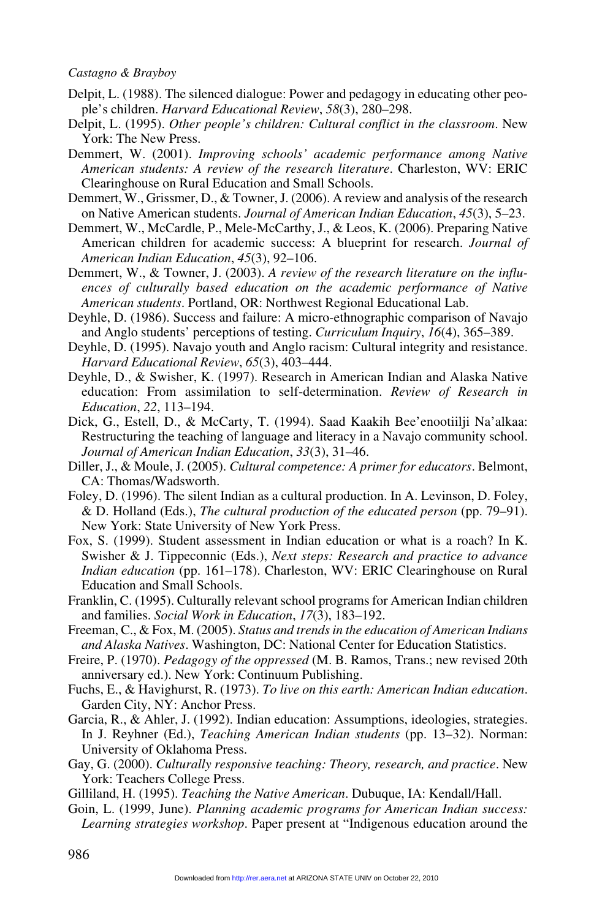- Delpit, L. (1988). The silenced dialogue: Power and pedagogy in educating other people's children. *Harvard Educational Review*, *58*(3), 280–298.
- Delpit, L. (1995). *Other people's children: Cultural conflict in the classroom*. New York: The New Press.
- Demmert, W. (2001). *Improving schools' academic performance among Native American students: A review of the research literature*. Charleston, WV: ERIC Clearinghouse on Rural Education and Small Schools.
- Demmert, W., Grissmer, D., & Towner, J. (2006). A review and analysis of the research on Native American students. *Journal of American Indian Education*, *45*(3), 5–23.
- Demmert, W., McCardle, P., Mele-McCarthy, J., & Leos, K. (2006). Preparing Native American children for academic success: A blueprint for research. *Journal of American Indian Education*, *45*(3), 92–106.
- Demmert, W., & Towner, J. (2003). *A review of the research literature on the influences of culturally based education on the academic performance of Native American students*. Portland, OR: Northwest Regional Educational Lab.
- Deyhle, D. (1986). Success and failure: A micro-ethnographic comparison of Navajo and Anglo students' perceptions of testing. *Curriculum Inquiry*, *16*(4), 365–389.
- Deyhle, D. (1995). Navajo youth and Anglo racism: Cultural integrity and resistance. *Harvard Educational Review*, *65*(3), 403–444.
- Deyhle, D., & Swisher, K. (1997). Research in American Indian and Alaska Native education: From assimilation to self-determination. *Review of Research in Education*, *22*, 113–194.
- Dick, G., Estell, D., & McCarty, T. (1994). Saad Kaakih Bee'enootiilji Na'alkaa: Restructuring the teaching of language and literacy in a Navajo community school. *Journal of American Indian Education*, *33*(3), 31–46.
- Diller, J., & Moule, J. (2005). *Cultural competence: A primer for educators*. Belmont, CA: Thomas/Wadsworth.
- Foley, D. (1996). The silent Indian as a cultural production. In A. Levinson, D. Foley, & D. Holland (Eds.), *The cultural production of the educated person* (pp. 79–91). New York: State University of New York Press.
- Fox, S. (1999). Student assessment in Indian education or what is a roach? In K. Swisher & J. Tippeconnic (Eds.), *Next steps: Research and practice to advance Indian education* (pp. 161–178). Charleston, WV: ERIC Clearinghouse on Rural Education and Small Schools.
- Franklin, C. (1995). Culturally relevant school programs for American Indian children and families. *Social Work in Education*, *17*(3), 183–192.
- Freeman, C., & Fox, M. (2005). *Status and trends in the education of American Indians and Alaska Natives*. Washington, DC: National Center for Education Statistics.
- Freire, P. (1970). *Pedagogy of the oppressed* (M. B. Ramos, Trans.; new revised 20th anniversary ed.). New York: Continuum Publishing.
- Fuchs, E., & Havighurst, R. (1973). *To live on this earth: American Indian education*. Garden City, NY: Anchor Press.
- Garcia, R., & Ahler, J. (1992). Indian education: Assumptions, ideologies, strategies. In J. Reyhner (Ed.), *Teaching American Indian students* (pp. 13–32). Norman: University of Oklahoma Press.
- Gay, G. (2000). *Culturally responsive teaching: Theory, research, and practice*. New York: Teachers College Press.
- Gilliland, H. (1995). *Teaching the Native American*. Dubuque, IA: Kendall/Hall.
- Goin, L. (1999, June). *Planning academic programs for American Indian success: Learning strategies workshop*. Paper present at "Indigenous education around the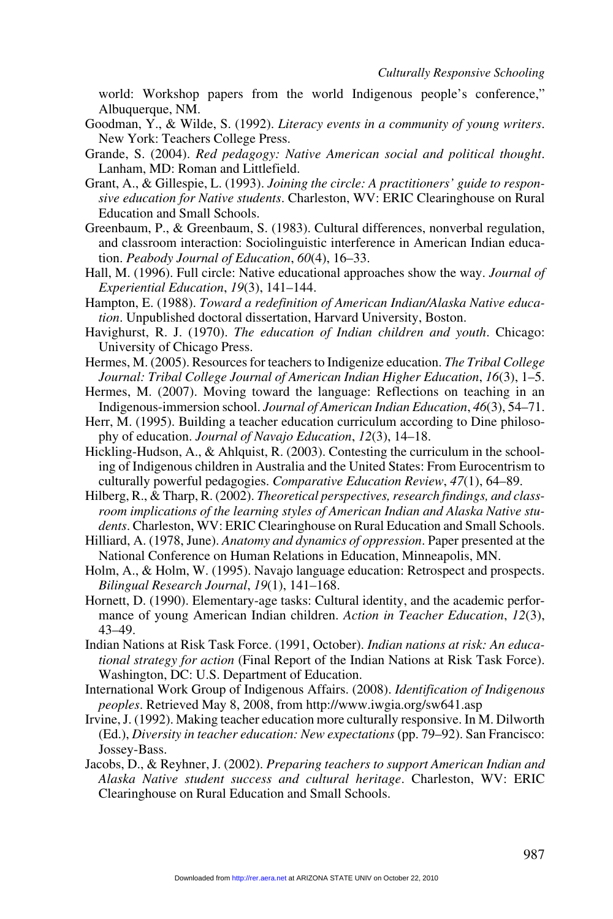world: Workshop papers from the world Indigenous people's conference," Albuquerque, NM.

- Goodman, Y., & Wilde, S. (1992). *Literacy events in a community of young writers*. New York: Teachers College Press.
- Grande, S. (2004). *Red pedagogy: Native American social and political thought*. Lanham, MD: Roman and Littlefield.
- Grant, A., & Gillespie, L. (1993). *Joining the circle: A practitioners' guide to responsive education for Native students*. Charleston, WV: ERIC Clearinghouse on Rural Education and Small Schools.
- Greenbaum, P., & Greenbaum, S. (1983). Cultural differences, nonverbal regulation, and classroom interaction: Sociolinguistic interference in American Indian education. *Peabody Journal of Education*, *60*(4), 16–33.
- Hall, M. (1996). Full circle: Native educational approaches show the way. *Journal of Experiential Education*, *19*(3), 141–144.
- Hampton, E. (1988). *Toward a redefinition of American Indian/Alaska Native education*. Unpublished doctoral dissertation, Harvard University, Boston.
- Havighurst, R. J. (1970). *The education of Indian children and youth*. Chicago: University of Chicago Press.
- Hermes, M. (2005). Resources for teachers to Indigenize education. *The Tribal College Journal: Tribal College Journal of American Indian Higher Education*, *16*(3), 1–5.
- Hermes, M. (2007). Moving toward the language: Reflections on teaching in an Indigenous-immersion school. *Journal of American Indian Education*, *46*(3), 54–71.
- Herr, M. (1995). Building a teacher education curriculum according to Dine philosophy of education. *Journal of Navajo Education*, *12*(3), 14–18.
- Hickling-Hudson, A., & Ahlquist, R. (2003). Contesting the curriculum in the schooling of Indigenous children in Australia and the United States: From Eurocentrism to culturally powerful pedagogies. *Comparative Education Review*, *47*(1), 64–89.
- Hilberg, R., & Tharp, R. (2002). *Theoretical perspectives, research findings, and classroom implications of the learning styles of American Indian and Alaska Native students*. Charleston, WV: ERIC Clearinghouse on Rural Education and Small Schools.
- Hilliard, A. (1978, June). *Anatomy and dynamics of oppression*. Paper presented at the National Conference on Human Relations in Education, Minneapolis, MN.
- Holm, A., & Holm, W. (1995). Navajo language education: Retrospect and prospects. *Bilingual Research Journal*, *19*(1), 141–168.
- Hornett, D. (1990). Elementary-age tasks: Cultural identity, and the academic performance of young American Indian children. *Action in Teacher Education*, *12*(3), 43–49.
- Indian Nations at Risk Task Force. (1991, October). *Indian nations at risk: An educational strategy for action* (Final Report of the Indian Nations at Risk Task Force). Washington, DC: U.S. Department of Education.
- International Work Group of Indigenous Affairs. (2008). *Identification of Indigenous peoples*. Retrieved May 8, 2008, from http://www.iwgia.org/sw641.asp
- Irvine, J. (1992). Making teacher education more culturally responsive. In M. Dilworth (Ed.), *Diversity in teacher education: New expectations* (pp. 79–92). San Francisco: Jossey-Bass.
- Jacobs, D., & Reyhner, J. (2002). *Preparing teachers to support American Indian and Alaska Native student success and cultural heritage*. Charleston, WV: ERIC Clearinghouse on Rural Education and Small Schools.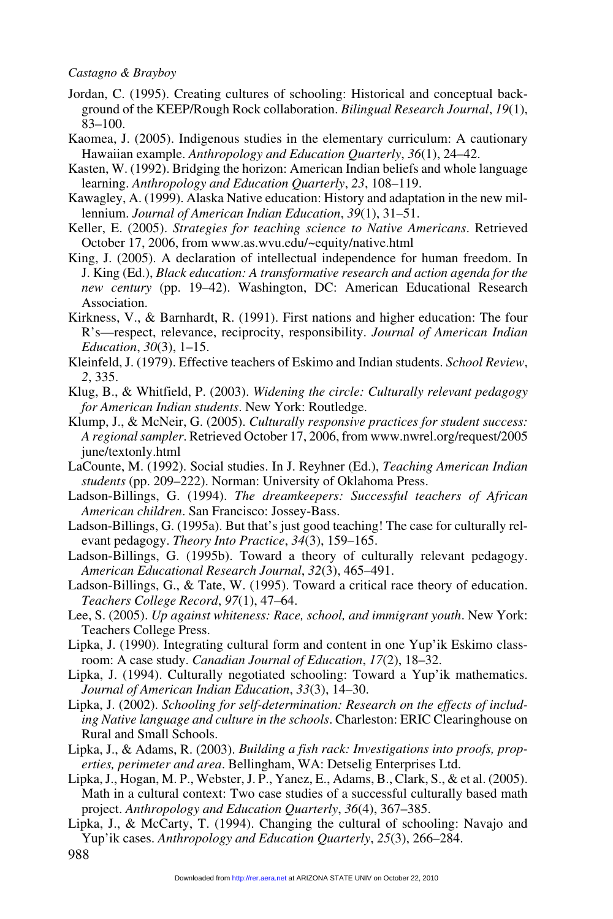- Jordan, C. (1995). Creating cultures of schooling: Historical and conceptual background of the KEEP/Rough Rock collaboration. *Bilingual Research Journal*, *19*(1), 83–100.
- Kaomea, J. (2005). Indigenous studies in the elementary curriculum: A cautionary Hawaiian example. *Anthropology and Education Quarterly*, *36*(1), 24–42.
- Kasten, W. (1992). Bridging the horizon: American Indian beliefs and whole language learning. *Anthropology and Education Quarterly*, *23*, 108–119.
- Kawagley, A. (1999). Alaska Native education: History and adaptation in the new millennium. *Journal of American Indian Education*, *39*(1), 31–51.
- Keller, E. (2005). *Strategies for teaching science to Native Americans*. Retrieved October 17, 2006, from www.as.wvu.edu/~equity/native.html
- King, J. (2005). A declaration of intellectual independence for human freedom. In J. King (Ed.), *Black education: A transformative research and action agenda for the new century* (pp. 19–42). Washington, DC: American Educational Research Association.
- Kirkness, V., & Barnhardt, R. (1991). First nations and higher education: The four R's—respect, relevance, reciprocity, responsibility. *Journal of American Indian Education*, *30*(3), 1–15.
- Kleinfeld, J. (1979). Effective teachers of Eskimo and Indian students. *School Review*, *2*, 335.
- Klug, B., & Whitfield, P. (2003). *Widening the circle: Culturally relevant pedagogy for American Indian students*. New York: Routledge.
- Klump, J., & McNeir, G. (2005). *Culturally responsive practices for student success: A regional sampler*. Retrieved October 17, 2006, from www.nwrel.org/request/2005 june/textonly.html
- LaCounte, M. (1992). Social studies. In J. Reyhner (Ed.), *Teaching American Indian students* (pp. 209–222). Norman: University of Oklahoma Press.
- Ladson-Billings, G. (1994). *The dreamkeepers: Successful teachers of African American children*. San Francisco: Jossey-Bass.
- Ladson-Billings, G. (1995a). But that's just good teaching! The case for culturally relevant pedagogy. *Theory Into Practice*, *34*(3), 159–165.
- Ladson-Billings, G. (1995b). Toward a theory of culturally relevant pedagogy. *American Educational Research Journal*, *32*(3), 465–491.
- Ladson-Billings, G., & Tate, W. (1995). Toward a critical race theory of education. *Teachers College Record*, *97*(1), 47–64.
- Lee, S. (2005). *Up against whiteness: Race, school, and immigrant youth*. New York: Teachers College Press.
- Lipka, J. (1990). Integrating cultural form and content in one Yup'ik Eskimo classroom: A case study. *Canadian Journal of Education*, *17*(2), 18–32.
- Lipka, J. (1994). Culturally negotiated schooling: Toward a Yup'ik mathematics. *Journal of American Indian Education*, *33*(3), 14–30.
- Lipka, J. (2002). *Schooling for self-determination: Research on the effects of including Native language and culture in the schools*. Charleston: ERIC Clearinghouse on Rural and Small Schools.
- Lipka, J., & Adams, R. (2003). *Building a fish rack: Investigations into proofs, properties, perimeter and area*. Bellingham, WA: Detselig Enterprises Ltd.
- Lipka, J., Hogan, M. P., Webster, J. P., Yanez, E., Adams, B., Clark, S., & et al. (2005). Math in a cultural context: Two case studies of a successful culturally based math project. *Anthropology and Education Quarterly*, *36*(4), 367–385.
- Lipka, J., & McCarty, T. (1994). Changing the cultural of schooling: Navajo and Yup'ik cases. *Anthropology and Education Quarterly*, *25*(3), 266–284.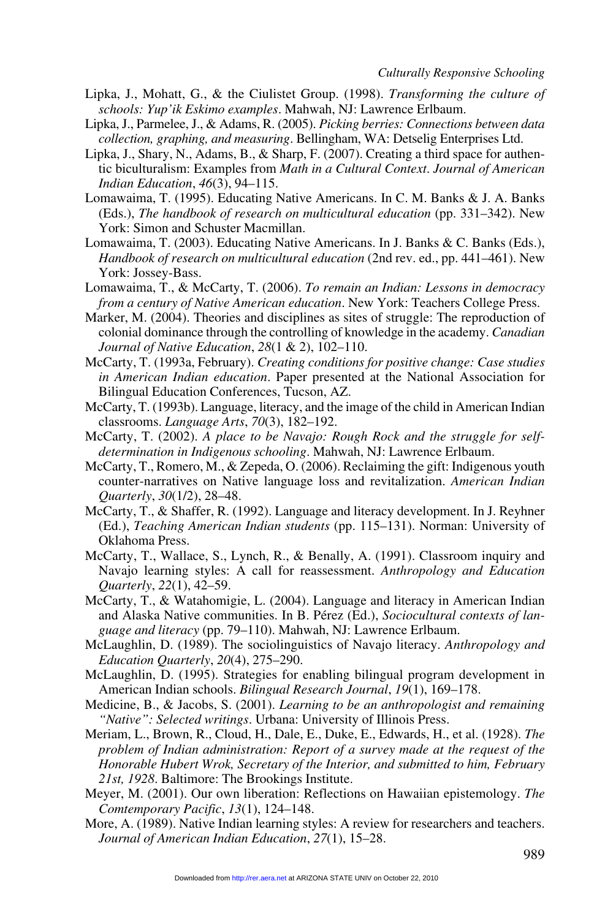- Lipka, J., Mohatt, G., & the Ciulistet Group. (1998). *Transforming the culture of schools: Yup'ik Eskimo examples*. Mahwah, NJ: Lawrence Erlbaum.
- Lipka, J., Parmelee, J., & Adams, R. (2005). *Picking berries: Connections between data collection, graphing, and measuring*. Bellingham, WA: Detselig Enterprises Ltd.
- Lipka, J., Shary, N., Adams, B., & Sharp, F. (2007). Creating a third space for authentic biculturalism: Examples from *Math in a Cultural Context*. *Journal of American Indian Education*, *46*(3), 94–115.
- Lomawaima, T. (1995). Educating Native Americans. In C. M. Banks & J. A. Banks (Eds.), *The handbook of research on multicultural education* (pp. 331-342). New York: Simon and Schuster Macmillan.
- Lomawaima, T. (2003). Educating Native Americans. In J. Banks & C. Banks (Eds.), *Handbook of research on multicultural education* (2nd rev. ed., pp. 441–461). New York: Jossey-Bass.
- Lomawaima, T., & McCarty, T. (2006). *To remain an Indian: Lessons in democracy from a century of Native American education*. New York: Teachers College Press.
- Marker, M. (2004). Theories and disciplines as sites of struggle: The reproduction of colonial dominance through the controlling of knowledge in the academy. *Canadian Journal of Native Education*, *28*(1 & 2), 102–110.
- McCarty, T. (1993a, February). *Creating conditions for positive change: Case studies in American Indian education*. Paper presented at the National Association for Bilingual Education Conferences, Tucson, AZ.
- McCarty, T. (1993b). Language, literacy, and the image of the child in American Indian classrooms. *Language Arts*, *70*(3), 182–192.
- McCarty, T. (2002). *A place to be Navajo: Rough Rock and the struggle for selfdetermination in Indigenous schooling*. Mahwah, NJ: Lawrence Erlbaum.
- McCarty, T., Romero, M., & Zepeda, O. (2006). Reclaiming the gift: Indigenous youth counter-narratives on Native language loss and revitalization. *American Indian Quarterly*, *30*(1/2), 28–48.
- McCarty, T., & Shaffer, R. (1992). Language and literacy development. In J. Reyhner (Ed.), *Teaching American Indian students* (pp. 115–131). Norman: University of Oklahoma Press.
- McCarty, T., Wallace, S., Lynch, R., & Benally, A. (1991). Classroom inquiry and Navajo learning styles: A call for reassessment. *Anthropology and Education Quarterly*, *22*(1), 42–59.
- McCarty, T., & Watahomigie, L. (2004). Language and literacy in American Indian and Alaska Native communities. In B. Pérez (Ed.), *Sociocultural contexts of language and literacy* (pp. 79–110). Mahwah, NJ: Lawrence Erlbaum.
- McLaughlin, D. (1989). The sociolinguistics of Navajo literacy. *Anthropology and Education Quarterly*, *20*(4), 275–290.
- McLaughlin, D. (1995). Strategies for enabling bilingual program development in American Indian schools. *Bilingual Research Journal*, *19*(1), 169–178.
- Medicine, B., & Jacobs, S. (2001). *Learning to be an anthropologist and remaining "Native": Selected writings*. Urbana: University of Illinois Press.
- Meriam, L., Brown, R., Cloud, H., Dale, E., Duke, E., Edwards, H., et al. (1928). *The problem of Indian administration: Report of a survey made at the request of the Honorable Hubert Wrok, Secretary of the Interior, and submitted to him, February 21st, 1928*. Baltimore: The Brookings Institute.
- Meyer, M. (2001). Our own liberation: Reflections on Hawaiian epistemology. *The Comtemporary Pacific*, *13*(1), 124–148.
- More, A. (1989). Native Indian learning styles: A review for researchers and teachers. *Journal of American Indian Education*, *27*(1), 15–28.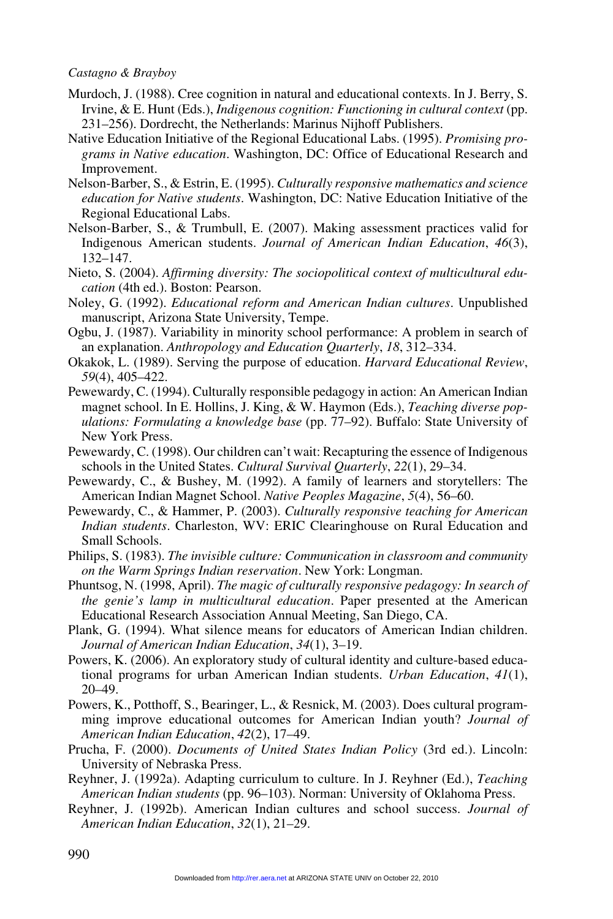- Murdoch, J. (1988). Cree cognition in natural and educational contexts. In J. Berry, S. Irvine, & E. Hunt (Eds.), *Indigenous cognition: Functioning in cultural context* (pp. 231–256). Dordrecht, the Netherlands: Marinus Nijhoff Publishers.
- Native Education Initiative of the Regional Educational Labs. (1995). *Promising programs in Native education*. Washington, DC: Office of Educational Research and Improvement.
- Nelson-Barber, S., & Estrin, E. (1995). *Culturally responsive mathematics and science education for Native students*. Washington, DC: Native Education Initiative of the Regional Educational Labs.
- Nelson-Barber, S., & Trumbull, E. (2007). Making assessment practices valid for Indigenous American students. *Journal of American Indian Education*, *46*(3), 132–147.
- Nieto, S. (2004). *Affirming diversity: The sociopolitical context of multicultural education* (4th ed.). Boston: Pearson.
- Noley, G. (1992). *Educational reform and American Indian cultures*. Unpublished manuscript, Arizona State University, Tempe.
- Ogbu, J. (1987). Variability in minority school performance: A problem in search of an explanation. *Anthropology and Education Quarterly*, *18*, 312–334.
- Okakok, L. (1989). Serving the purpose of education. *Harvard Educational Review*, *59*(4), 405–422.
- Pewewardy, C. (1994). Culturally responsible pedagogy in action: An American Indian magnet school. In E. Hollins, J. King, & W. Haymon (Eds.), *Teaching diverse populations: Formulating a knowledge base* (pp. 77–92). Buffalo: State University of New York Press.
- Pewewardy, C. (1998). Our children can't wait: Recapturing the essence of Indigenous schools in the United States. *Cultural Survival Quarterly*, *22*(1), 29–34.
- Pewewardy, C., & Bushey, M. (1992). A family of learners and storytellers: The American Indian Magnet School. *Native Peoples Magazine*, *5*(4), 56–60.
- Pewewardy, C., & Hammer, P. (2003). *Culturally responsive teaching for American Indian students*. Charleston, WV: ERIC Clearinghouse on Rural Education and Small Schools.
- Philips, S. (1983). *The invisible culture: Communication in classroom and community on the Warm Springs Indian reservation*. New York: Longman.
- Phuntsog, N. (1998, April). *The magic of culturally responsive pedagogy: In search of the genie's lamp in multicultural education*. Paper presented at the American Educational Research Association Annual Meeting, San Diego, CA.
- Plank, G. (1994). What silence means for educators of American Indian children. *Journal of American Indian Education*, *34*(1), 3–19.
- Powers, K. (2006). An exploratory study of cultural identity and culture-based educational programs for urban American Indian students. *Urban Education*, *41*(1), 20–49.
- Powers, K., Potthoff, S., Bearinger, L., & Resnick, M. (2003). Does cultural programming improve educational outcomes for American Indian youth? *Journal of American Indian Education*, *42*(2), 17–49.
- Prucha, F. (2000). *Documents of United States Indian Policy* (3rd ed.). Lincoln: University of Nebraska Press.
- Reyhner, J. (1992a). Adapting curriculum to culture. In J. Reyhner (Ed.), *Teaching American Indian students* (pp. 96–103). Norman: University of Oklahoma Press.
- Reyhner, J. (1992b). American Indian cultures and school success. *Journal of American Indian Education*, *32*(1), 21–29.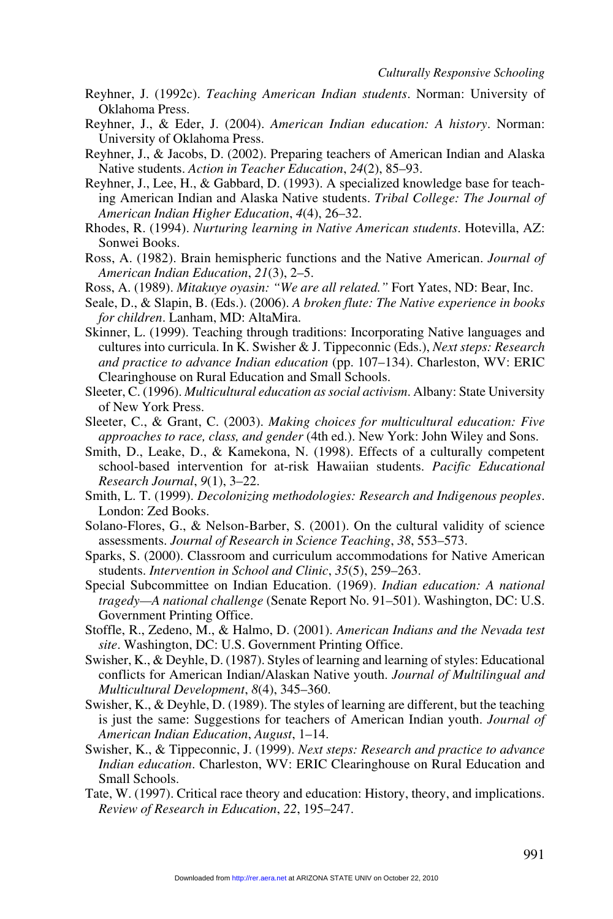- Reyhner, J. (1992c). *Teaching American Indian students*. Norman: University of Oklahoma Press.
- Reyhner, J., & Eder, J. (2004). *American Indian education: A history*. Norman: University of Oklahoma Press.
- Reyhner, J., & Jacobs, D. (2002). Preparing teachers of American Indian and Alaska Native students. *Action in Teacher Education*, *24*(2), 85–93.
- Reyhner, J., Lee, H., & Gabbard, D. (1993). A specialized knowledge base for teaching American Indian and Alaska Native students. *Tribal College: The Journal of American Indian Higher Education*, *4*(4), 26–32.
- Rhodes, R. (1994). *Nurturing learning in Native American students*. Hotevilla, AZ: Sonwei Books.
- Ross, A. (1982). Brain hemispheric functions and the Native American. *Journal of American Indian Education*, *21*(3), 2–5.
- Ross, A. (1989). *Mitakuye oyasin: "We are all related."* Fort Yates, ND: Bear, Inc.
- Seale, D., & Slapin, B. (Eds.). (2006). *A broken flute: The Native experience in books for children*. Lanham, MD: AltaMira.
- Skinner, L. (1999). Teaching through traditions: Incorporating Native languages and cultures into curricula. In K. Swisher & J. Tippeconnic (Eds.), *Next steps: Research and practice to advance Indian education* (pp. 107–134). Charleston, WV: ERIC Clearinghouse on Rural Education and Small Schools.
- Sleeter, C. (1996). *Multicultural education as social activism*. Albany: State University of New York Press.
- Sleeter, C., & Grant, C. (2003). *Making choices for multicultural education: Five approaches to race, class, and gender* (4th ed.). New York: John Wiley and Sons.
- Smith, D., Leake, D., & Kamekona, N. (1998). Effects of a culturally competent school-based intervention for at-risk Hawaiian students. *Pacific Educational Research Journal*, *9*(1), 3–22.
- Smith, L. T. (1999). *Decolonizing methodologies: Research and Indigenous peoples*. London: Zed Books.
- Solano-Flores, G., & Nelson-Barber, S. (2001). On the cultural validity of science assessments. *Journal of Research in Science Teaching*, *38*, 553–573.
- Sparks, S. (2000). Classroom and curriculum accommodations for Native American students. *Intervention in School and Clinic*, *35*(5), 259–263.
- Special Subcommittee on Indian Education. (1969). *Indian education: A national tragedy—A national challenge* (Senate Report No. 91–501). Washington, DC: U.S. Government Printing Office.
- Stoffle, R., Zedeno, M., & Halmo, D. (2001). *American Indians and the Nevada test site*. Washington, DC: U.S. Government Printing Office.
- Swisher, K., & Deyhle, D. (1987). Styles of learning and learning of styles: Educational conflicts for American Indian/Alaskan Native youth. *Journal of Multilingual and Multicultural Development*, *8*(4), 345–360.
- Swisher, K., & Deyhle, D. (1989). The styles of learning are different, but the teaching is just the same: Suggestions for teachers of American Indian youth. *Journal of American Indian Education*, *August*, 1–14.
- Swisher, K., & Tippeconnic, J. (1999). *Next steps: Research and practice to advance Indian education*. Charleston, WV: ERIC Clearinghouse on Rural Education and Small Schools.
- Tate, W. (1997). Critical race theory and education: History, theory, and implications. *Review of Research in Education*, *22*, 195–247.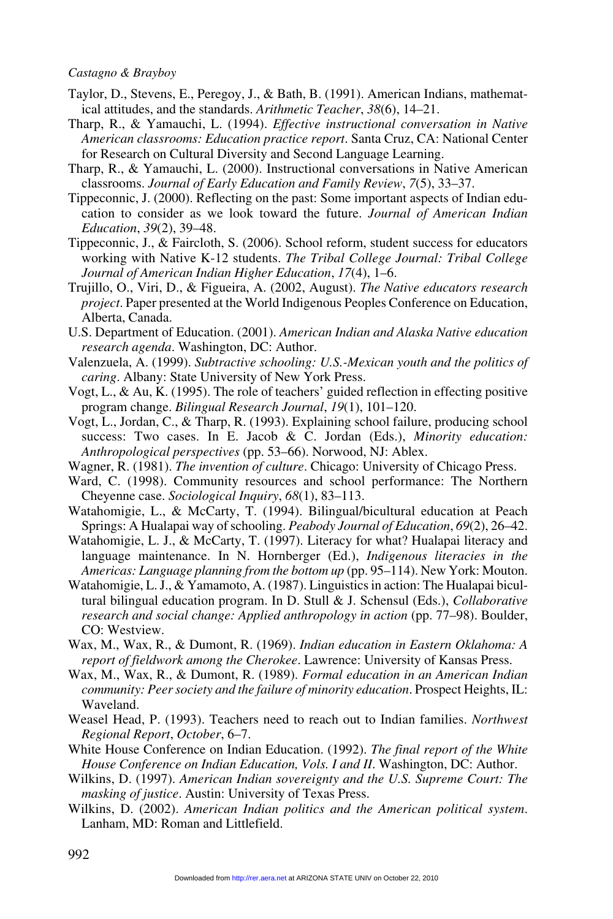- Taylor, D., Stevens, E., Peregoy, J., & Bath, B. (1991). American Indians, mathematical attitudes, and the standards. *Arithmetic Teacher*, *38*(6), 14–21.
- Tharp, R., & Yamauchi, L. (1994). *Effective instructional conversation in Native American classrooms: Education practice report*. Santa Cruz, CA: National Center for Research on Cultural Diversity and Second Language Learning.
- Tharp, R., & Yamauchi, L. (2000). Instructional conversations in Native American classrooms. *Journal of Early Education and Family Review*, *7*(5), 33–37.
- Tippeconnic, J. (2000). Reflecting on the past: Some important aspects of Indian education to consider as we look toward the future. *Journal of American Indian Education*, *39*(2), 39–48.
- Tippeconnic, J., & Faircloth, S. (2006). School reform, student success for educators working with Native K-12 students. *The Tribal College Journal: Tribal College Journal of American Indian Higher Education*, *17*(4), 1–6.
- Trujillo, O., Viri, D., & Figueira, A. (2002, August). *The Native educators research project*. Paper presented at the World Indigenous Peoples Conference on Education, Alberta, Canada.
- U.S. Department of Education. (2001). *American Indian and Alaska Native education research agenda*. Washington, DC: Author.
- Valenzuela, A. (1999). *Subtractive schooling: U.S.-Mexican youth and the politics of caring*. Albany: State University of New York Press.
- Vogt, L., & Au, K. (1995). The role of teachers' guided reflection in effecting positive program change. *Bilingual Research Journal*, *19*(1), 101–120.
- Vogt, L., Jordan, C., & Tharp, R. (1993). Explaining school failure, producing school success: Two cases. In E. Jacob & C. Jordan (Eds.), *Minority education: Anthropological perspectives* (pp. 53–66). Norwood, NJ: Ablex.
- Wagner, R. (1981). *The invention of culture*. Chicago: University of Chicago Press.
- Ward, C. (1998). Community resources and school performance: The Northern Cheyenne case. *Sociological Inquiry*, *68*(1), 83–113.
- Watahomigie, L., & McCarty, T. (1994). Bilingual/bicultural education at Peach Springs: A Hualapai way of schooling. *Peabody Journal of Education*, *69*(2), 26–42.
- Watahomigie, L. J., & McCarty, T. (1997). Literacy for what? Hualapai literacy and language maintenance. In N. Hornberger (Ed.), *Indigenous literacies in the Americas: Language planning from the bottom up* (pp. 95–114). New York: Mouton.
- Watahomigie, L. J., & Yamamoto, A. (1987). Linguistics in action: The Hualapai bicultural bilingual education program. In D. Stull & J. Schensul (Eds.), *Collaborative research and social change: Applied anthropology in action* (pp. 77–98). Boulder, CO: Westview.
- Wax, M., Wax, R., & Dumont, R. (1969). *Indian education in Eastern Oklahoma: A report of fieldwork among the Cherokee*. Lawrence: University of Kansas Press.
- Wax, M., Wax, R., & Dumont, R. (1989). *Formal education in an American Indian community: Peer society and the failure of minority education*. Prospect Heights, IL: Waveland.
- Weasel Head, P. (1993). Teachers need to reach out to Indian families. *Northwest Regional Report*, *October*, 6–7.
- White House Conference on Indian Education. (1992). *The final report of the White House Conference on Indian Education, Vols. I and II*. Washington, DC: Author.
- Wilkins, D. (1997). *American Indian sovereignty and the U.S. Supreme Court: The masking of justice*. Austin: University of Texas Press.
- Wilkins, D. (2002). *American Indian politics and the American political system*. Lanham, MD: Roman and Littlefield.